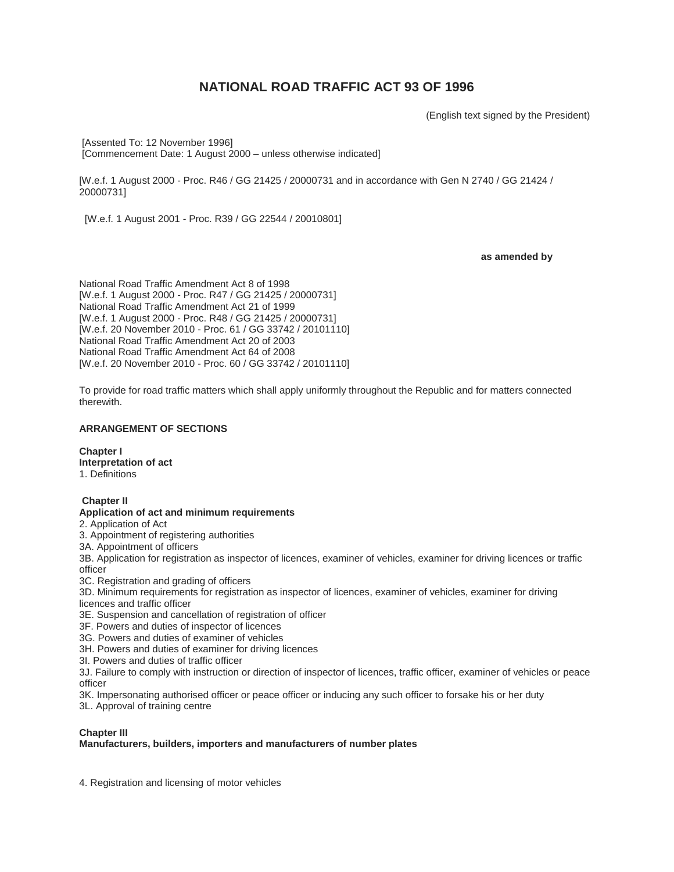# **NATIONAL ROAD TRAFFIC ACT 93 OF 1996**

(English text signed by the President)

[Assented To: 12 November 1996] [Commencement Date: 1 August 2000 – unless otherwise indicated]

[W.e.f. 1 August 2000 - Proc. R46 / GG 21425 / 20000731 and in accordance with Gen N 2740 / GG 21424 / 20000731]

[W.e.f. 1 August 2001 - Proc. R39 / GG 22544 / 20010801]

**as amended by**

National Road Traffic Amendment Act 8 of 1998 [W.e.f. 1 August 2000 - Proc. R47 / GG 21425 / 20000731] National Road Traffic Amendment Act 21 of 1999 [W.e.f. 1 August 2000 - Proc. R48 / GG 21425 / 20000731] [W.e.f. 20 November 2010 - Proc. 61 / GG 33742 / 20101110] National Road Traffic Amendment Act 20 of 2003 National Road Traffic Amendment Act 64 of 2008 [W.e.f. 20 November 2010 - Proc. 60 / GG 33742 / 20101110]

To provide for road traffic matters which shall apply uniformly throughout the Republic and for matters connected therewith.

# **ARRANGEMENT OF SECTIONS**

**Chapter I Interpretation of act** 1. Definitions

#### **Chapter II Application of act and minimum requirements**

2. Application of Act

- 3. Appointment of registering authorities
- 3A. Appointment of officers

3B. Application for registration as inspector of licences, examiner of vehicles, examiner for driving licences or traffic officer

3C. Registration and grading of officers

3D. Minimum requirements for registration as inspector of licences, examiner of vehicles, examiner for driving licences and traffic officer

- 3E. Suspension and cancellation of registration of officer
- 3F. Powers and duties of inspector of licences
- 3G. Powers and duties of examiner of vehicles
- 3H. Powers and duties of examiner for driving licences

3I. Powers and duties of traffic officer

3J. Failure to comply with instruction or direction of inspector of licences, traffic officer, examiner of vehicles or peace officer

3K. Impersonating authorised officer or peace officer or inducing any such officer to forsake his or her duty 3L. Approval of training centre

# **Chapter III**

# **Manufacturers, builders, importers and manufacturers of number plates**

4. Registration and licensing of motor vehicles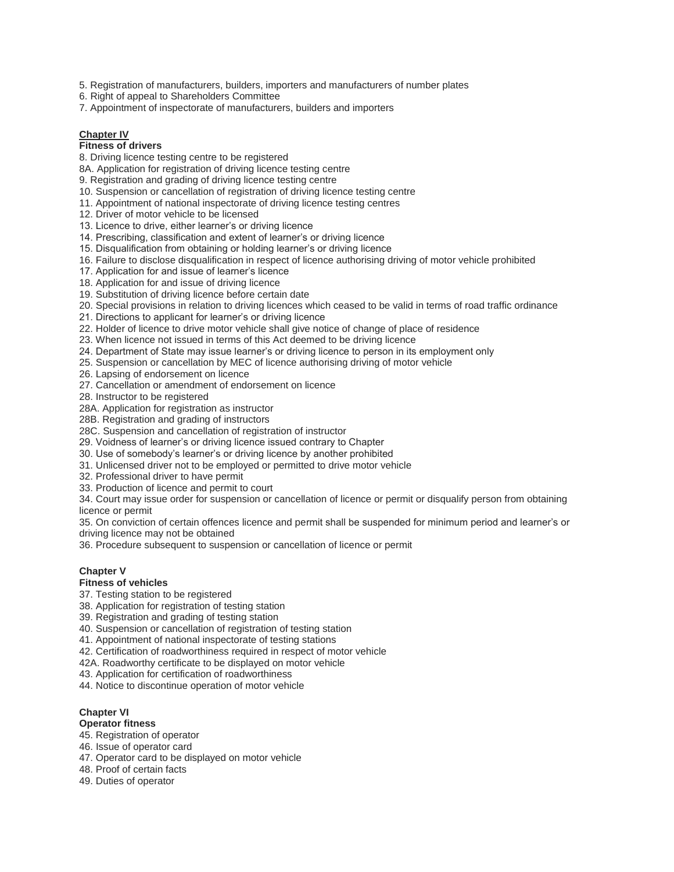5. Registration of manufacturers, builders, importers and manufacturers of number plates

- 6. Right of appeal to Shareholders Committee
- 7. Appointment of inspectorate of manufacturers, builders and importers

# **Chapter IV**

# **Fitness of drivers**

8. Driving licence testing centre to be registered

8A. Application for registration of driving licence testing centre

9. Registration and grading of driving licence testing centre

10. Suspension or cancellation of registration of driving licence testing centre

11. Appointment of national inspectorate of driving licence testing centres

12. Driver of motor vehicle to be licensed

13. Licence to drive, either learner's or driving licence

14. Prescribing, classification and extent of learner's or driving licence

15. Disqualification from obtaining or holding learner's or driving licence

16. Failure to disclose disqualification in respect of licence authorising driving of motor vehicle prohibited

17. Application for and issue of learner's licence

18. Application for and issue of driving licence

19. Substitution of driving licence before certain date

20. Special provisions in relation to driving licences which ceased to be valid in terms of road traffic ordinance

21. Directions to applicant for learner's or driving licence

22. Holder of licence to drive motor vehicle shall give notice of change of place of residence

23. When licence not issued in terms of this Act deemed to be driving licence

24. Department of State may issue learner's or driving licence to person in its employment only

25. Suspension or cancellation by MEC of licence authorising driving of motor vehicle

26. Lapsing of endorsement on licence

27. Cancellation or amendment of endorsement on licence

28. Instructor to be registered

28A. Application for registration as instructor

28B. Registration and grading of instructors

28C. Suspension and cancellation of registration of instructor

29. Voidness of learner's or driving licence issued contrary to Chapter

30. Use of somebody's learner's or driving licence by another prohibited

31. Unlicensed driver not to be employed or permitted to drive motor vehicle

32. Professional driver to have permit

33. Production of licence and permit to court

34. Court may issue order for suspension or cancellation of licence or permit or disqualify person from obtaining licence or permit

35. On conviction of certain offences licence and permit shall be suspended for minimum period and learner's or driving licence may not be obtained

36. Procedure subsequent to suspension or cancellation of licence or permit

# **Chapter V**

# **Fitness of vehicles**

37. Testing station to be registered

38. Application for registration of testing station

39. Registration and grading of testing station

40. Suspension or cancellation of registration of testing station

41. Appointment of national inspectorate of testing stations

42. Certification of roadworthiness required in respect of motor vehicle

42A. Roadworthy certificate to be displayed on motor vehicle

43. Application for certification of roadworthiness

44. Notice to discontinue operation of motor vehicle

# **Chapter VI**

# **Operator fitness**

- 45. Registration of operator
- 46. Issue of operator card
- 47. Operator card to be displayed on motor vehicle
- 48. Proof of certain facts

49. Duties of operator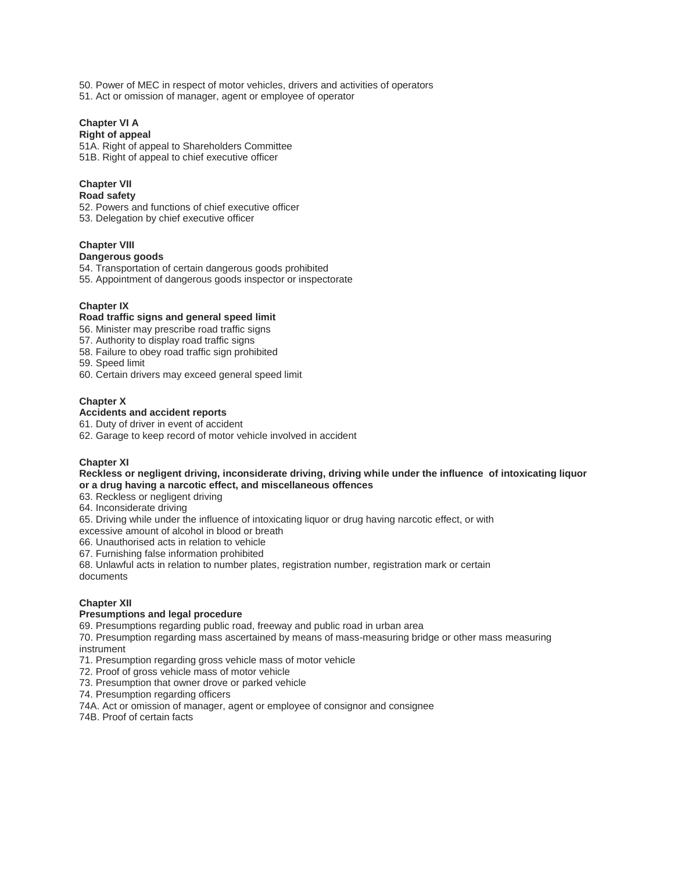50. Power of MEC in respect of motor vehicles, drivers and activities of operators 51. Act or omission of manager, agent or employee of operator

# **Chapter VI A**

# **Right of appeal**

51A. Right of appeal to Shareholders Committee 51B. Right of appeal to chief executive officer

# **Chapter VII**

# **Road safety**

52. Powers and functions of chief executive officer 53. Delegation by chief executive officer

# **Chapter VIII**

# **Dangerous goods**

54. Transportation of certain dangerous goods prohibited

55. Appointment of dangerous goods inspector or inspectorate

# **Chapter IX**

# **Road traffic signs and general speed limit**

56. Minister may prescribe road traffic signs

57. Authority to display road traffic signs

58. Failure to obey road traffic sign prohibited

59. Speed limit

60. Certain drivers may exceed general speed limit

# **Chapter X**

# **Accidents and accident reports**

61. Duty of driver in event of accident

62. Garage to keep record of motor vehicle involved in accident

# **Chapter XI**

# **Reckless or negligent driving, inconsiderate driving, driving while under the influence of intoxicating liquor or a drug having a narcotic effect, and miscellaneous offences**

63. Reckless or negligent driving

64. Inconsiderate driving

65. Driving while under the influence of intoxicating liquor or drug having narcotic effect, or with

excessive amount of alcohol in blood or breath

66. Unauthorised acts in relation to vehicle

67. Furnishing false information prohibited

68. Unlawful acts in relation to number plates, registration number, registration mark or certain documents

# **Chapter XII**

# **Presumptions and legal procedure**

69. Presumptions regarding public road, freeway and public road in urban area

70. Presumption regarding mass ascertained by means of mass-measuring bridge or other mass measuring instrument

71. Presumption regarding gross vehicle mass of motor vehicle

72. Proof of gross vehicle mass of motor vehicle

73. Presumption that owner drove or parked vehicle

74. Presumption regarding officers

74A. Act or omission of manager, agent or employee of consignor and consignee

74B. Proof of certain facts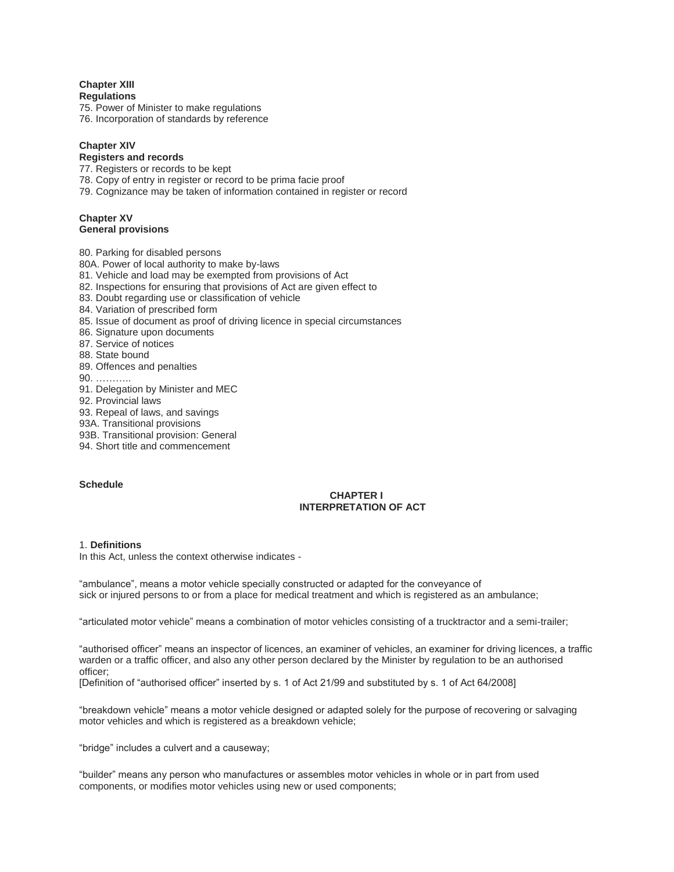**Chapter XIII Regulations**

75. Power of Minister to make regulations

76. Incorporation of standards by reference

# **Chapter XIV**

# **Registers and records**

77. Registers or records to be kept

78. Copy of entry in register or record to be prima facie proof

79. Cognizance may be taken of information contained in register or record

### **Chapter XV General provisions**

80. Parking for disabled persons 80A. Power of local authority to make by-laws 81. Vehicle and load may be exempted from provisions of Act 82. Inspections for ensuring that provisions of Act are given effect to 83. Doubt regarding use or classification of vehicle 84. Variation of prescribed form 85. Issue of document as proof of driving licence in special circumstances 86. Signature upon documents 87. Service of notices 88. State bound 89. Offences and penalties 90. ……….. 91. Delegation by Minister and MEC 92. Provincial laws 93. Repeal of laws, and savings 93A. Transitional provisions 93B. Transitional provision: General 94. Short title and commencement

# **Schedule**

## **CHAPTER I INTERPRETATION OF ACT**

# 1. **Definitions**

In this Act, unless the context otherwise indicates -

"ambulance", means a motor vehicle specially constructed or adapted for the conveyance of sick or injured persons to or from a place for medical treatment and which is registered as an ambulance;

"articulated motor vehicle" means a combination of motor vehicles consisting of a trucktractor and a semi-trailer;

"authorised officer" means an inspector of licences, an examiner of vehicles, an examiner for driving licences, a traffic warden or a traffic officer, and also any other person declared by the Minister by regulation to be an authorised officer;

[Definition of "authorised officer" inserted by s. 1 of Act 21/99 and substituted by s. 1 of Act 64/2008]

"breakdown vehicle" means a motor vehicle designed or adapted solely for the purpose of recovering or salvaging motor vehicles and which is registered as a breakdown vehicle;

"bridge" includes a culvert and a causeway;

"builder" means any person who manufactures or assembles motor vehicles in whole or in part from used components, or modifies motor vehicles using new or used components;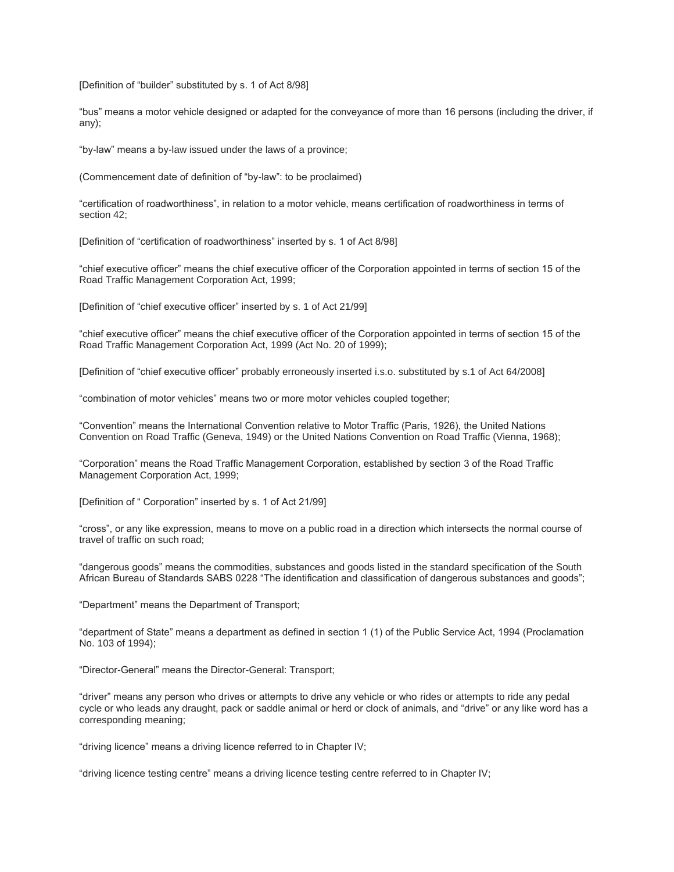[Definition of "builder" substituted by s. 1 of Act 8/98]

"bus" means a motor vehicle designed or adapted for the conveyance of more than 16 persons (including the driver, if any);

"by-law" means a by-law issued under the laws of a province;

(Commencement date of definition of "by-law": to be proclaimed)

"certification of roadworthiness", in relation to a motor vehicle, means certification of roadworthiness in terms of section 42;

[Definition of "certification of roadworthiness" inserted by s. 1 of Act 8/98]

"chief executive officer" means the chief executive officer of the Corporation appointed in terms of section 15 of the Road Traffic Management Corporation Act, 1999;

[Definition of "chief executive officer" inserted by s. 1 of Act 21/99]

"chief executive officer" means the chief executive officer of the Corporation appointed in terms of section 15 of the Road Traffic Management Corporation Act, 1999 (Act No. 20 of 1999);

[Definition of "chief executive officer" probably erroneously inserted i.s.o. substituted by s.1 of Act 64/2008]

"combination of motor vehicles" means two or more motor vehicles coupled together;

"Convention" means the International Convention relative to Motor Traffic (Paris, 1926), the United Nations Convention on Road Traffic (Geneva, 1949) or the United Nations Convention on Road Traffic (Vienna, 1968);

"Corporation" means the Road Traffic Management Corporation, established by section 3 of the Road Traffic Management Corporation Act, 1999;

[Definition of " Corporation" inserted by s. 1 of Act 21/99]

"cross", or any like expression, means to move on a public road in a direction which intersects the normal course of travel of traffic on such road;

"dangerous goods" means the commodities, substances and goods listed in the standard specification of the South African Bureau of Standards SABS 0228 "The identification and classification of dangerous substances and goods";

"Department" means the Department of Transport;

"department of State" means a department as defined in section 1 (1) of the Public Service Act, 1994 (Proclamation No. 103 of 1994);

"Director-General" means the Director-General: Transport;

"driver" means any person who drives or attempts to drive any vehicle or who rides or attempts to ride any pedal cycle or who leads any draught, pack or saddle animal or herd or clock of animals, and "drive" or any like word has a corresponding meaning;

"driving licence" means a driving licence referred to in Chapter IV;

"driving licence testing centre" means a driving licence testing centre referred to in Chapter IV;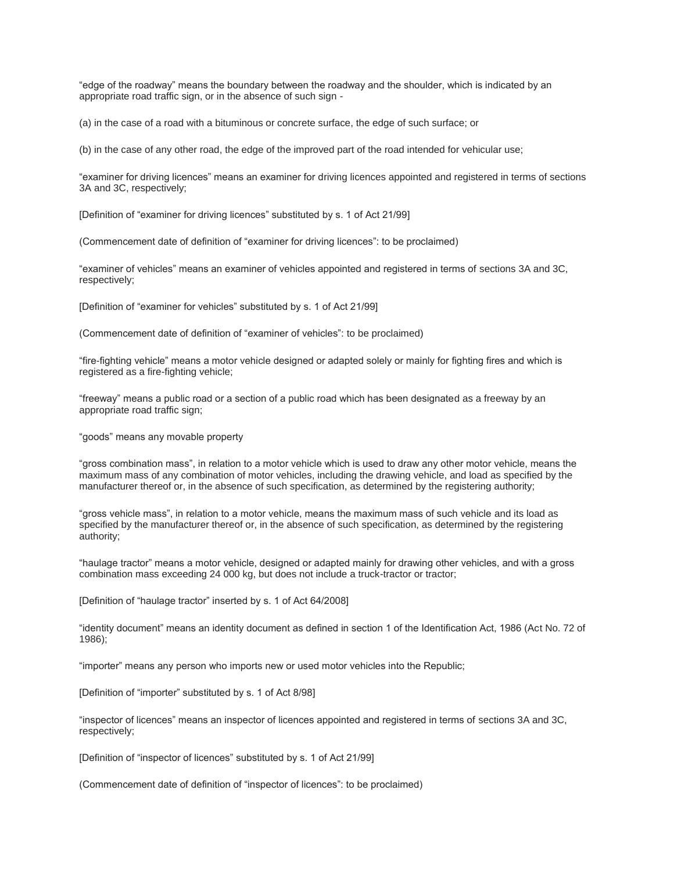"edge of the roadway" means the boundary between the roadway and the shoulder, which is indicated by an appropriate road traffic sign, or in the absence of such sign -

(a) in the case of a road with a bituminous or concrete surface, the edge of such surface; or

(b) in the case of any other road, the edge of the improved part of the road intended for vehicular use;

"examiner for driving licences" means an examiner for driving licences appointed and registered in terms of sections 3A and 3C, respectively;

[Definition of "examiner for driving licences" substituted by s. 1 of Act 21/99]

(Commencement date of definition of "examiner for driving licences": to be proclaimed)

"examiner of vehicles" means an examiner of vehicles appointed and registered in terms of sections 3A and 3C, respectively;

[Definition of "examiner for vehicles" substituted by s. 1 of Act 21/99]

(Commencement date of definition of "examiner of vehicles": to be proclaimed)

"fire-fighting vehicle" means a motor vehicle designed or adapted solely or mainly for fighting fires and which is registered as a fire-fighting vehicle;

"freeway" means a public road or a section of a public road which has been designated as a freeway by an appropriate road traffic sign;

"goods" means any movable property

"gross combination mass", in relation to a motor vehicle which is used to draw any other motor vehicle, means the maximum mass of any combination of motor vehicles, including the drawing vehicle, and load as specified by the manufacturer thereof or, in the absence of such specification, as determined by the registering authority;

"gross vehicle mass", in relation to a motor vehicle, means the maximum mass of such vehicle and its load as specified by the manufacturer thereof or, in the absence of such specification, as determined by the registering authority;

"haulage tractor" means a motor vehicle, designed or adapted mainly for drawing other vehicles, and with a gross combination mass exceeding 24 000 kg, but does not include a truck-tractor or tractor;

[Definition of "haulage tractor" inserted by s. 1 of Act 64/2008]

"identity document" means an identity document as defined in section 1 of the Identification Act, 1986 (Act No. 72 of 1986);

"importer" means any person who imports new or used motor vehicles into the Republic;

[Definition of "importer" substituted by s. 1 of Act 8/98]

"inspector of licences" means an inspector of licences appointed and registered in terms of sections 3A and 3C, respectively;

[Definition of "inspector of licences" substituted by s. 1 of Act 21/99]

(Commencement date of definition of "inspector of licences": to be proclaimed)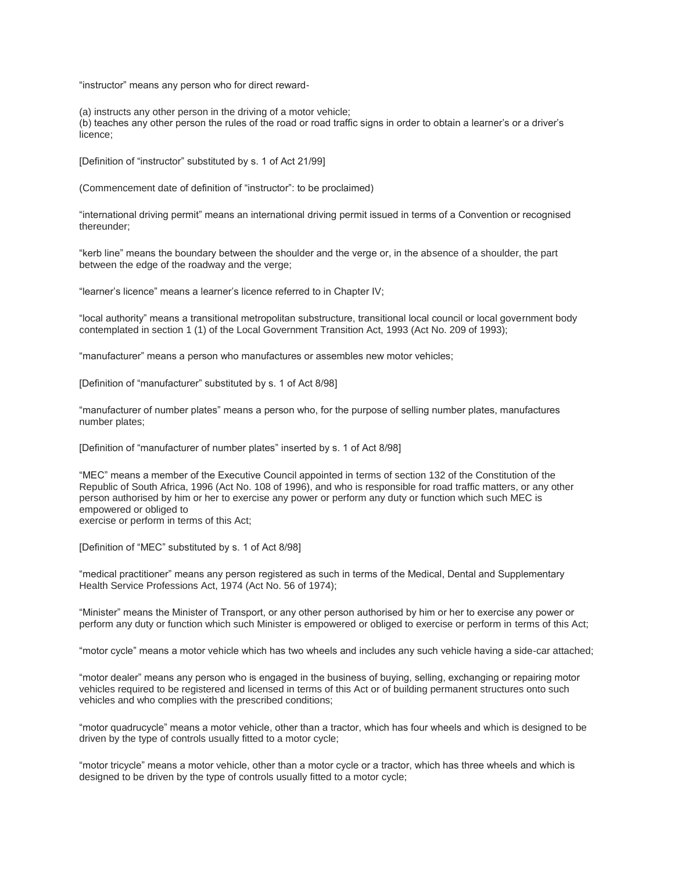"instructor" means any person who for direct reward-

(a) instructs any other person in the driving of a motor vehicle;

(b) teaches any other person the rules of the road or road traffic signs in order to obtain a learner's or a driver's licence;

[Definition of "instructor" substituted by s. 1 of Act 21/99]

(Commencement date of definition of "instructor": to be proclaimed)

"international driving permit" means an international driving permit issued in terms of a Convention or recognised thereunder;

"kerb line" means the boundary between the shoulder and the verge or, in the absence of a shoulder, the part between the edge of the roadway and the verge;

"learner's licence" means a learner's licence referred to in Chapter IV;

"local authority" means a transitional metropolitan substructure, transitional local council or local government body contemplated in section 1 (1) of the Local Government Transition Act, 1993 (Act No. 209 of 1993);

"manufacturer" means a person who manufactures or assembles new motor vehicles;

[Definition of "manufacturer" substituted by s. 1 of Act 8/98]

"manufacturer of number plates" means a person who, for the purpose of selling number plates, manufactures number plates;

[Definition of "manufacturer of number plates" inserted by s. 1 of Act 8/98]

"MEC" means a member of the Executive Council appointed in terms of section 132 of the Constitution of the Republic of South Africa, 1996 (Act No. 108 of 1996), and who is responsible for road traffic matters, or any other person authorised by him or her to exercise any power or perform any duty or function which such MEC is empowered or obliged to exercise or perform in terms of this Act;

[Definition of "MEC" substituted by s. 1 of Act 8/98]

"medical practitioner" means any person registered as such in terms of the Medical, Dental and Supplementary Health Service Professions Act, 1974 (Act No. 56 of 1974);

"Minister" means the Minister of Transport, or any other person authorised by him or her to exercise any power or perform any duty or function which such Minister is empowered or obliged to exercise or perform in terms of this Act;

"motor cycle" means a motor vehicle which has two wheels and includes any such vehicle having a side-car attached;

"motor dealer" means any person who is engaged in the business of buying, selling, exchanging or repairing motor vehicles required to be registered and licensed in terms of this Act or of building permanent structures onto such vehicles and who complies with the prescribed conditions;

"motor quadrucycle" means a motor vehicle, other than a tractor, which has four wheels and which is designed to be driven by the type of controls usually fitted to a motor cycle;

"motor tricycle" means a motor vehicle, other than a motor cycle or a tractor, which has three wheels and which is designed to be driven by the type of controls usually fitted to a motor cycle;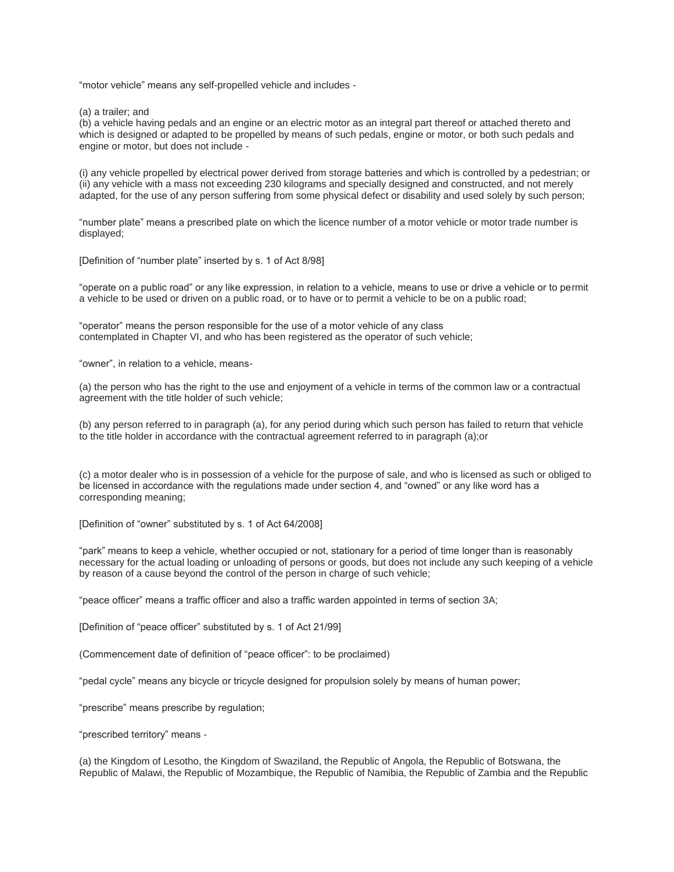"motor vehicle" means any self-propelled vehicle and includes -

(a) a trailer; and

(b) a vehicle having pedals and an engine or an electric motor as an integral part thereof or attached thereto and which is designed or adapted to be propelled by means of such pedals, engine or motor, or both such pedals and engine or motor, but does not include -

(i) any vehicle propelled by electrical power derived from storage batteries and which is controlled by a pedestrian; or (ii) any vehicle with a mass not exceeding 230 kilograms and specially designed and constructed, and not merely adapted, for the use of any person suffering from some physical defect or disability and used solely by such person;

"number plate" means a prescribed plate on which the licence number of a motor vehicle or motor trade number is displayed;

[Definition of "number plate" inserted by s. 1 of Act 8/98]

"operate on a public road" or any like expression, in relation to a vehicle, means to use or drive a vehicle or to permit a vehicle to be used or driven on a public road, or to have or to permit a vehicle to be on a public road;

"operator" means the person responsible for the use of a motor vehicle of any class contemplated in Chapter VI, and who has been registered as the operator of such vehicle;

"owner", in relation to a vehicle, means-

(a) the person who has the right to the use and enjoyment of a vehicle in terms of the common law or a contractual agreement with the title holder of such vehicle;

(b) any person referred to in paragraph (a), for any period during which such person has failed to return that vehicle to the title holder in accordance with the contractual agreement referred to in paragraph (a);or

(c) a motor dealer who is in possession of a vehicle for the purpose of sale, and who is licensed as such or obliged to be licensed in accordance with the regulations made under section 4, and "owned" or any like word has a corresponding meaning;

[Definition of "owner" substituted by s. 1 of Act 64/2008]

"park" means to keep a vehicle, whether occupied or not, stationary for a period of time longer than is reasonably necessary for the actual loading or unloading of persons or goods, but does not include any such keeping of a vehicle by reason of a cause beyond the control of the person in charge of such vehicle;

"peace officer" means a traffic officer and also a traffic warden appointed in terms of section 3A;

[Definition of "peace officer" substituted by s. 1 of Act 21/99]

(Commencement date of definition of "peace officer": to be proclaimed)

"pedal cycle" means any bicycle or tricycle designed for propulsion solely by means of human power;

"prescribe" means prescribe by regulation;

"prescribed territory" means -

(a) the Kingdom of Lesotho, the Kingdom of Swaziland, the Republic of Angola, the Republic of Botswana, the Republic of Malawi, the Republic of Mozambique, the Republic of Namibia, the Republic of Zambia and the Republic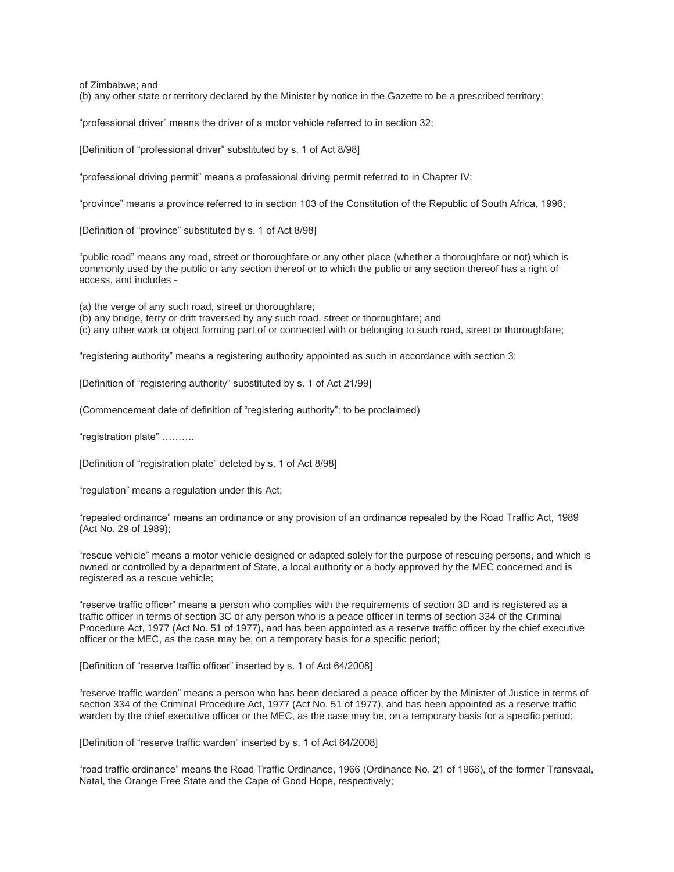of Zimbabwe; and

(b) any other state or territory declared by the Minister by notice in the Gazette to be a prescribed territory;

"professional driver" means the driver of a motor vehicle referred to in section 32;

[Definition of "professional driver" substituted by s. 1 of Act 8/98]

"professional driving permit" means a professional driving permit referred to in Chapter IV;

"province" means a province referred to in section 103 of the Constitution of the Republic of South Africa, 1996;

[Definition of "province" substituted by s. 1 of Act 8/98]

"public road" means any road, street or thoroughfare or any other place (whether a thoroughfare or not) which is commonly used by the public or any section thereof or to which the public or any section thereof has a right of access, and includes -

(a) the verge of any such road, street or thoroughfare;

(b) any bridge, ferry or drift traversed by any such road, street or thoroughfare; and

(c) any other work or object forming part of or connected with or belonging to such road, street or thoroughfare;

"registering authority" means a registering authority appointed as such in accordance with section 3;

[Definition of "registering authority" substituted by s. 1 of Act 21/99]

(Commencement date of definition of "registering authority": to be proclaimed)

"registration plate" ……….

[Definition of "registration plate" deleted by s. 1 of Act 8/98]

"regulation" means a regulation under this Act;

"repealed ordinance" means an ordinance or any provision of an ordinance repealed by the Road Traffic Act, 1989 (Act No. 29 of 1989);

"rescue vehicle" means a motor vehicle designed or adapted solely for the purpose of rescuing persons, and which is owned or controlled by a department of State, a local authority or a body approved by the MEC concerned and is registered as a rescue vehicle;

"reserve traffic officer" means a person who complies with the requirements of section 3D and is registered as a traffic officer in terms of section 3C or any person who is a peace officer in terms of section 334 of the Criminal Procedure Act, 1977 (Act No. 51 of 1977), and has been appointed as a reserve traffic officer by the chief executive officer or the MEC, as the case may be, on a temporary basis for a specific period;

[Definition of "reserve traffic officer" inserted by s. 1 of Act 64/2008]

"reserve traffic warden" means a person who has been declared a peace officer by the Minister of Justice in terms of section 334 of the Criminal Procedure Act, 1977 (Act No. 51 of 1977), and has been appointed as a reserve traffic warden by the chief executive officer or the MEC, as the case may be, on a temporary basis for a specific period;

[Definition of "reserve traffic warden" inserted by s. 1 of Act 64/2008]

"road traffic ordinance" means the Road Traffic Ordinance, 1966 (Ordinance No. 21 of 1966), of the former Transvaal, Natal, the Orange Free State and the Cape of Good Hope, respectively;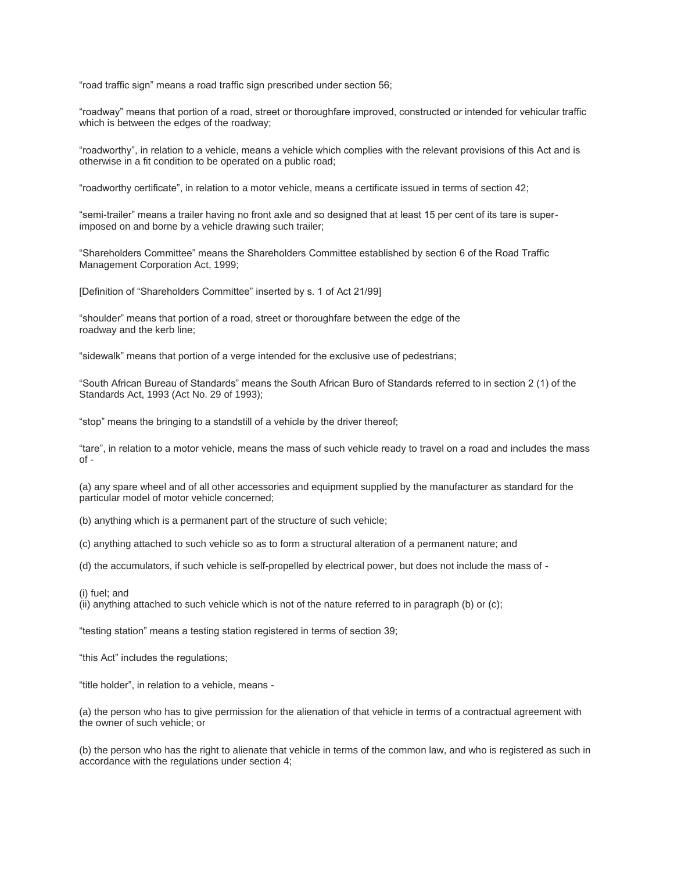"road traffic sign" means a road traffic sign prescribed under section 56;

"roadway" means that portion of a road, street or thoroughfare improved, constructed or intended for vehicular traffic which is between the edges of the roadway;

"roadworthy", in relation to a vehicle, means a vehicle which complies with the relevant provisions of this Act and is otherwise in a fit condition to be operated on a public road;

"roadworthy certificate", in relation to a motor vehicle, means a certificate issued in terms of section 42;

"semi-trailer" means a trailer having no front axle and so designed that at least 15 per cent of its tare is superimposed on and borne by a vehicle drawing such trailer;

"Shareholders Committee" means the Shareholders Committee established by section 6 of the Road Traffic Management Corporation Act, 1999;

[Definition of "Shareholders Committee" inserted by s. 1 of Act 21/99]

"shoulder" means that portion of a road, street or thoroughfare between the edge of the roadway and the kerb line;

"sidewalk" means that portion of a verge intended for the exclusive use of pedestrians;

"South African Bureau of Standards" means the South African Buro of Standards referred to in section 2 (1) of the Standards Act, 1993 (Act No. 29 of 1993);

"stop" means the bringing to a standstill of a vehicle by the driver thereof;

"tare", in relation to a motor vehicle, means the mass of such vehicle ready to travel on a road and includes the mass of -

(a) any spare wheel and of all other accessories and equipment supplied by the manufacturer as standard for the particular model of motor vehicle concerned;

(b) anything which is a permanent part of the structure of such vehicle;

(c) anything attached to such vehicle so as to form a structural alteration of a permanent nature; and

(d) the accumulators, if such vehicle is self-propelled by electrical power, but does not include the mass of -

(i) fuel; and

(ii) anything attached to such vehicle which is not of the nature referred to in paragraph (b) or (c);

"testing station" means a testing station registered in terms of section 39;

"this Act" includes the regulations;

"title holder", in relation to a vehicle, means -

(a) the person who has to give permission for the alienation of that vehicle in terms of a contractual agreement with the owner of such vehicle; or

(b) the person who has the right to alienate that vehicle in terms of the common law, and who is registered as such in accordance with the regulations under section 4;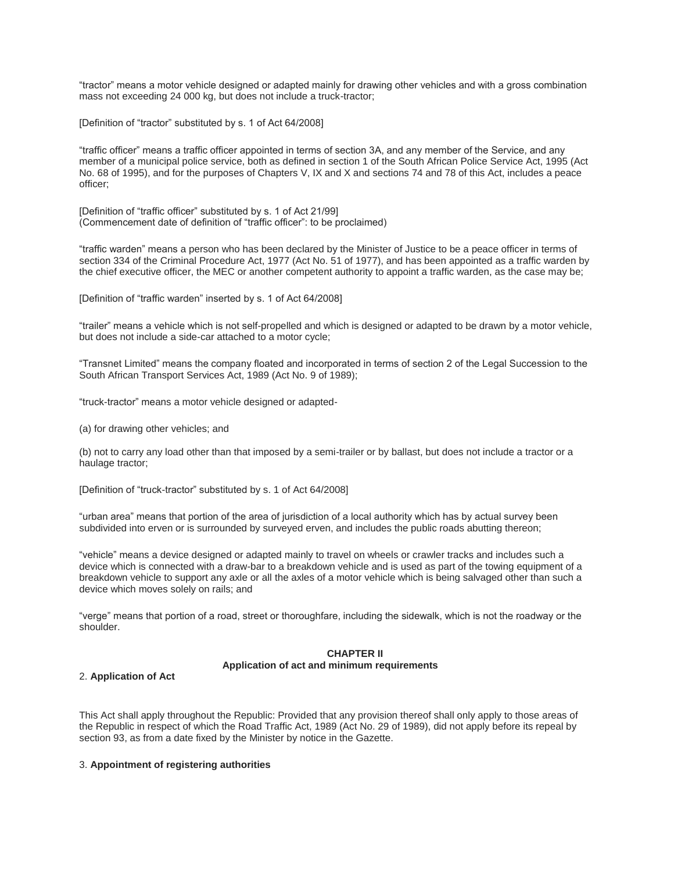"tractor" means a motor vehicle designed or adapted mainly for drawing other vehicles and with a gross combination mass not exceeding 24 000 kg, but does not include a truck-tractor;

[Definition of "tractor" substituted by s. 1 of Act 64/2008]

"traffic officer" means a traffic officer appointed in terms of section 3A, and any member of the Service, and any member of a municipal police service, both as defined in section 1 of the South African Police Service Act, 1995 (Act No. 68 of 1995), and for the purposes of Chapters V, IX and X and sections 74 and 78 of this Act, includes a peace officer;

[Definition of "traffic officer" substituted by s. 1 of Act 21/99] (Commencement date of definition of "traffic officer": to be proclaimed)

"traffic warden" means a person who has been declared by the Minister of Justice to be a peace officer in terms of section 334 of the Criminal Procedure Act, 1977 (Act No. 51 of 1977), and has been appointed as a traffic warden by the chief executive officer, the MEC or another competent authority to appoint a traffic warden, as the case may be;

[Definition of "traffic warden" inserted by s. 1 of Act 64/2008]

"trailer" means a vehicle which is not self-propelled and which is designed or adapted to be drawn by a motor vehicle, but does not include a side-car attached to a motor cycle;

"Transnet Limited" means the company floated and incorporated in terms of section 2 of the Legal Succession to the South African Transport Services Act, 1989 (Act No. 9 of 1989);

"truck-tractor" means a motor vehicle designed or adapted-

(a) for drawing other vehicles; and

(b) not to carry any load other than that imposed by a semi-trailer or by ballast, but does not include a tractor or a haulage tractor;

[Definition of "truck-tractor" substituted by s. 1 of Act 64/2008]

"urban area" means that portion of the area of jurisdiction of a local authority which has by actual survey been subdivided into erven or is surrounded by surveyed erven, and includes the public roads abutting thereon;

"vehicle" means a device designed or adapted mainly to travel on wheels or crawler tracks and includes such a device which is connected with a draw-bar to a breakdown vehicle and is used as part of the towing equipment of a breakdown vehicle to support any axle or all the axles of a motor vehicle which is being salvaged other than such a device which moves solely on rails; and

"verge" means that portion of a road, street or thoroughfare, including the sidewalk, which is not the roadway or the shoulder.

### **CHAPTER II Application of act and minimum requirements**

#### 2. **Application of Act**

This Act shall apply throughout the Republic: Provided that any provision thereof shall only apply to those areas of the Republic in respect of which the Road Traffic Act, 1989 (Act No. 29 of 1989), did not apply before its repeal by section 93, as from a date fixed by the Minister by notice in the Gazette.

### 3. **Appointment of registering authorities**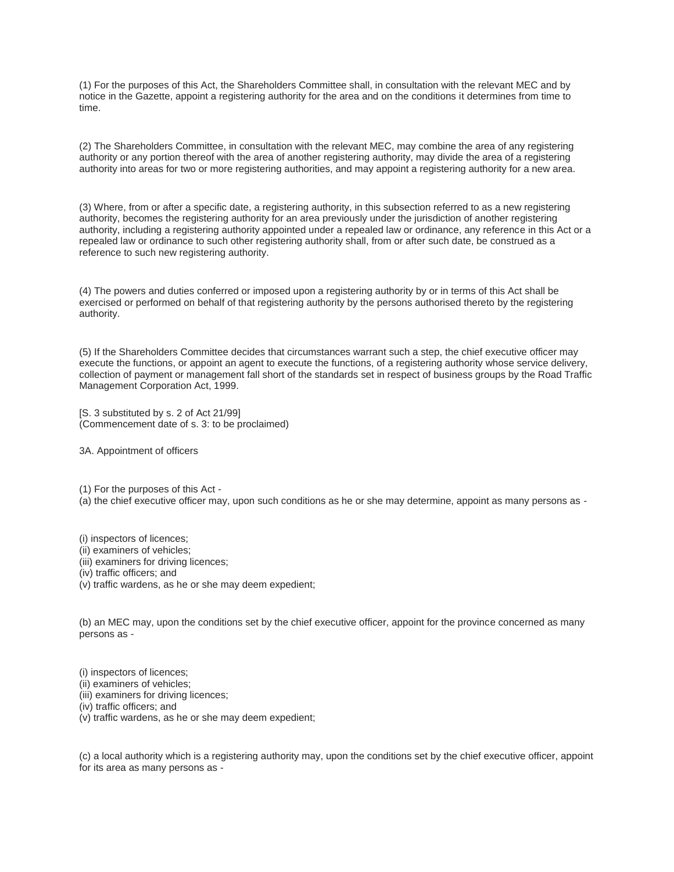(1) For the purposes of this Act, the Shareholders Committee shall, in consultation with the relevant MEC and by notice in the Gazette, appoint a registering authority for the area and on the conditions it determines from time to time.

(2) The Shareholders Committee, in consultation with the relevant MEC, may combine the area of any registering authority or any portion thereof with the area of another registering authority, may divide the area of a registering authority into areas for two or more registering authorities, and may appoint a registering authority for a new area.

(3) Where, from or after a specific date, a registering authority, in this subsection referred to as a new registering authority, becomes the registering authority for an area previously under the jurisdiction of another registering authority, including a registering authority appointed under a repealed law or ordinance, any reference in this Act or a repealed law or ordinance to such other registering authority shall, from or after such date, be construed as a reference to such new registering authority.

(4) The powers and duties conferred or imposed upon a registering authority by or in terms of this Act shall be exercised or performed on behalf of that registering authority by the persons authorised thereto by the registering authority.

(5) If the Shareholders Committee decides that circumstances warrant such a step, the chief executive officer may execute the functions, or appoint an agent to execute the functions, of a registering authority whose service delivery, collection of payment or management fall short of the standards set in respect of business groups by the Road Traffic Management Corporation Act, 1999.

[S. 3 substituted by s. 2 of Act 21/99] (Commencement date of s. 3: to be proclaimed)

3A. Appointment of officers

(1) For the purposes of this Act - (a) the chief executive officer may, upon such conditions as he or she may determine, appoint as many persons as -

(i) inspectors of licences;

- (ii) examiners of vehicles;
- (iii) examiners for driving licences;

(iv) traffic officers; and

(v) traffic wardens, as he or she may deem expedient;

(b) an MEC may, upon the conditions set by the chief executive officer, appoint for the province concerned as many persons as -

(i) inspectors of licences;

- (ii) examiners of vehicles;
- (iii) examiners for driving licences;

(iv) traffic officers; and

(v) traffic wardens, as he or she may deem expedient;

(c) a local authority which is a registering authority may, upon the conditions set by the chief executive officer, appoint for its area as many persons as -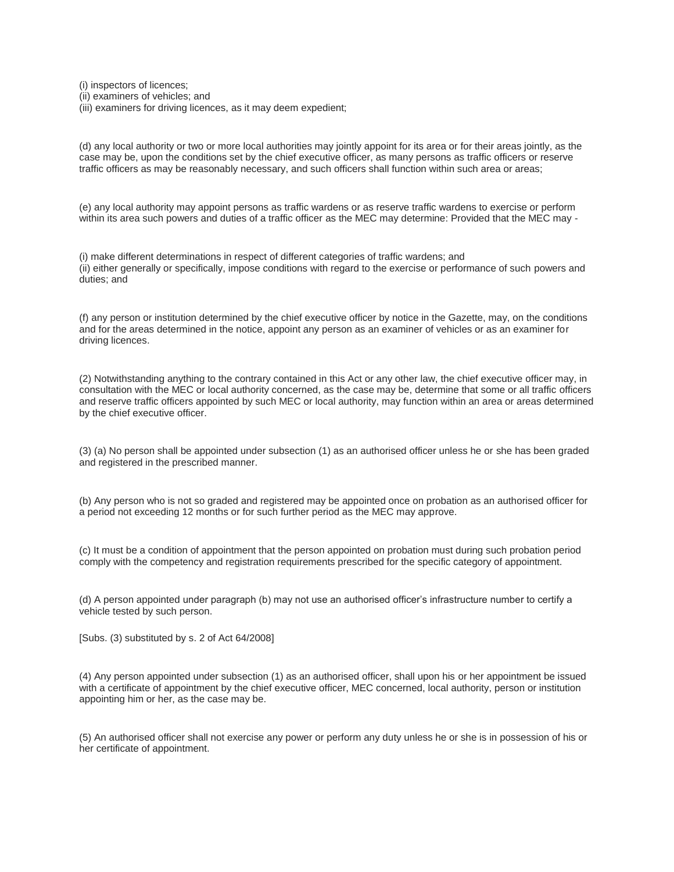(i) inspectors of licences;

- (ii) examiners of vehicles; and
- (iii) examiners for driving licences, as it may deem expedient;

(d) any local authority or two or more local authorities may jointly appoint for its area or for their areas jointly, as the case may be, upon the conditions set by the chief executive officer, as many persons as traffic officers or reserve traffic officers as may be reasonably necessary, and such officers shall function within such area or areas;

(e) any local authority may appoint persons as traffic wardens or as reserve traffic wardens to exercise or perform within its area such powers and duties of a traffic officer as the MEC may determine: Provided that the MEC may -

(i) make different determinations in respect of different categories of traffic wardens; and (ii) either generally or specifically, impose conditions with regard to the exercise or performance of such powers and duties; and

(f) any person or institution determined by the chief executive officer by notice in the Gazette, may, on the conditions and for the areas determined in the notice, appoint any person as an examiner of vehicles or as an examiner for driving licences.

(2) Notwithstanding anything to the contrary contained in this Act or any other law, the chief executive officer may, in consultation with the MEC or local authority concerned, as the case may be, determine that some or all traffic officers and reserve traffic officers appointed by such MEC or local authority, may function within an area or areas determined by the chief executive officer.

(3) (a) No person shall be appointed under subsection (1) as an authorised officer unless he or she has been graded and registered in the prescribed manner.

(b) Any person who is not so graded and registered may be appointed once on probation as an authorised officer for a period not exceeding 12 months or for such further period as the MEC may approve.

(c) It must be a condition of appointment that the person appointed on probation must during such probation period comply with the competency and registration requirements prescribed for the specific category of appointment.

(d) A person appointed under paragraph (b) may not use an authorised officer's infrastructure number to certify a vehicle tested by such person.

[Subs. (3) substituted by s. 2 of Act 64/2008]

(4) Any person appointed under subsection (1) as an authorised officer, shall upon his or her appointment be issued with a certificate of appointment by the chief executive officer, MEC concerned, local authority, person or institution appointing him or her, as the case may be.

(5) An authorised officer shall not exercise any power or perform any duty unless he or she is in possession of his or her certificate of appointment.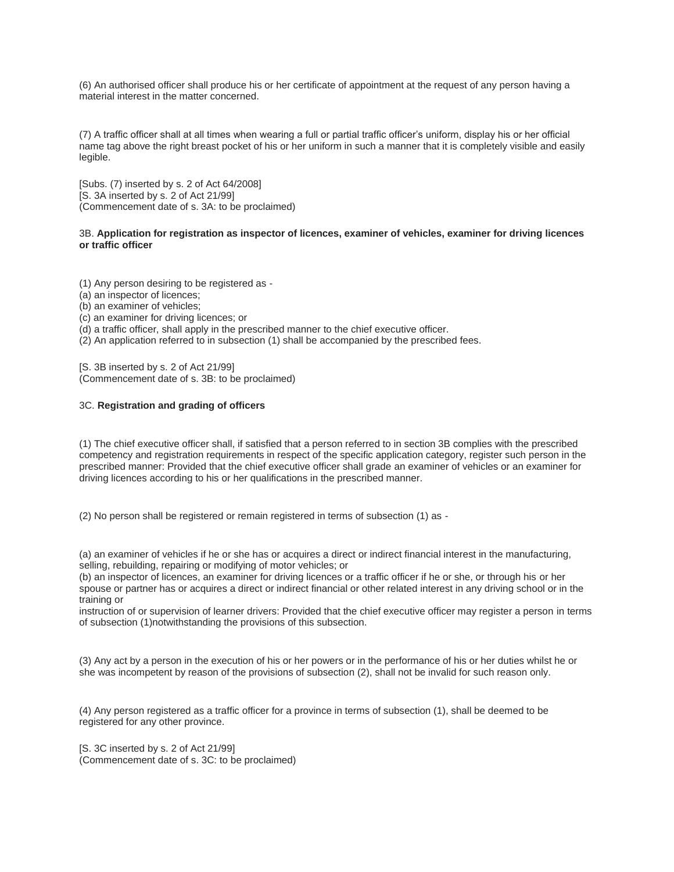(6) An authorised officer shall produce his or her certificate of appointment at the request of any person having a material interest in the matter concerned.

(7) A traffic officer shall at all times when wearing a full or partial traffic officer's uniform, display his or her official name tag above the right breast pocket of his or her uniform in such a manner that it is completely visible and easily legible.

[Subs. (7) inserted by s. 2 of Act 64/2008] [S. 3A inserted by s. 2 of Act 21/99] (Commencement date of s. 3A: to be proclaimed)

## 3B. **Application for registration as inspector of licences, examiner of vehicles, examiner for driving licences or traffic officer**

(1) Any person desiring to be registered as -

(a) an inspector of licences;

(b) an examiner of vehicles;

(c) an examiner for driving licences; or

(d) a traffic officer, shall apply in the prescribed manner to the chief executive officer.

(2) An application referred to in subsection (1) shall be accompanied by the prescribed fees.

[S. 3B inserted by s. 2 of Act 21/99] (Commencement date of s. 3B: to be proclaimed)

# 3C. **Registration and grading of officers**

(1) The chief executive officer shall, if satisfied that a person referred to in section 3B complies with the prescribed competency and registration requirements in respect of the specific application category, register such person in the prescribed manner: Provided that the chief executive officer shall grade an examiner of vehicles or an examiner for driving licences according to his or her qualifications in the prescribed manner.

(2) No person shall be registered or remain registered in terms of subsection (1) as -

(a) an examiner of vehicles if he or she has or acquires a direct or indirect financial interest in the manufacturing, selling, rebuilding, repairing or modifying of motor vehicles; or

(b) an inspector of licences, an examiner for driving licences or a traffic officer if he or she, or through his or her spouse or partner has or acquires a direct or indirect financial or other related interest in any driving school or in the training or

instruction of or supervision of learner drivers: Provided that the chief executive officer may register a person in terms of subsection (1)notwithstanding the provisions of this subsection.

(3) Any act by a person in the execution of his or her powers or in the performance of his or her duties whilst he or she was incompetent by reason of the provisions of subsection (2), shall not be invalid for such reason only.

(4) Any person registered as a traffic officer for a province in terms of subsection (1), shall be deemed to be registered for any other province.

[S. 3C inserted by s. 2 of Act 21/99] (Commencement date of s. 3C: to be proclaimed)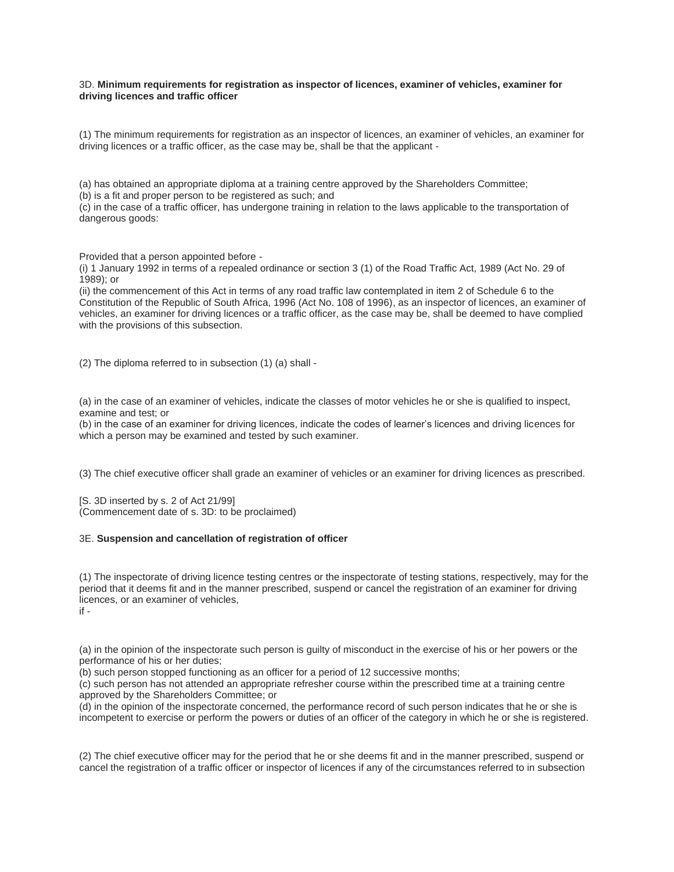### 3D. **Minimum requirements for registration as inspector of licences, examiner of vehicles, examiner for driving licences and traffic officer**

(1) The minimum requirements for registration as an inspector of licences, an examiner of vehicles, an examiner for driving licences or a traffic officer, as the case may be, shall be that the applicant -

(a) has obtained an appropriate diploma at a training centre approved by the Shareholders Committee;

(b) is a fit and proper person to be registered as such; and

(c) in the case of a traffic officer, has undergone training in relation to the laws applicable to the transportation of dangerous goods:

Provided that a person appointed before -

(i) 1 January 1992 in terms of a repealed ordinance or section 3 (1) of the Road Traffic Act, 1989 (Act No. 29 of 1989); or

(ii) the commencement of this Act in terms of any road traffic law contemplated in item 2 of Schedule 6 to the Constitution of the Republic of South Africa, 1996 (Act No. 108 of 1996), as an inspector of licences, an examiner of vehicles, an examiner for driving licences or a traffic officer, as the case may be, shall be deemed to have complied with the provisions of this subsection.

(2) The diploma referred to in subsection (1) (a) shall -

(a) in the case of an examiner of vehicles, indicate the classes of motor vehicles he or she is qualified to inspect, examine and test; or

(b) in the case of an examiner for driving licences, indicate the codes of learner's licences and driving licences for which a person may be examined and tested by such examiner.

(3) The chief executive officer shall grade an examiner of vehicles or an examiner for driving licences as prescribed.

[S. 3D inserted by s. 2 of Act 21/99] (Commencement date of s. 3D: to be proclaimed)

# 3E. **Suspension and cancellation of registration of officer**

(1) The inspectorate of driving licence testing centres or the inspectorate of testing stations, respectively, may for the period that it deems fit and in the manner prescribed, suspend or cancel the registration of an examiner for driving licences, or an examiner of vehicles, if -

(a) in the opinion of the inspectorate such person is guilty of misconduct in the exercise of his or her powers or the performance of his or her duties;

(b) such person stopped functioning as an officer for a period of 12 successive months;

(c) such person has not attended an appropriate refresher course within the prescribed time at a training centre approved by the Shareholders Committee; or

(d) in the opinion of the inspectorate concerned, the performance record of such person indicates that he or she is incompetent to exercise or perform the powers or duties of an officer of the category in which he or she is registered.

(2) The chief executive officer may for the period that he or she deems fit and in the manner prescribed, suspend or cancel the registration of a traffic officer or inspector of licences if any of the circumstances referred to in subsection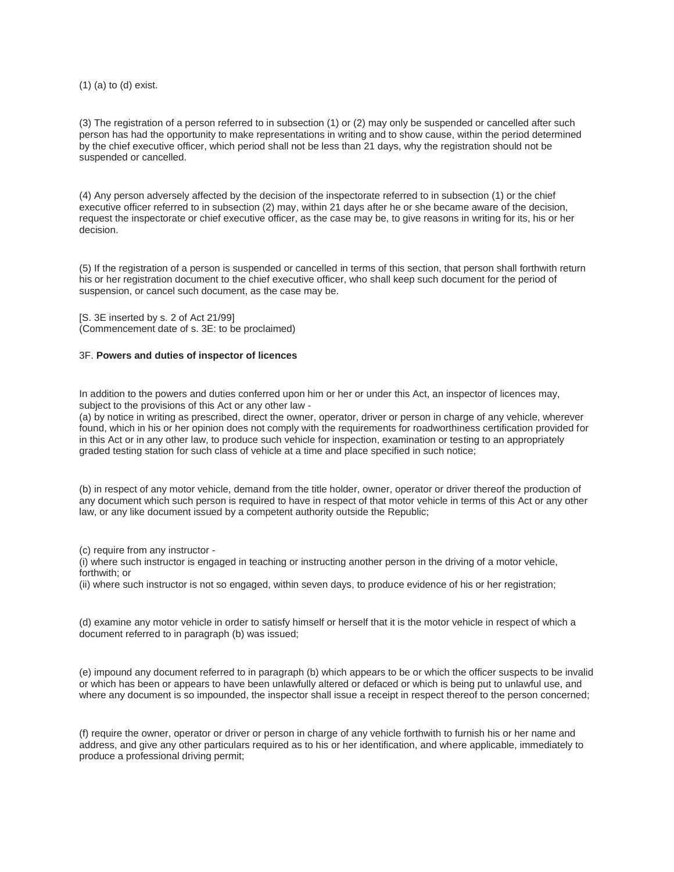(1) (a) to (d) exist.

(3) The registration of a person referred to in subsection (1) or (2) may only be suspended or cancelled after such person has had the opportunity to make representations in writing and to show cause, within the period determined by the chief executive officer, which period shall not be less than 21 days, why the registration should not be suspended or cancelled.

(4) Any person adversely affected by the decision of the inspectorate referred to in subsection (1) or the chief executive officer referred to in subsection (2) may, within 21 days after he or she became aware of the decision, request the inspectorate or chief executive officer, as the case may be, to give reasons in writing for its, his or her decision.

(5) If the registration of a person is suspended or cancelled in terms of this section, that person shall forthwith return his or her registration document to the chief executive officer, who shall keep such document for the period of suspension, or cancel such document, as the case may be.

[S. 3E inserted by s. 2 of Act 21/99] (Commencement date of s. 3E: to be proclaimed)

### 3F. **Powers and duties of inspector of licences**

In addition to the powers and duties conferred upon him or her or under this Act, an inspector of licences may, subject to the provisions of this Act or any other law -

(a) by notice in writing as prescribed, direct the owner, operator, driver or person in charge of any vehicle, wherever found, which in his or her opinion does not comply with the requirements for roadworthiness certification provided for in this Act or in any other law, to produce such vehicle for inspection, examination or testing to an appropriately graded testing station for such class of vehicle at a time and place specified in such notice;

(b) in respect of any motor vehicle, demand from the title holder, owner, operator or driver thereof the production of any document which such person is required to have in respect of that motor vehicle in terms of this Act or any other law, or any like document issued by a competent authority outside the Republic;

(c) require from any instructor -

(i) where such instructor is engaged in teaching or instructing another person in the driving of a motor vehicle, forthwith; or

(ii) where such instructor is not so engaged, within seven days, to produce evidence of his or her registration;

(d) examine any motor vehicle in order to satisfy himself or herself that it is the motor vehicle in respect of which a document referred to in paragraph (b) was issued;

(e) impound any document referred to in paragraph (b) which appears to be or which the officer suspects to be invalid or which has been or appears to have been unlawfully altered or defaced or which is being put to unlawful use, and where any document is so impounded, the inspector shall issue a receipt in respect thereof to the person concerned;

(f) require the owner, operator or driver or person in charge of any vehicle forthwith to furnish his or her name and address, and give any other particulars required as to his or her identification, and where applicable, immediately to produce a professional driving permit;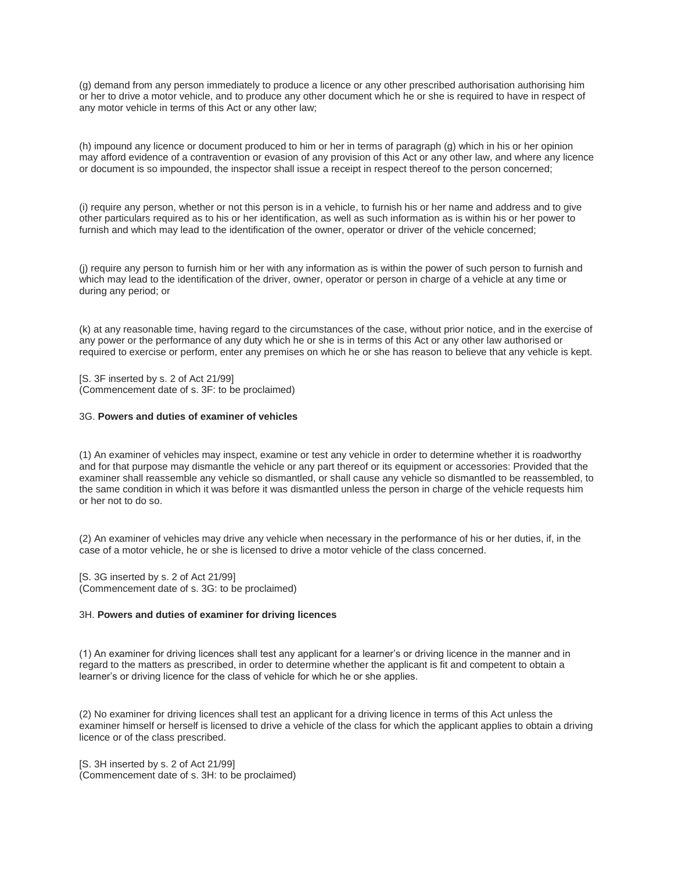(g) demand from any person immediately to produce a licence or any other prescribed authorisation authorising him or her to drive a motor vehicle, and to produce any other document which he or she is required to have in respect of any motor vehicle in terms of this Act or any other law;

(h) impound any licence or document produced to him or her in terms of paragraph (g) which in his or her opinion may afford evidence of a contravention or evasion of any provision of this Act or any other law, and where any licence or document is so impounded, the inspector shall issue a receipt in respect thereof to the person concerned;

(i) require any person, whether or not this person is in a vehicle, to furnish his or her name and address and to give other particulars required as to his or her identification, as well as such information as is within his or her power to furnish and which may lead to the identification of the owner, operator or driver of the vehicle concerned;

(j) require any person to furnish him or her with any information as is within the power of such person to furnish and which may lead to the identification of the driver, owner, operator or person in charge of a vehicle at any time or during any period; or

(k) at any reasonable time, having regard to the circumstances of the case, without prior notice, and in the exercise of any power or the performance of any duty which he or she is in terms of this Act or any other law authorised or required to exercise or perform, enter any premises on which he or she has reason to believe that any vehicle is kept.

[S. 3F inserted by s. 2 of Act 21/99] (Commencement date of s. 3F: to be proclaimed)

# 3G. **Powers and duties of examiner of vehicles**

(1) An examiner of vehicles may inspect, examine or test any vehicle in order to determine whether it is roadworthy and for that purpose may dismantle the vehicle or any part thereof or its equipment or accessories: Provided that the examiner shall reassemble any vehicle so dismantled, or shall cause any vehicle so dismantled to be reassembled, to the same condition in which it was before it was dismantled unless the person in charge of the vehicle requests him or her not to do so.

(2) An examiner of vehicles may drive any vehicle when necessary in the performance of his or her duties, if, in the case of a motor vehicle, he or she is licensed to drive a motor vehicle of the class concerned.

[S. 3G inserted by s. 2 of Act 21/99] (Commencement date of s. 3G: to be proclaimed)

### 3H. **Powers and duties of examiner for driving licences**

(1) An examiner for driving licences shall test any applicant for a learner's or driving licence in the manner and in regard to the matters as prescribed, in order to determine whether the applicant is fit and competent to obtain a learner's or driving licence for the class of vehicle for which he or she applies.

(2) No examiner for driving licences shall test an applicant for a driving licence in terms of this Act unless the examiner himself or herself is licensed to drive a vehicle of the class for which the applicant applies to obtain a driving licence or of the class prescribed.

[S. 3H inserted by s. 2 of Act 21/99] (Commencement date of s. 3H: to be proclaimed)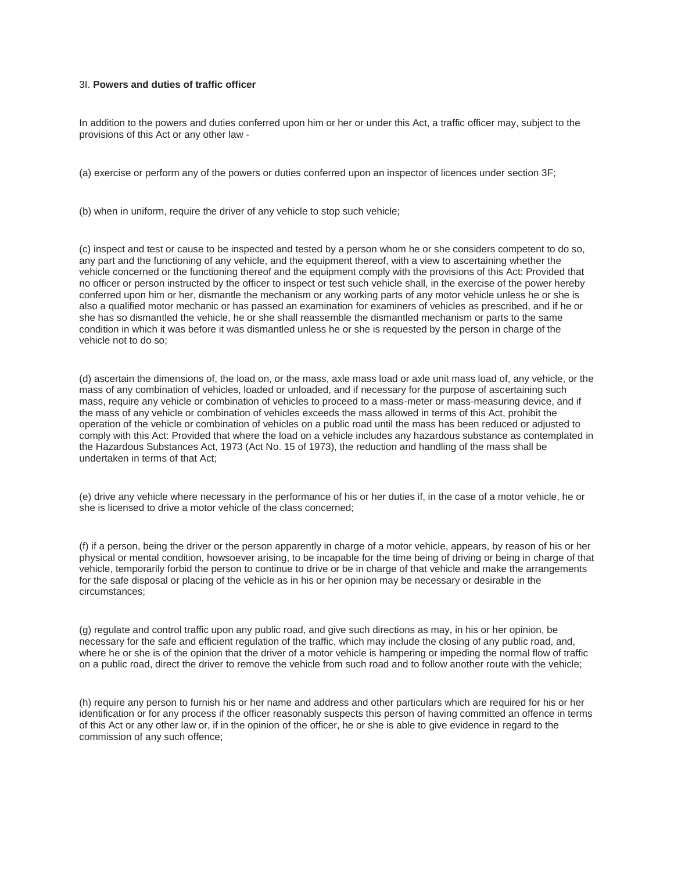# 3I. **Powers and duties of traffic officer**

In addition to the powers and duties conferred upon him or her or under this Act, a traffic officer may, subject to the provisions of this Act or any other law -

(a) exercise or perform any of the powers or duties conferred upon an inspector of licences under section 3F;

(b) when in uniform, require the driver of any vehicle to stop such vehicle;

(c) inspect and test or cause to be inspected and tested by a person whom he or she considers competent to do so, any part and the functioning of any vehicle, and the equipment thereof, with a view to ascertaining whether the vehicle concerned or the functioning thereof and the equipment comply with the provisions of this Act: Provided that no officer or person instructed by the officer to inspect or test such vehicle shall, in the exercise of the power hereby conferred upon him or her, dismantle the mechanism or any working parts of any motor vehicle unless he or she is also a qualified motor mechanic or has passed an examination for examiners of vehicles as prescribed, and if he or she has so dismantled the vehicle, he or she shall reassemble the dismantled mechanism or parts to the same condition in which it was before it was dismantled unless he or she is requested by the person in charge of the vehicle not to do so;

(d) ascertain the dimensions of, the load on, or the mass, axle mass load or axle unit mass load of, any vehicle, or the mass of any combination of vehicles, loaded or unloaded, and if necessary for the purpose of ascertaining such mass, require any vehicle or combination of vehicles to proceed to a mass-meter or mass-measuring device, and if the mass of any vehicle or combination of vehicles exceeds the mass allowed in terms of this Act, prohibit the operation of the vehicle or combination of vehicles on a public road until the mass has been reduced or adjusted to comply with this Act: Provided that where the load on a vehicle includes any hazardous substance as contemplated in the Hazardous Substances Act, 1973 (Act No. 15 of 1973), the reduction and handling of the mass shall be undertaken in terms of that Act;

(e) drive any vehicle where necessary in the performance of his or her duties if, in the case of a motor vehicle, he or she is licensed to drive a motor vehicle of the class concerned;

(f) if a person, being the driver or the person apparently in charge of a motor vehicle, appears, by reason of his or her physical or mental condition, howsoever arising, to be incapable for the time being of driving or being in charge of that vehicle, temporarily forbid the person to continue to drive or be in charge of that vehicle and make the arrangements for the safe disposal or placing of the vehicle as in his or her opinion may be necessary or desirable in the circumstances;

(g) regulate and control traffic upon any public road, and give such directions as may, in his or her opinion, be necessary for the safe and efficient regulation of the traffic, which may include the closing of any public road, and, where he or she is of the opinion that the driver of a motor vehicle is hampering or impeding the normal flow of traffic on a public road, direct the driver to remove the vehicle from such road and to follow another route with the vehicle;

(h) require any person to furnish his or her name and address and other particulars which are required for his or her identification or for any process if the officer reasonably suspects this person of having committed an offence in terms of this Act or any other law or, if in the opinion of the officer, he or she is able to give evidence in regard to the commission of any such offence;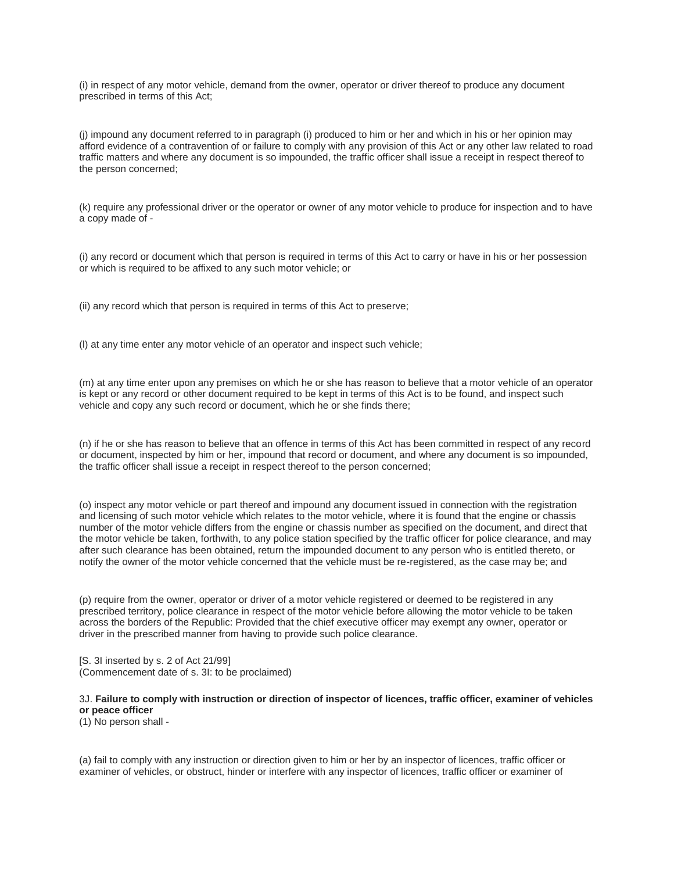(i) in respect of any motor vehicle, demand from the owner, operator or driver thereof to produce any document prescribed in terms of this Act;

(j) impound any document referred to in paragraph (i) produced to him or her and which in his or her opinion may afford evidence of a contravention of or failure to comply with any provision of this Act or any other law related to road traffic matters and where any document is so impounded, the traffic officer shall issue a receipt in respect thereof to the person concerned;

(k) require any professional driver or the operator or owner of any motor vehicle to produce for inspection and to have a copy made of -

(i) any record or document which that person is required in terms of this Act to carry or have in his or her possession or which is required to be affixed to any such motor vehicle; or

(ii) any record which that person is required in terms of this Act to preserve;

(l) at any time enter any motor vehicle of an operator and inspect such vehicle;

(m) at any time enter upon any premises on which he or she has reason to believe that a motor vehicle of an operator is kept or any record or other document required to be kept in terms of this Act is to be found, and inspect such vehicle and copy any such record or document, which he or she finds there;

(n) if he or she has reason to believe that an offence in terms of this Act has been committed in respect of any record or document, inspected by him or her, impound that record or document, and where any document is so impounded, the traffic officer shall issue a receipt in respect thereof to the person concerned;

(o) inspect any motor vehicle or part thereof and impound any document issued in connection with the registration and licensing of such motor vehicle which relates to the motor vehicle, where it is found that the engine or chassis number of the motor vehicle differs from the engine or chassis number as specified on the document, and direct that the motor vehicle be taken, forthwith, to any police station specified by the traffic officer for police clearance, and may after such clearance has been obtained, return the impounded document to any person who is entitled thereto, or notify the owner of the motor vehicle concerned that the vehicle must be re-registered, as the case may be; and

(p) require from the owner, operator or driver of a motor vehicle registered or deemed to be registered in any prescribed territory, police clearance in respect of the motor vehicle before allowing the motor vehicle to be taken across the borders of the Republic: Provided that the chief executive officer may exempt any owner, operator or driver in the prescribed manner from having to provide such police clearance.

[S. 3I inserted by s. 2 of Act 21/99] (Commencement date of s. 3I: to be proclaimed)

# 3J. **Failure to comply with instruction or direction of inspector of licences, traffic officer, examiner of vehicles or peace officer**

(1) No person shall -

(a) fail to comply with any instruction or direction given to him or her by an inspector of licences, traffic officer or examiner of vehicles, or obstruct, hinder or interfere with any inspector of licences, traffic officer or examiner of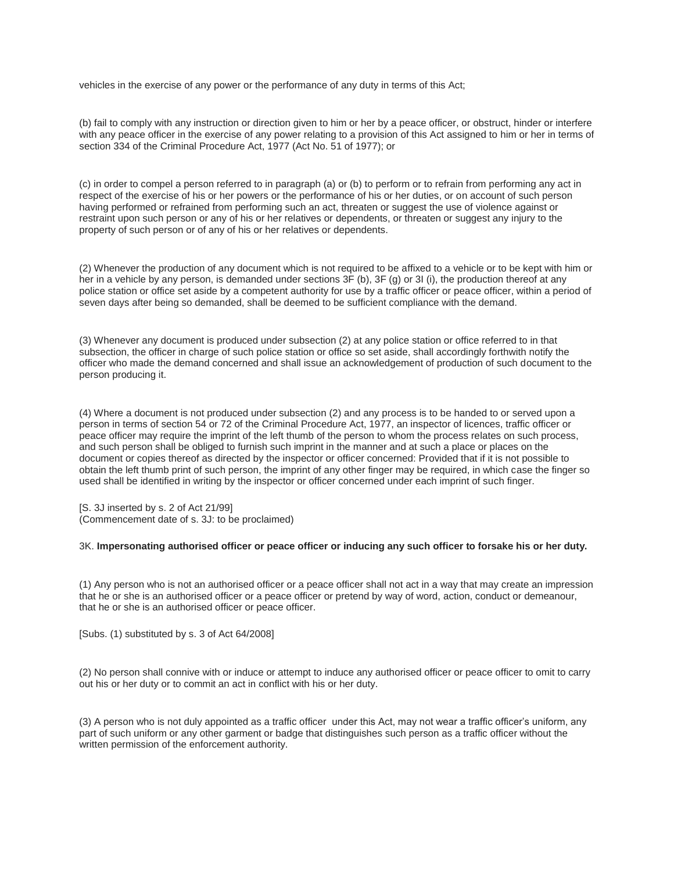vehicles in the exercise of any power or the performance of any duty in terms of this Act;

(b) fail to comply with any instruction or direction given to him or her by a peace officer, or obstruct, hinder or interfere with any peace officer in the exercise of any power relating to a provision of this Act assigned to him or her in terms of section 334 of the Criminal Procedure Act, 1977 (Act No. 51 of 1977); or

(c) in order to compel a person referred to in paragraph (a) or (b) to perform or to refrain from performing any act in respect of the exercise of his or her powers or the performance of his or her duties, or on account of such person having performed or refrained from performing such an act, threaten or suggest the use of violence against or restraint upon such person or any of his or her relatives or dependents, or threaten or suggest any injury to the property of such person or of any of his or her relatives or dependents.

(2) Whenever the production of any document which is not required to be affixed to a vehicle or to be kept with him or her in a vehicle by any person, is demanded under sections 3F (b), 3F (g) or 3I (i), the production thereof at any police station or office set aside by a competent authority for use by a traffic officer or peace officer, within a period of seven days after being so demanded, shall be deemed to be sufficient compliance with the demand.

(3) Whenever any document is produced under subsection (2) at any police station or office referred to in that subsection, the officer in charge of such police station or office so set aside, shall accordingly forthwith notify the officer who made the demand concerned and shall issue an acknowledgement of production of such document to the person producing it.

(4) Where a document is not produced under subsection (2) and any process is to be handed to or served upon a person in terms of section 54 or 72 of the Criminal Procedure Act, 1977, an inspector of licences, traffic officer or peace officer may require the imprint of the left thumb of the person to whom the process relates on such process, and such person shall be obliged to furnish such imprint in the manner and at such a place or places on the document or copies thereof as directed by the inspector or officer concerned: Provided that if it is not possible to obtain the left thumb print of such person, the imprint of any other finger may be required, in which case the finger so used shall be identified in writing by the inspector or officer concerned under each imprint of such finger.

[S. 3J inserted by s. 2 of Act 21/99] (Commencement date of s. 3J: to be proclaimed)

# 3K. **Impersonating authorised officer or peace officer or inducing any such officer to forsake his or her duty.**

(1) Any person who is not an authorised officer or a peace officer shall not act in a way that may create an impression that he or she is an authorised officer or a peace officer or pretend by way of word, action, conduct or demeanour, that he or she is an authorised officer or peace officer.

[Subs. (1) substituted by s. 3 of Act 64/2008]

(2) No person shall connive with or induce or attempt to induce any authorised officer or peace officer to omit to carry out his or her duty or to commit an act in conflict with his or her duty.

(3) A person who is not duly appointed as a traffic officer under this Act, may not wear a traffic officer's uniform, any part of such uniform or any other garment or badge that distinguishes such person as a traffic officer without the written permission of the enforcement authority.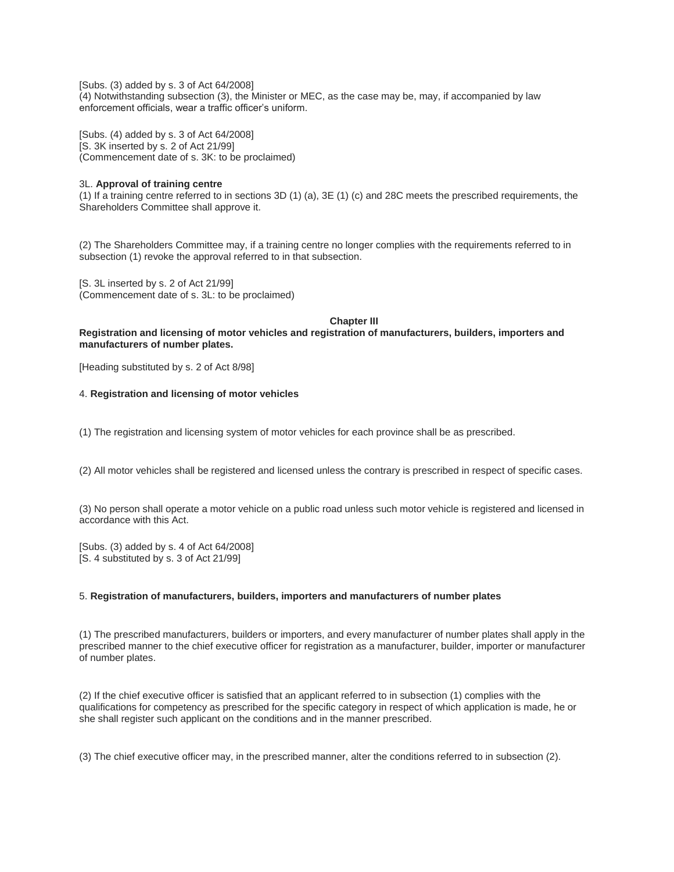[Subs. (3) added by s. 3 of Act 64/2008] (4) Notwithstanding subsection (3), the Minister or MEC, as the case may be, may, if accompanied by law enforcement officials, wear a traffic officer's uniform.

[Subs. (4) added by s. 3 of Act 64/2008] [S. 3K inserted by s. 2 of Act 21/99] (Commencement date of s. 3K: to be proclaimed)

# 3L. **Approval of training centre**

(1) If a training centre referred to in sections 3D (1) (a), 3E (1) (c) and 28C meets the prescribed requirements, the Shareholders Committee shall approve it.

(2) The Shareholders Committee may, if a training centre no longer complies with the requirements referred to in subsection (1) revoke the approval referred to in that subsection.

[S. 3L inserted by s. 2 of Act 21/99] (Commencement date of s. 3L: to be proclaimed)

 **Chapter III**

**Registration and licensing of motor vehicles and registration of manufacturers, builders, importers and manufacturers of number plates.**

[Heading substituted by s. 2 of Act 8/98]

# 4. **Registration and licensing of motor vehicles**

(1) The registration and licensing system of motor vehicles for each province shall be as prescribed.

(2) All motor vehicles shall be registered and licensed unless the contrary is prescribed in respect of specific cases.

(3) No person shall operate a motor vehicle on a public road unless such motor vehicle is registered and licensed in accordance with this Act.

[Subs. (3) added by s. 4 of Act 64/2008] [S. 4 substituted by s. 3 of Act 21/99]

# 5. **Registration of manufacturers, builders, importers and manufacturers of number plates**

(1) The prescribed manufacturers, builders or importers, and every manufacturer of number plates shall apply in the prescribed manner to the chief executive officer for registration as a manufacturer, builder, importer or manufacturer of number plates.

(2) If the chief executive officer is satisfied that an applicant referred to in subsection (1) complies with the qualifications for competency as prescribed for the specific category in respect of which application is made, he or she shall register such applicant on the conditions and in the manner prescribed.

(3) The chief executive officer may, in the prescribed manner, alter the conditions referred to in subsection (2).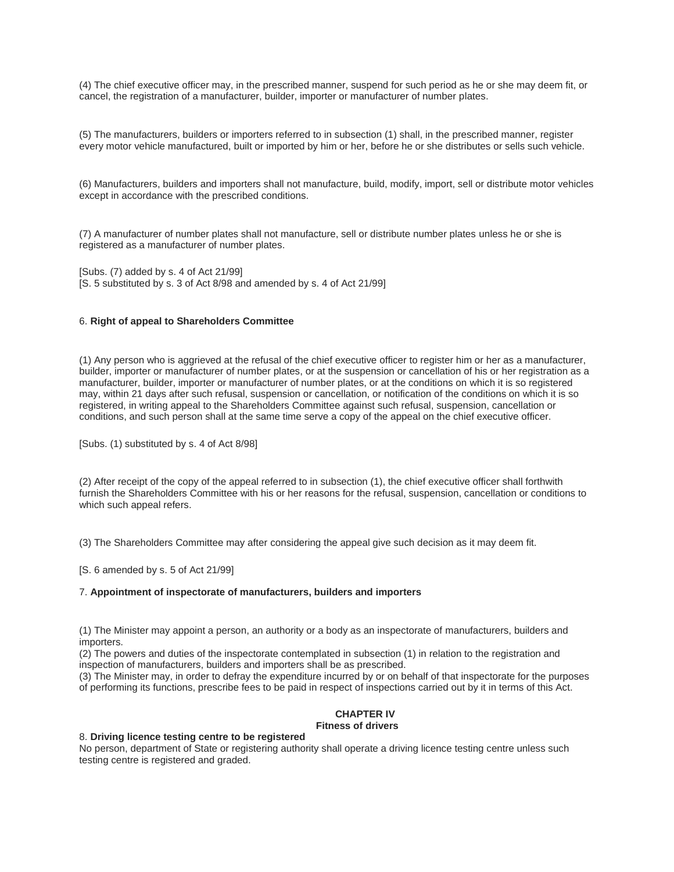(4) The chief executive officer may, in the prescribed manner, suspend for such period as he or she may deem fit, or cancel, the registration of a manufacturer, builder, importer or manufacturer of number plates.

(5) The manufacturers, builders or importers referred to in subsection (1) shall, in the prescribed manner, register every motor vehicle manufactured, built or imported by him or her, before he or she distributes or sells such vehicle.

(6) Manufacturers, builders and importers shall not manufacture, build, modify, import, sell or distribute motor vehicles except in accordance with the prescribed conditions.

(7) A manufacturer of number plates shall not manufacture, sell or distribute number plates unless he or she is registered as a manufacturer of number plates.

[Subs. (7) added by s. 4 of Act 21/99] [S. 5 substituted by s. 3 of Act 8/98 and amended by s. 4 of Act 21/99]

## 6. **Right of appeal to Shareholders Committee**

(1) Any person who is aggrieved at the refusal of the chief executive officer to register him or her as a manufacturer, builder, importer or manufacturer of number plates, or at the suspension or cancellation of his or her registration as a manufacturer, builder, importer or manufacturer of number plates, or at the conditions on which it is so registered may, within 21 days after such refusal, suspension or cancellation, or notification of the conditions on which it is so registered, in writing appeal to the Shareholders Committee against such refusal, suspension, cancellation or conditions, and such person shall at the same time serve a copy of the appeal on the chief executive officer.

[Subs. (1) substituted by s. 4 of Act 8/98]

(2) After receipt of the copy of the appeal referred to in subsection (1), the chief executive officer shall forthwith furnish the Shareholders Committee with his or her reasons for the refusal, suspension, cancellation or conditions to which such appeal refers.

(3) The Shareholders Committee may after considering the appeal give such decision as it may deem fit.

[S. 6 amended by s. 5 of Act 21/99]

### 7. **Appointment of inspectorate of manufacturers, builders and importers**

(1) The Minister may appoint a person, an authority or a body as an inspectorate of manufacturers, builders and importers.

(2) The powers and duties of the inspectorate contemplated in subsection (1) in relation to the registration and inspection of manufacturers, builders and importers shall be as prescribed.

(3) The Minister may, in order to defray the expenditure incurred by or on behalf of that inspectorate for the purposes of performing its functions, prescribe fees to be paid in respect of inspections carried out by it in terms of this Act.

# **CHAPTER IV**

# **Fitness of drivers**

#### 8. **Driving licence testing centre to be registered**

No person, department of State or registering authority shall operate a driving licence testing centre unless such testing centre is registered and graded.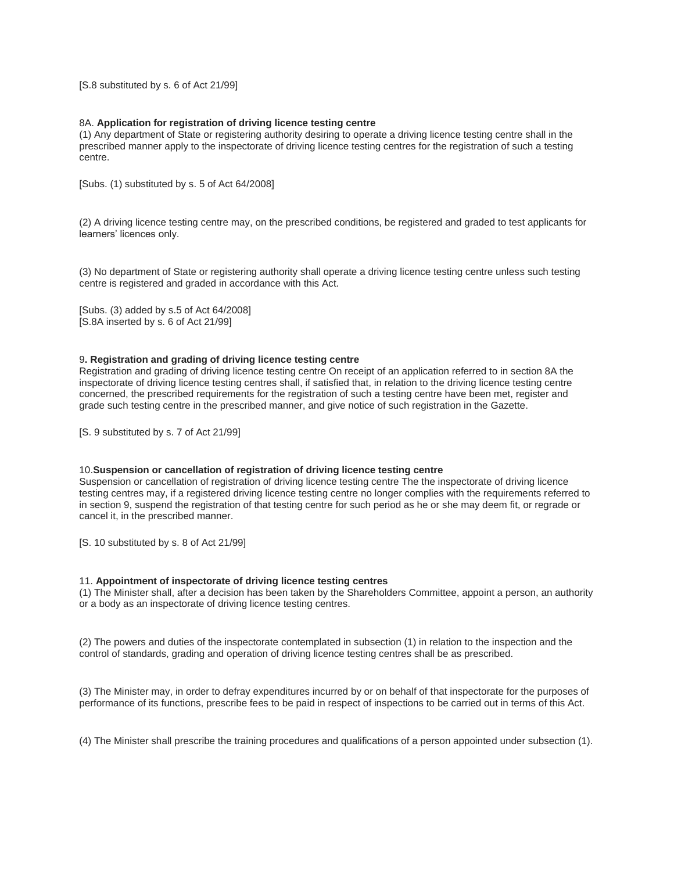[S.8 substituted by s. 6 of Act 21/99]

## 8A. **Application for registration of driving licence testing centre**

(1) Any department of State or registering authority desiring to operate a driving licence testing centre shall in the prescribed manner apply to the inspectorate of driving licence testing centres for the registration of such a testing centre.

[Subs. (1) substituted by s. 5 of Act 64/2008]

(2) A driving licence testing centre may, on the prescribed conditions, be registered and graded to test applicants for learners' licences only.

(3) No department of State or registering authority shall operate a driving licence testing centre unless such testing centre is registered and graded in accordance with this Act.

[Subs. (3) added by s.5 of Act 64/2008] [S.8A inserted by s. 6 of Act 21/99]

#### 9**. Registration and grading of driving licence testing centre**

Registration and grading of driving licence testing centre On receipt of an application referred to in section 8A the inspectorate of driving licence testing centres shall, if satisfied that, in relation to the driving licence testing centre concerned, the prescribed requirements for the registration of such a testing centre have been met, register and grade such testing centre in the prescribed manner, and give notice of such registration in the Gazette.

[S. 9 substituted by s. 7 of Act 21/99]

#### 10.**Suspension or cancellation of registration of driving licence testing centre**

Suspension or cancellation of registration of driving licence testing centre The the inspectorate of driving licence testing centres may, if a registered driving licence testing centre no longer complies with the requirements referred to in section 9, suspend the registration of that testing centre for such period as he or she may deem fit, or regrade or cancel it, in the prescribed manner.

[S. 10 substituted by s. 8 of Act 21/99]

#### 11. **Appointment of inspectorate of driving licence testing centres**

(1) The Minister shall, after a decision has been taken by the Shareholders Committee, appoint a person, an authority or a body as an inspectorate of driving licence testing centres.

(2) The powers and duties of the inspectorate contemplated in subsection (1) in relation to the inspection and the control of standards, grading and operation of driving licence testing centres shall be as prescribed.

(3) The Minister may, in order to defray expenditures incurred by or on behalf of that inspectorate for the purposes of performance of its functions, prescribe fees to be paid in respect of inspections to be carried out in terms of this Act.

(4) The Minister shall prescribe the training procedures and qualifications of a person appointed under subsection (1).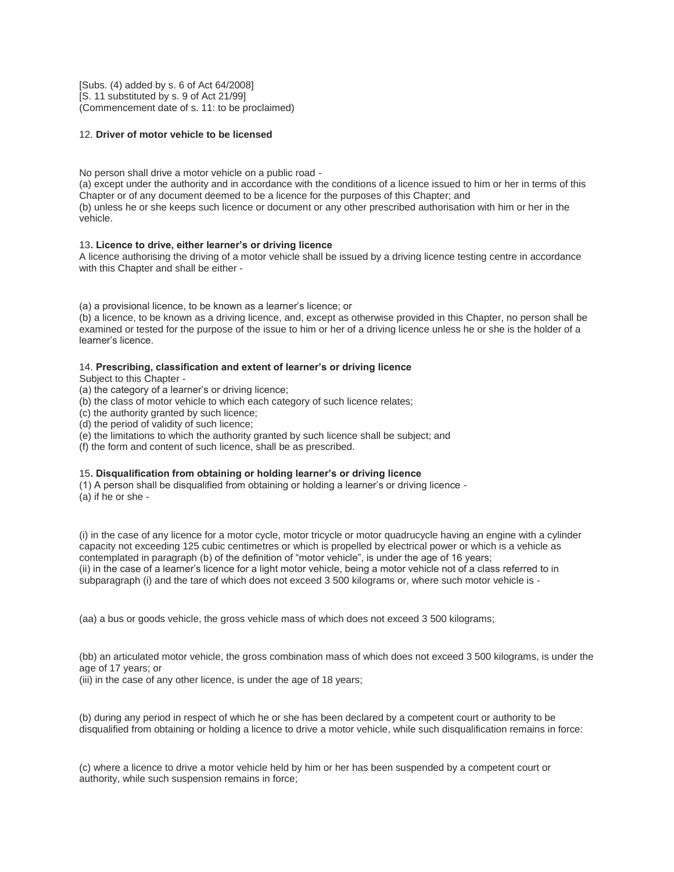[Subs. (4) added by s. 6 of Act 64/2008] [S. 11 substituted by s. 9 of Act 21/99] (Commencement date of s. 11: to be proclaimed)

# 12. **Driver of motor vehicle to be licensed**

No person shall drive a motor vehicle on a public road -

(a) except under the authority and in accordance with the conditions of a licence issued to him or her in terms of this Chapter or of any document deemed to be a licence for the purposes of this Chapter; and

(b) unless he or she keeps such licence or document or any other prescribed authorisation with him or her in the vehicle.

### 13**. Licence to drive, either learner's or driving licence**

A licence authorising the driving of a motor vehicle shall be issued by a driving licence testing centre in accordance with this Chapter and shall be either -

(a) a provisional licence, to be known as a learner's licence; or

(b) a licence, to be known as a driving licence, and, except as otherwise provided in this Chapter, no person shall be examined or tested for the purpose of the issue to him or her of a driving licence unless he or she is the holder of a learner's licence.

### 14. **Prescribing, classification and extent of learner's or driving licence**

Subject to this Chapter -

(a) the category of a learner's or driving licence;

- (b) the class of motor vehicle to which each category of such licence relates;
- (c) the authority granted by such licence;
- (d) the period of validity of such licence;
- (e) the limitations to which the authority granted by such licence shall be subject; and

(f) the form and content of such licence, shall be as prescribed.

#### 15**. Disqualification from obtaining or holding learner's or driving licence**

(1) A person shall be disqualified from obtaining or holding a learner's or driving licence -

(a) if he or she -

(i) in the case of any licence for a motor cycle, motor tricycle or motor quadrucycle having an engine with a cylinder capacity not exceeding 125 cubic centimetres or which is propelled by electrical power or which is a vehicle as contemplated in paragraph (b) of the definition of "motor vehicle", is under the age of 16 years; (ii) in the case of a learner's licence for a light motor vehicle, being a motor vehicle not of a class referred to in subparagraph (i) and the tare of which does not exceed 3 500 kilograms or, where such motor vehicle is -

(aa) a bus or goods vehicle, the gross vehicle mass of which does not exceed 3 500 kilograms;

(bb) an articulated motor vehicle, the gross combination mass of which does not exceed 3 500 kilograms, is under the age of 17 years; or

(iii) in the case of any other licence, is under the age of 18 years;

(b) during any period in respect of which he or she has been declared by a competent court or authority to be disqualified from obtaining or holding a licence to drive a motor vehicle, while such disqualification remains in force:

(c) where a licence to drive a motor vehicle held by him or her has been suspended by a competent court or authority, while such suspension remains in force;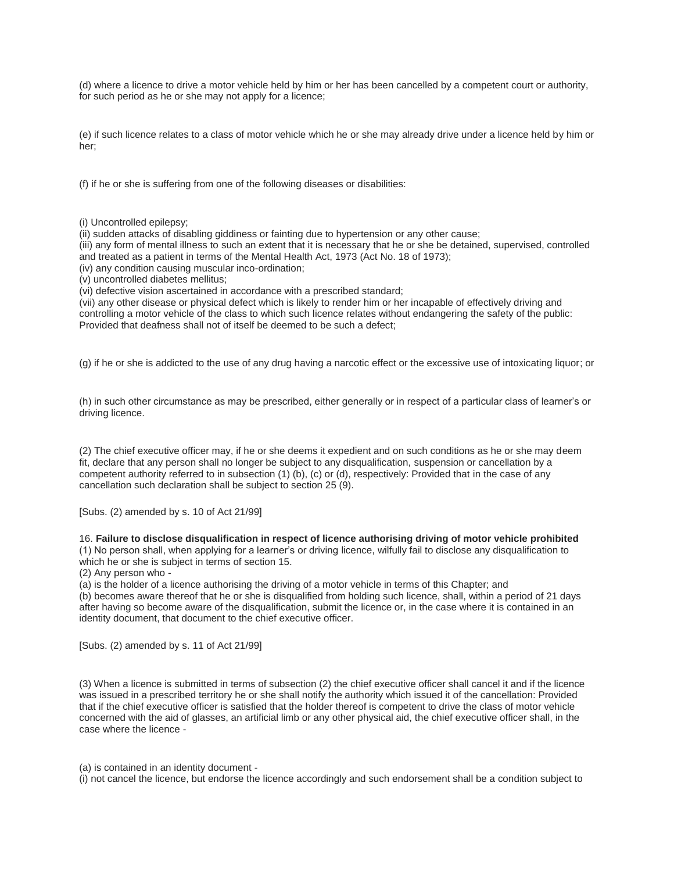(d) where a licence to drive a motor vehicle held by him or her has been cancelled by a competent court or authority, for such period as he or she may not apply for a licence;

(e) if such licence relates to a class of motor vehicle which he or she may already drive under a licence held by him or her;

(f) if he or she is suffering from one of the following diseases or disabilities:

(i) Uncontrolled epilepsy;

(ii) sudden attacks of disabling giddiness or fainting due to hypertension or any other cause;

(iii) any form of mental illness to such an extent that it is necessary that he or she be detained, supervised, controlled and treated as a patient in terms of the Mental Health Act, 1973 (Act No. 18 of 1973);

(iv) any condition causing muscular inco-ordination;

(v) uncontrolled diabetes mellitus;

(vi) defective vision ascertained in accordance with a prescribed standard;

(vii) any other disease or physical defect which is likely to render him or her incapable of effectively driving and controlling a motor vehicle of the class to which such licence relates without endangering the safety of the public: Provided that deafness shall not of itself be deemed to be such a defect;

(g) if he or she is addicted to the use of any drug having a narcotic effect or the excessive use of intoxicating liquor; or

(h) in such other circumstance as may be prescribed, either generally or in respect of a particular class of learner's or driving licence.

(2) The chief executive officer may, if he or she deems it expedient and on such conditions as he or she may deem fit, declare that any person shall no longer be subject to any disqualification, suspension or cancellation by a competent authority referred to in subsection (1) (b), (c) or (d), respectively: Provided that in the case of any cancellation such declaration shall be subject to section 25 (9).

[Subs. (2) amended by s. 10 of Act 21/99]

#### 16. **Failure to disclose disqualification in respect of licence authorising driving of motor vehicle prohibited**

(1) No person shall, when applying for a learner's or driving licence, wilfully fail to disclose any disqualification to which he or she is subject in terms of section 15.

(2) Any person who -

(a) is the holder of a licence authorising the driving of a motor vehicle in terms of this Chapter; and

(b) becomes aware thereof that he or she is disqualified from holding such licence, shall, within a period of 21 days after having so become aware of the disqualification, submit the licence or, in the case where it is contained in an identity document, that document to the chief executive officer.

[Subs. (2) amended by s. 11 of Act 21/99]

(3) When a licence is submitted in terms of subsection (2) the chief executive officer shall cancel it and if the licence was issued in a prescribed territory he or she shall notify the authority which issued it of the cancellation: Provided that if the chief executive officer is satisfied that the holder thereof is competent to drive the class of motor vehicle concerned with the aid of glasses, an artificial limb or any other physical aid, the chief executive officer shall, in the case where the licence -

(a) is contained in an identity document -

(i) not cancel the licence, but endorse the licence accordingly and such endorsement shall be a condition subject to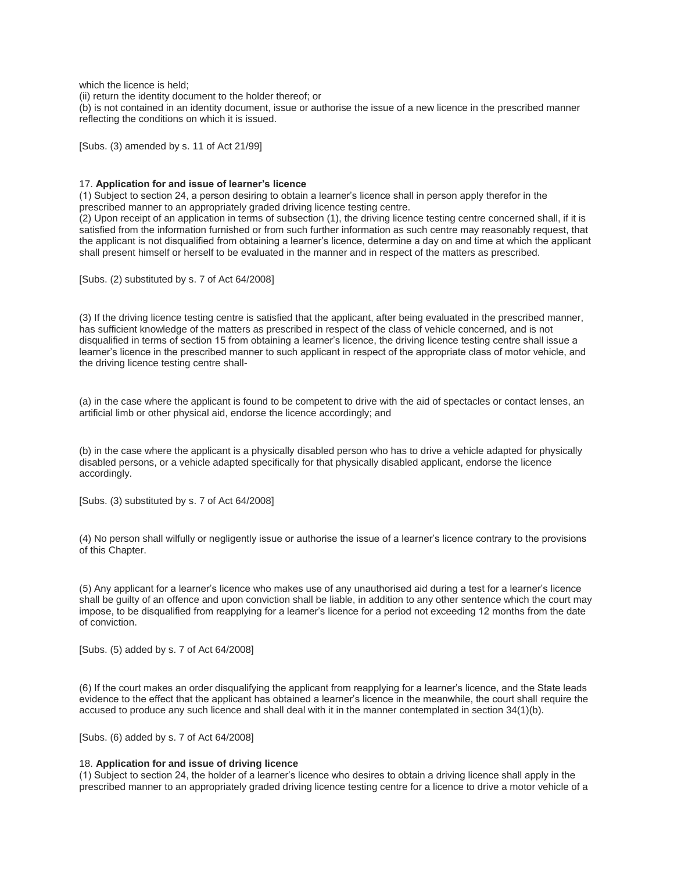which the licence is held;

(ii) return the identity document to the holder thereof; or

(b) is not contained in an identity document, issue or authorise the issue of a new licence in the prescribed manner reflecting the conditions on which it is issued.

[Subs. (3) amended by s. 11 of Act 21/99]

#### 17. **Application for and issue of learner's licence**

(1) Subject to section 24, a person desiring to obtain a learner's licence shall in person apply therefor in the prescribed manner to an appropriately graded driving licence testing centre.

(2) Upon receipt of an application in terms of subsection (1), the driving licence testing centre concerned shall, if it is satisfied from the information furnished or from such further information as such centre may reasonably request, that the applicant is not disqualified from obtaining a learner's licence, determine a day on and time at which the applicant shall present himself or herself to be evaluated in the manner and in respect of the matters as prescribed.

[Subs. (2) substituted by s. 7 of Act 64/2008]

(3) If the driving licence testing centre is satisfied that the applicant, after being evaluated in the prescribed manner, has sufficient knowledge of the matters as prescribed in respect of the class of vehicle concerned, and is not disqualified in terms of section 15 from obtaining a learner's licence, the driving licence testing centre shall issue a learner's licence in the prescribed manner to such applicant in respect of the appropriate class of motor vehicle, and the driving licence testing centre shall-

(a) in the case where the applicant is found to be competent to drive with the aid of spectacles or contact lenses, an artificial limb or other physical aid, endorse the licence accordingly; and

(b) in the case where the applicant is a physically disabled person who has to drive a vehicle adapted for physically disabled persons, or a vehicle adapted specifically for that physically disabled applicant, endorse the licence accordingly.

[Subs. (3) substituted by s. 7 of Act 64/2008]

(4) No person shall wilfully or negligently issue or authorise the issue of a learner's licence contrary to the provisions of this Chapter.

(5) Any applicant for a learner's licence who makes use of any unauthorised aid during a test for a learner's licence shall be guilty of an offence and upon conviction shall be liable, in addition to any other sentence which the court may impose, to be disqualified from reapplying for a learner's licence for a period not exceeding 12 months from the date of conviction.

[Subs. (5) added by s. 7 of Act 64/2008]

(6) If the court makes an order disqualifying the applicant from reapplying for a learner's licence, and the State leads evidence to the effect that the applicant has obtained a learner's licence in the meanwhile, the court shall require the accused to produce any such licence and shall deal with it in the manner contemplated in section 34(1)(b).

[Subs. (6) added by s. 7 of Act 64/2008]

#### 18. **Application for and issue of driving licence**

(1) Subject to section 24, the holder of a learner's licence who desires to obtain a driving licence shall apply in the prescribed manner to an appropriately graded driving licence testing centre for a licence to drive a motor vehicle of a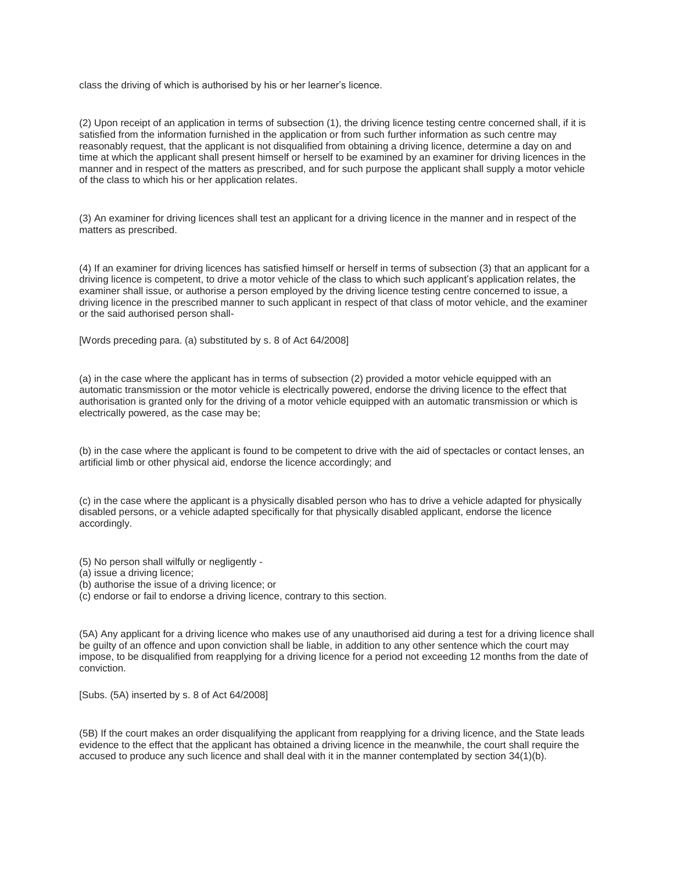class the driving of which is authorised by his or her learner's licence.

(2) Upon receipt of an application in terms of subsection (1), the driving licence testing centre concerned shall, if it is satisfied from the information furnished in the application or from such further information as such centre may reasonably request, that the applicant is not disqualified from obtaining a driving licence, determine a day on and time at which the applicant shall present himself or herself to be examined by an examiner for driving licences in the manner and in respect of the matters as prescribed, and for such purpose the applicant shall supply a motor vehicle of the class to which his or her application relates.

(3) An examiner for driving licences shall test an applicant for a driving licence in the manner and in respect of the matters as prescribed.

(4) If an examiner for driving licences has satisfied himself or herself in terms of subsection (3) that an applicant for a driving licence is competent, to drive a motor vehicle of the class to which such applicant's application relates, the examiner shall issue, or authorise a person employed by the driving licence testing centre concerned to issue, a driving licence in the prescribed manner to such applicant in respect of that class of motor vehicle, and the examiner or the said authorised person shall-

[Words preceding para. (a) substituted by s. 8 of Act 64/2008]

(a) in the case where the applicant has in terms of subsection (2) provided a motor vehicle equipped with an automatic transmission or the motor vehicle is electrically powered, endorse the driving licence to the effect that authorisation is granted only for the driving of a motor vehicle equipped with an automatic transmission or which is electrically powered, as the case may be;

(b) in the case where the applicant is found to be competent to drive with the aid of spectacles or contact lenses, an artificial limb or other physical aid, endorse the licence accordingly; and

(c) in the case where the applicant is a physically disabled person who has to drive a vehicle adapted for physically disabled persons, or a vehicle adapted specifically for that physically disabled applicant, endorse the licence accordingly.

- (5) No person shall wilfully or negligently -
- (a) issue a driving licence;
- (b) authorise the issue of a driving licence; or
- (c) endorse or fail to endorse a driving licence, contrary to this section.

(5A) Any applicant for a driving licence who makes use of any unauthorised aid during a test for a driving licence shall be guilty of an offence and upon conviction shall be liable, in addition to any other sentence which the court may impose, to be disqualified from reapplying for a driving licence for a period not exceeding 12 months from the date of conviction.

[Subs. (5A) inserted by s. 8 of Act 64/2008]

(5B) If the court makes an order disqualifying the applicant from reapplying for a driving licence, and the State leads evidence to the effect that the applicant has obtained a driving licence in the meanwhile, the court shall require the accused to produce any such licence and shall deal with it in the manner contemplated by section 34(1)(b).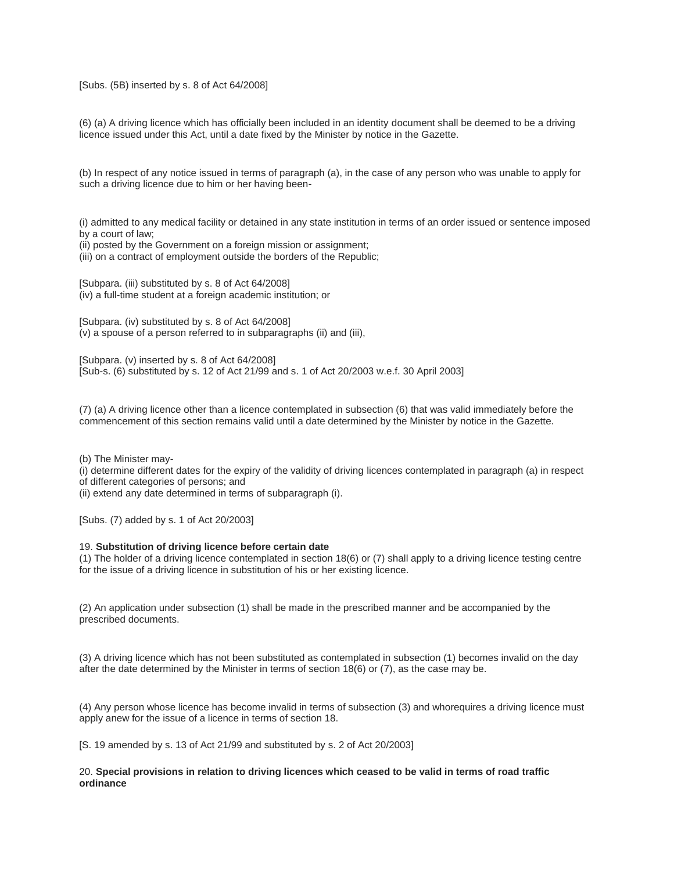### [Subs. (5B) inserted by s. 8 of Act 64/2008]

(6) (a) A driving licence which has officially been included in an identity document shall be deemed to be a driving licence issued under this Act, until a date fixed by the Minister by notice in the Gazette.

(b) In respect of any notice issued in terms of paragraph (a), in the case of any person who was unable to apply for such a driving licence due to him or her having been-

(i) admitted to any medical facility or detained in any state institution in terms of an order issued or sentence imposed by a court of law;

(ii) posted by the Government on a foreign mission or assignment;

(iii) on a contract of employment outside the borders of the Republic;

[Subpara. (iii) substituted by s. 8 of Act 64/2008] (iv) a full-time student at a foreign academic institution; or

[Subpara. (iv) substituted by s. 8 of Act 64/2008] (v) a spouse of a person referred to in subparagraphs (ii) and (iii),

[Subpara. (v) inserted by s. 8 of Act 64/2008] [Sub-s. (6) substituted by s. 12 of Act 21/99 and s. 1 of Act 20/2003 w.e.f. 30 April 2003]

(7) (a) A driving licence other than a licence contemplated in subsection (6) that was valid immediately before the commencement of this section remains valid until a date determined by the Minister by notice in the Gazette.

(b) The Minister may-

(i) determine different dates for the expiry of the validity of driving licences contemplated in paragraph (a) in respect of different categories of persons; and

(ii) extend any date determined in terms of subparagraph (i).

[Subs. (7) added by s. 1 of Act 20/2003]

#### 19. **Substitution of driving licence before certain date**

(1) The holder of a driving licence contemplated in section 18(6) or (7) shall apply to a driving licence testing centre for the issue of a driving licence in substitution of his or her existing licence.

(2) An application under subsection (1) shall be made in the prescribed manner and be accompanied by the prescribed documents.

(3) A driving licence which has not been substituted as contemplated in subsection (1) becomes invalid on the day after the date determined by the Minister in terms of section 18(6) or (7), as the case may be.

(4) Any person whose licence has become invalid in terms of subsection (3) and whorequires a driving licence must apply anew for the issue of a licence in terms of section 18.

[S. 19 amended by s. 13 of Act 21/99 and substituted by s. 2 of Act 20/2003]

### 20. **Special provisions in relation to driving licences which ceased to be valid in terms of road traffic ordinance**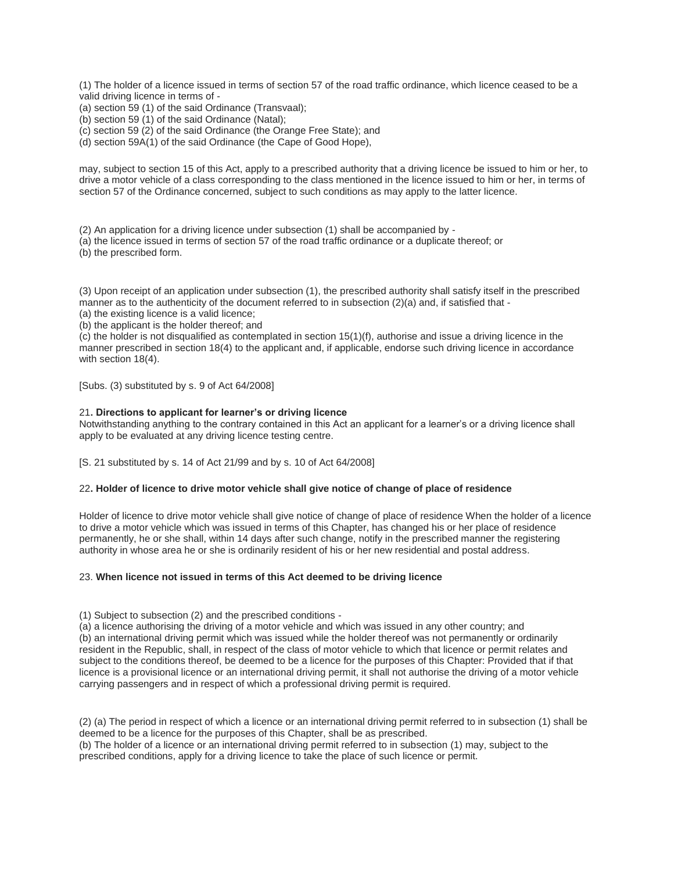(1) The holder of a licence issued in terms of section 57 of the road traffic ordinance, which licence ceased to be a valid driving licence in terms of -

(a) section 59 (1) of the said Ordinance (Transvaal);

(b) section 59 (1) of the said Ordinance (Natal);

(c) section 59 (2) of the said Ordinance (the Orange Free State); and

(d) section 59A(1) of the said Ordinance (the Cape of Good Hope),

may, subject to section 15 of this Act, apply to a prescribed authority that a driving licence be issued to him or her, to drive a motor vehicle of a class corresponding to the class mentioned in the licence issued to him or her, in terms of section 57 of the Ordinance concerned, subject to such conditions as may apply to the latter licence.

(2) An application for a driving licence under subsection (1) shall be accompanied by -

(a) the licence issued in terms of section 57 of the road traffic ordinance or a duplicate thereof; or

(b) the prescribed form.

(3) Upon receipt of an application under subsection (1), the prescribed authority shall satisfy itself in the prescribed manner as to the authenticity of the document referred to in subsection (2)(a) and, if satisfied that -

(a) the existing licence is a valid licence;

(b) the applicant is the holder thereof; and

(c) the holder is not disqualified as contemplated in section 15(1)(f), authorise and issue a driving licence in the manner prescribed in section 18(4) to the applicant and, if applicable, endorse such driving licence in accordance with section 18(4).

[Subs. (3) substituted by s. 9 of Act 64/2008]

#### 21**. Directions to applicant for learner's or driving licence**

Notwithstanding anything to the contrary contained in this Act an applicant for a learner's or a driving licence shall apply to be evaluated at any driving licence testing centre.

[S. 21 substituted by s. 14 of Act 21/99 and by s. 10 of Act 64/2008]

### 22**. Holder of licence to drive motor vehicle shall give notice of change of place of residence**

Holder of licence to drive motor vehicle shall give notice of change of place of residence When the holder of a licence to drive a motor vehicle which was issued in terms of this Chapter, has changed his or her place of residence permanently, he or she shall, within 14 days after such change, notify in the prescribed manner the registering authority in whose area he or she is ordinarily resident of his or her new residential and postal address.

#### 23. **When licence not issued in terms of this Act deemed to be driving licence**

(1) Subject to subsection (2) and the prescribed conditions -

(a) a licence authorising the driving of a motor vehicle and which was issued in any other country; and (b) an international driving permit which was issued while the holder thereof was not permanently or ordinarily resident in the Republic, shall, in respect of the class of motor vehicle to which that licence or permit relates and subject to the conditions thereof, be deemed to be a licence for the purposes of this Chapter: Provided that if that licence is a provisional licence or an international driving permit, it shall not authorise the driving of a motor vehicle carrying passengers and in respect of which a professional driving permit is required.

(2) (a) The period in respect of which a licence or an international driving permit referred to in subsection (1) shall be deemed to be a licence for the purposes of this Chapter, shall be as prescribed. (b) The holder of a licence or an international driving permit referred to in subsection (1) may, subject to the prescribed conditions, apply for a driving licence to take the place of such licence or permit.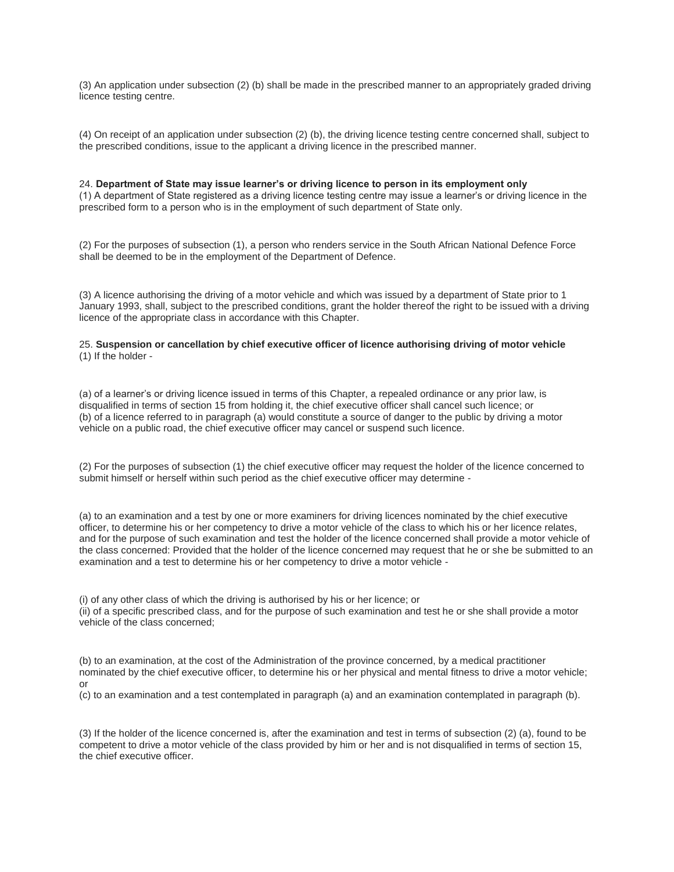(3) An application under subsection (2) (b) shall be made in the prescribed manner to an appropriately graded driving licence testing centre.

(4) On receipt of an application under subsection (2) (b), the driving licence testing centre concerned shall, subject to the prescribed conditions, issue to the applicant a driving licence in the prescribed manner.

24. **Department of State may issue learner's or driving licence to person in its employment only** (1) A department of State registered as a driving licence testing centre may issue a learner's or driving licence in the prescribed form to a person who is in the employment of such department of State only.

(2) For the purposes of subsection (1), a person who renders service in the South African National Defence Force shall be deemed to be in the employment of the Department of Defence.

(3) A licence authorising the driving of a motor vehicle and which was issued by a department of State prior to 1 January 1993, shall, subject to the prescribed conditions, grant the holder thereof the right to be issued with a driving licence of the appropriate class in accordance with this Chapter.

# 25. **Suspension or cancellation by chief executive officer of licence authorising driving of motor vehicle** (1) If the holder -

(a) of a learner's or driving licence issued in terms of this Chapter, a repealed ordinance or any prior law, is disqualified in terms of section 15 from holding it, the chief executive officer shall cancel such licence; or (b) of a licence referred to in paragraph (a) would constitute a source of danger to the public by driving a motor vehicle on a public road, the chief executive officer may cancel or suspend such licence.

(2) For the purposes of subsection (1) the chief executive officer may request the holder of the licence concerned to submit himself or herself within such period as the chief executive officer may determine -

(a) to an examination and a test by one or more examiners for driving licences nominated by the chief executive officer, to determine his or her competency to drive a motor vehicle of the class to which his or her licence relates, and for the purpose of such examination and test the holder of the licence concerned shall provide a motor vehicle of the class concerned: Provided that the holder of the licence concerned may request that he or she be submitted to an examination and a test to determine his or her competency to drive a motor vehicle -

(i) of any other class of which the driving is authorised by his or her licence; or (ii) of a specific prescribed class, and for the purpose of such examination and test he or she shall provide a motor vehicle of the class concerned;

(b) to an examination, at the cost of the Administration of the province concerned, by a medical practitioner nominated by the chief executive officer, to determine his or her physical and mental fitness to drive a motor vehicle; or

(c) to an examination and a test contemplated in paragraph (a) and an examination contemplated in paragraph (b).

(3) If the holder of the licence concerned is, after the examination and test in terms of subsection (2) (a), found to be competent to drive a motor vehicle of the class provided by him or her and is not disqualified in terms of section 15, the chief executive officer.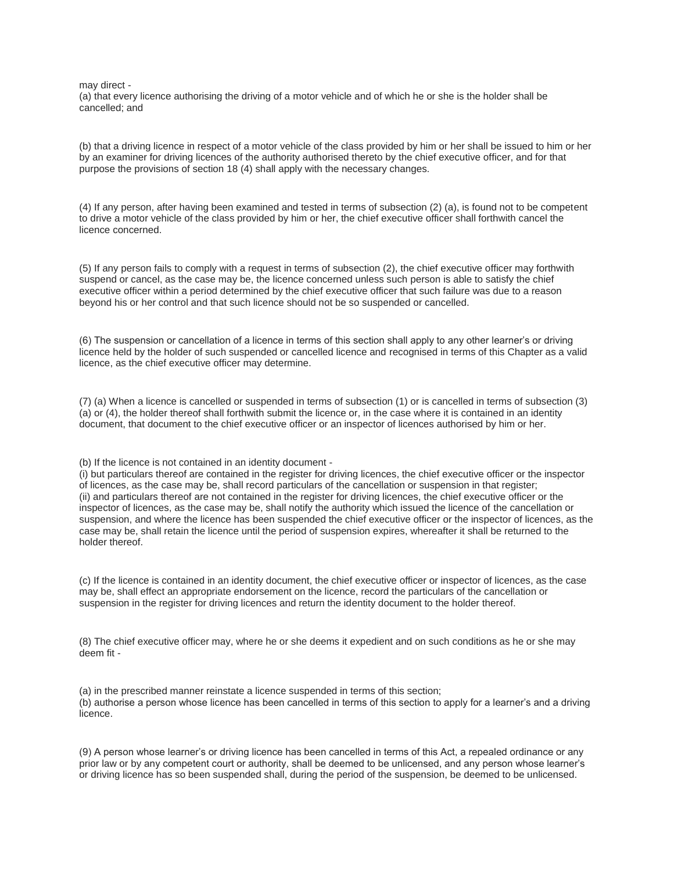may direct -

(a) that every licence authorising the driving of a motor vehicle and of which he or she is the holder shall be cancelled; and

(b) that a driving licence in respect of a motor vehicle of the class provided by him or her shall be issued to him or her by an examiner for driving licences of the authority authorised thereto by the chief executive officer, and for that purpose the provisions of section 18 (4) shall apply with the necessary changes.

(4) If any person, after having been examined and tested in terms of subsection (2) (a), is found not to be competent to drive a motor vehicle of the class provided by him or her, the chief executive officer shall forthwith cancel the licence concerned.

(5) If any person fails to comply with a request in terms of subsection (2), the chief executive officer may forthwith suspend or cancel, as the case may be, the licence concerned unless such person is able to satisfy the chief executive officer within a period determined by the chief executive officer that such failure was due to a reason beyond his or her control and that such licence should not be so suspended or cancelled.

(6) The suspension or cancellation of a licence in terms of this section shall apply to any other learner's or driving licence held by the holder of such suspended or cancelled licence and recognised in terms of this Chapter as a valid licence, as the chief executive officer may determine.

(7) (a) When a licence is cancelled or suspended in terms of subsection (1) or is cancelled in terms of subsection (3) (a) or (4), the holder thereof shall forthwith submit the licence or, in the case where it is contained in an identity document, that document to the chief executive officer or an inspector of licences authorised by him or her.

#### (b) If the licence is not contained in an identity document -

(i) but particulars thereof are contained in the register for driving licences, the chief executive officer or the inspector of licences, as the case may be, shall record particulars of the cancellation or suspension in that register; (ii) and particulars thereof are not contained in the register for driving licences, the chief executive officer or the inspector of licences, as the case may be, shall notify the authority which issued the licence of the cancellation or suspension, and where the licence has been suspended the chief executive officer or the inspector of licences, as the case may be, shall retain the licence until the period of suspension expires, whereafter it shall be returned to the holder thereof.

(c) If the licence is contained in an identity document, the chief executive officer or inspector of licences, as the case may be, shall effect an appropriate endorsement on the licence, record the particulars of the cancellation or suspension in the register for driving licences and return the identity document to the holder thereof.

(8) The chief executive officer may, where he or she deems it expedient and on such conditions as he or she may deem fit -

(a) in the prescribed manner reinstate a licence suspended in terms of this section; (b) authorise a person whose licence has been cancelled in terms of this section to apply for a learner's and a driving licence.

(9) A person whose learner's or driving licence has been cancelled in terms of this Act, a repealed ordinance or any prior law or by any competent court or authority, shall be deemed to be unlicensed, and any person whose learner's or driving licence has so been suspended shall, during the period of the suspension, be deemed to be unlicensed.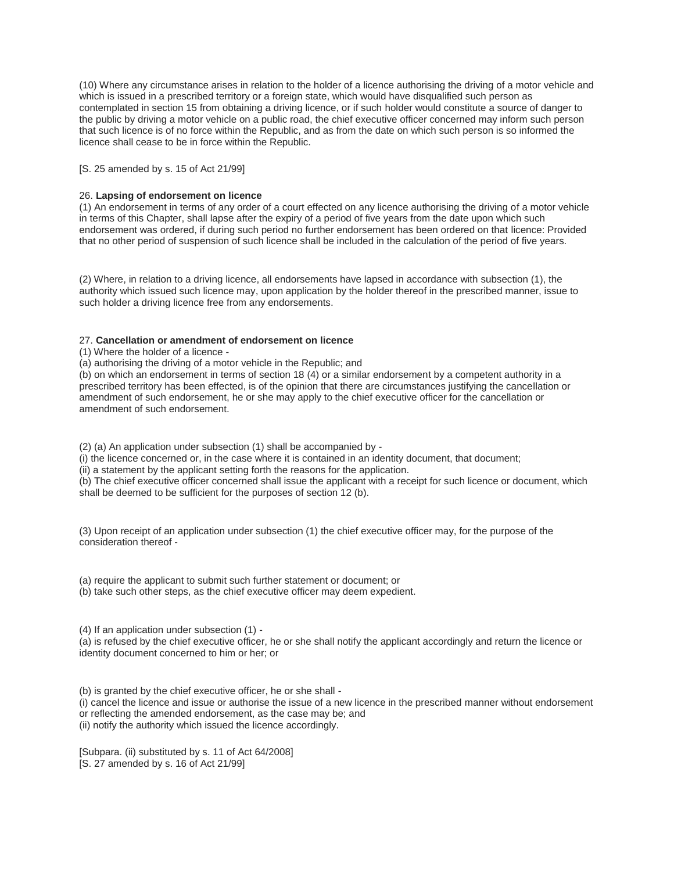(10) Where any circumstance arises in relation to the holder of a licence authorising the driving of a motor vehicle and which is issued in a prescribed territory or a foreign state, which would have disqualified such person as contemplated in section 15 from obtaining a driving licence, or if such holder would constitute a source of danger to the public by driving a motor vehicle on a public road, the chief executive officer concerned may inform such person that such licence is of no force within the Republic, and as from the date on which such person is so informed the licence shall cease to be in force within the Republic.

[S. 25 amended by s. 15 of Act 21/99]

## 26. **Lapsing of endorsement on licence**

(1) An endorsement in terms of any order of a court effected on any licence authorising the driving of a motor vehicle in terms of this Chapter, shall lapse after the expiry of a period of five years from the date upon which such endorsement was ordered, if during such period no further endorsement has been ordered on that licence: Provided that no other period of suspension of such licence shall be included in the calculation of the period of five years.

(2) Where, in relation to a driving licence, all endorsements have lapsed in accordance with subsection (1), the authority which issued such licence may, upon application by the holder thereof in the prescribed manner, issue to such holder a driving licence free from any endorsements.

### 27. **Cancellation or amendment of endorsement on licence**

(1) Where the holder of a licence -

(a) authorising the driving of a motor vehicle in the Republic; and

(b) on which an endorsement in terms of section 18 (4) or a similar endorsement by a competent authority in a prescribed territory has been effected, is of the opinion that there are circumstances justifying the cancellation or amendment of such endorsement, he or she may apply to the chief executive officer for the cancellation or amendment of such endorsement.

(2) (a) An application under subsection (1) shall be accompanied by -

(i) the licence concerned or, in the case where it is contained in an identity document, that document;

(ii) a statement by the applicant setting forth the reasons for the application.

(b) The chief executive officer concerned shall issue the applicant with a receipt for such licence or document, which shall be deemed to be sufficient for the purposes of section 12 (b).

(3) Upon receipt of an application under subsection (1) the chief executive officer may, for the purpose of the consideration thereof -

(a) require the applicant to submit such further statement or document; or

(b) take such other steps, as the chief executive officer may deem expedient.

(4) If an application under subsection (1) -

(a) is refused by the chief executive officer, he or she shall notify the applicant accordingly and return the licence or identity document concerned to him or her; or

(b) is granted by the chief executive officer, he or she shall - (i) cancel the licence and issue or authorise the issue of a new licence in the prescribed manner without endorsement or reflecting the amended endorsement, as the case may be; and

(ii) notify the authority which issued the licence accordingly.

[Subpara. (ii) substituted by s. 11 of Act 64/2008] [S. 27 amended by s. 16 of Act 21/99]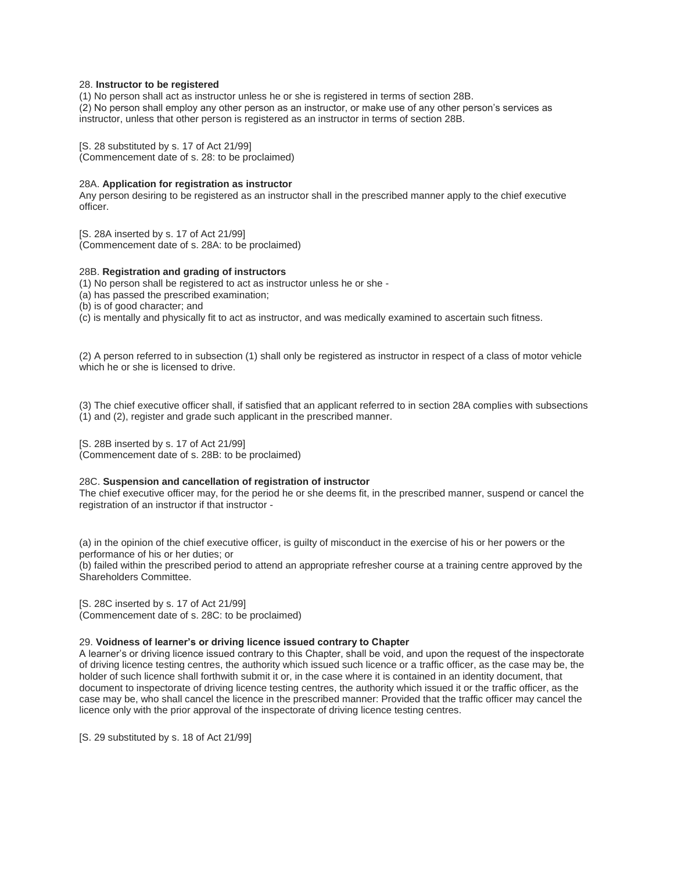### 28. **Instructor to be registered**

(1) No person shall act as instructor unless he or she is registered in terms of section 28B. (2) No person shall employ any other person as an instructor, or make use of any other person's services as instructor, unless that other person is registered as an instructor in terms of section 28B.

[S. 28 substituted by s. 17 of Act 21/99] (Commencement date of s. 28: to be proclaimed)

### 28A. **Application for registration as instructor**

Any person desiring to be registered as an instructor shall in the prescribed manner apply to the chief executive officer.

[S. 28A inserted by s. 17 of Act 21/99] (Commencement date of s. 28A: to be proclaimed)

## 28B. **Registration and grading of instructors**

(1) No person shall be registered to act as instructor unless he or she -

(a) has passed the prescribed examination;

(b) is of good character; and

(c) is mentally and physically fit to act as instructor, and was medically examined to ascertain such fitness.

(2) A person referred to in subsection (1) shall only be registered as instructor in respect of a class of motor vehicle which he or she is licensed to drive.

(3) The chief executive officer shall, if satisfied that an applicant referred to in section 28A complies with subsections (1) and (2), register and grade such applicant in the prescribed manner.

[S. 28B inserted by s. 17 of Act 21/99] (Commencement date of s. 28B: to be proclaimed)

# 28C. **Suspension and cancellation of registration of instructor**

The chief executive officer may, for the period he or she deems fit, in the prescribed manner, suspend or cancel the registration of an instructor if that instructor -

(a) in the opinion of the chief executive officer, is guilty of misconduct in the exercise of his or her powers or the performance of his or her duties; or

(b) failed within the prescribed period to attend an appropriate refresher course at a training centre approved by the Shareholders Committee.

[S. 28C inserted by s. 17 of Act 21/99] (Commencement date of s. 28C: to be proclaimed)

# 29. **Voidness of learner's or driving licence issued contrary to Chapter**

A learner's or driving licence issued contrary to this Chapter, shall be void, and upon the request of the inspectorate of driving licence testing centres, the authority which issued such licence or a traffic officer, as the case may be, the holder of such licence shall forthwith submit it or, in the case where it is contained in an identity document, that document to inspectorate of driving licence testing centres, the authority which issued it or the traffic officer, as the case may be, who shall cancel the licence in the prescribed manner: Provided that the traffic officer may cancel the licence only with the prior approval of the inspectorate of driving licence testing centres.

[S. 29 substituted by s. 18 of Act 21/99]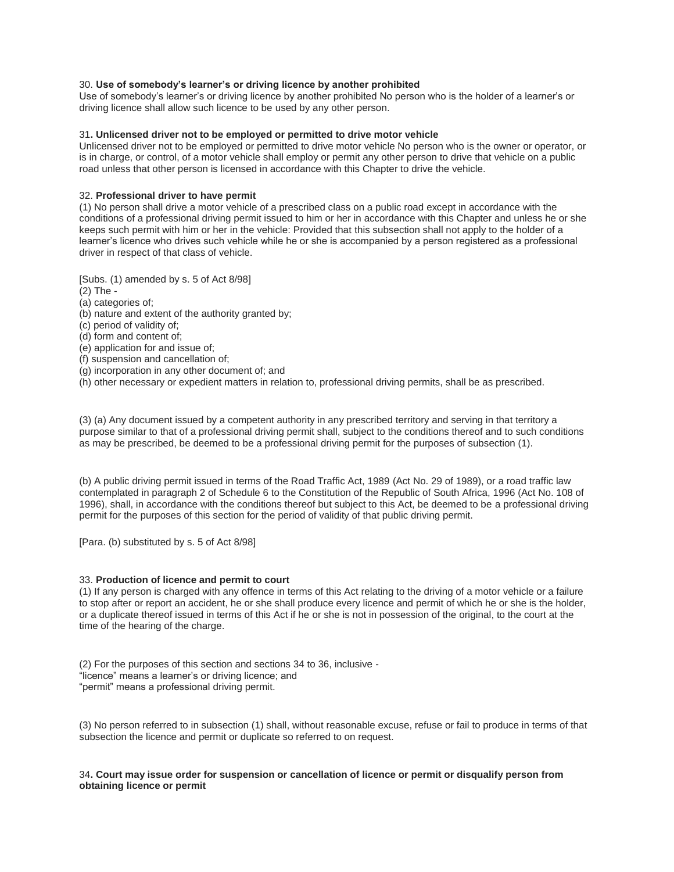## 30. **Use of somebody's learner's or driving licence by another prohibited**

Use of somebody's learner's or driving licence by another prohibited No person who is the holder of a learner's or driving licence shall allow such licence to be used by any other person.

### 31**. Unlicensed driver not to be employed or permitted to drive motor vehicle**

Unlicensed driver not to be employed or permitted to drive motor vehicle No person who is the owner or operator, or is in charge, or control, of a motor vehicle shall employ or permit any other person to drive that vehicle on a public road unless that other person is licensed in accordance with this Chapter to drive the vehicle.

#### 32. **Professional driver to have permit**

(1) No person shall drive a motor vehicle of a prescribed class on a public road except in accordance with the conditions of a professional driving permit issued to him or her in accordance with this Chapter and unless he or she keeps such permit with him or her in the vehicle: Provided that this subsection shall not apply to the holder of a learner's licence who drives such vehicle while he or she is accompanied by a person registered as a professional driver in respect of that class of vehicle.

[Subs. (1) amended by s. 5 of Act 8/98]

- (2) The -
- (a) categories of;
- (b) nature and extent of the authority granted by;
- (c) period of validity of;
- (d) form and content of;
- (e) application for and issue of;
- (f) suspension and cancellation of;
- (g) incorporation in any other document of; and
- (h) other necessary or expedient matters in relation to, professional driving permits, shall be as prescribed.

(3) (a) Any document issued by a competent authority in any prescribed territory and serving in that territory a purpose similar to that of a professional driving permit shall, subject to the conditions thereof and to such conditions as may be prescribed, be deemed to be a professional driving permit for the purposes of subsection (1).

(b) A public driving permit issued in terms of the Road Traffic Act, 1989 (Act No. 29 of 1989), or a road traffic law contemplated in paragraph 2 of Schedule 6 to the Constitution of the Republic of South Africa, 1996 (Act No. 108 of 1996), shall, in accordance with the conditions thereof but subject to this Act, be deemed to be a professional driving permit for the purposes of this section for the period of validity of that public driving permit.

[Para. (b) substituted by s. 5 of Act 8/98]

#### 33. **Production of licence and permit to court**

(1) If any person is charged with any offence in terms of this Act relating to the driving of a motor vehicle or a failure to stop after or report an accident, he or she shall produce every licence and permit of which he or she is the holder, or a duplicate thereof issued in terms of this Act if he or she is not in possession of the original, to the court at the time of the hearing of the charge.

(2) For the purposes of this section and sections 34 to 36, inclusive - "licence" means a learner's or driving licence; and "permit" means a professional driving permit.

(3) No person referred to in subsection (1) shall, without reasonable excuse, refuse or fail to produce in terms of that subsection the licence and permit or duplicate so referred to on request.

### 34**. Court may issue order for suspension or cancellation of licence or permit or disqualify person from obtaining licence or permit**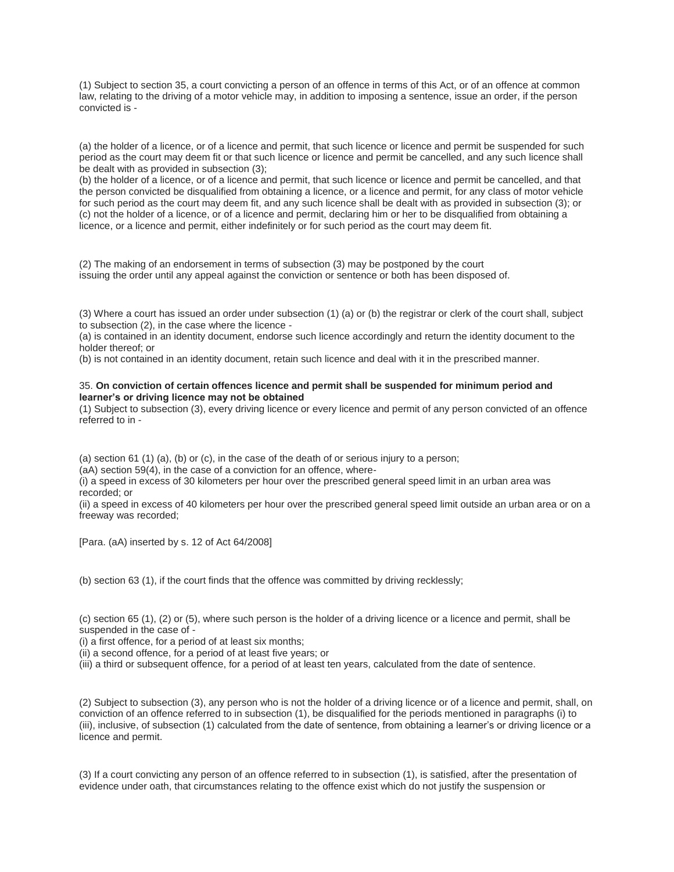(1) Subject to section 35, a court convicting a person of an offence in terms of this Act, or of an offence at common law, relating to the driving of a motor vehicle may, in addition to imposing a sentence, issue an order, if the person convicted is -

(a) the holder of a licence, or of a licence and permit, that such licence or licence and permit be suspended for such period as the court may deem fit or that such licence or licence and permit be cancelled, and any such licence shall be dealt with as provided in subsection (3);

(b) the holder of a licence, or of a licence and permit, that such licence or licence and permit be cancelled, and that the person convicted be disqualified from obtaining a licence, or a licence and permit, for any class of motor vehicle for such period as the court may deem fit, and any such licence shall be dealt with as provided in subsection (3); or (c) not the holder of a licence, or of a licence and permit, declaring him or her to be disqualified from obtaining a licence, or a licence and permit, either indefinitely or for such period as the court may deem fit.

(2) The making of an endorsement in terms of subsection (3) may be postponed by the court issuing the order until any appeal against the conviction or sentence or both has been disposed of.

(3) Where a court has issued an order under subsection (1) (a) or (b) the registrar or clerk of the court shall, subject to subsection (2), in the case where the licence -

(a) is contained in an identity document, endorse such licence accordingly and return the identity document to the holder thereof; or

(b) is not contained in an identity document, retain such licence and deal with it in the prescribed manner.

### 35. **On conviction of certain offences licence and permit shall be suspended for minimum period and learner's or driving licence may not be obtained**

(1) Subject to subsection (3), every driving licence or every licence and permit of any person convicted of an offence referred to in -

(a) section 61 (1) (a), (b) or (c), in the case of the death of or serious injury to a person;

(aA) section 59(4), in the case of a conviction for an offence, where-

(i) a speed in excess of 30 kilometers per hour over the prescribed general speed limit in an urban area was recorded; or

(ii) a speed in excess of 40 kilometers per hour over the prescribed general speed limit outside an urban area or on a freeway was recorded;

[Para. (aA) inserted by s. 12 of Act 64/2008]

(b) section 63 (1), if the court finds that the offence was committed by driving recklessly;

(c) section 65 (1), (2) or (5), where such person is the holder of a driving licence or a licence and permit, shall be suspended in the case of -

(i) a first offence, for a period of at least six months;

(ii) a second offence, for a period of at least five years; or

(iii) a third or subsequent offence, for a period of at least ten years, calculated from the date of sentence.

(2) Subject to subsection (3), any person who is not the holder of a driving licence or of a licence and permit, shall, on conviction of an offence referred to in subsection (1), be disqualified for the periods mentioned in paragraphs (i) to (iii), inclusive, of subsection (1) calculated from the date of sentence, from obtaining a learner's or driving licence or a licence and permit.

(3) If a court convicting any person of an offence referred to in subsection (1), is satisfied, after the presentation of evidence under oath, that circumstances relating to the offence exist which do not justify the suspension or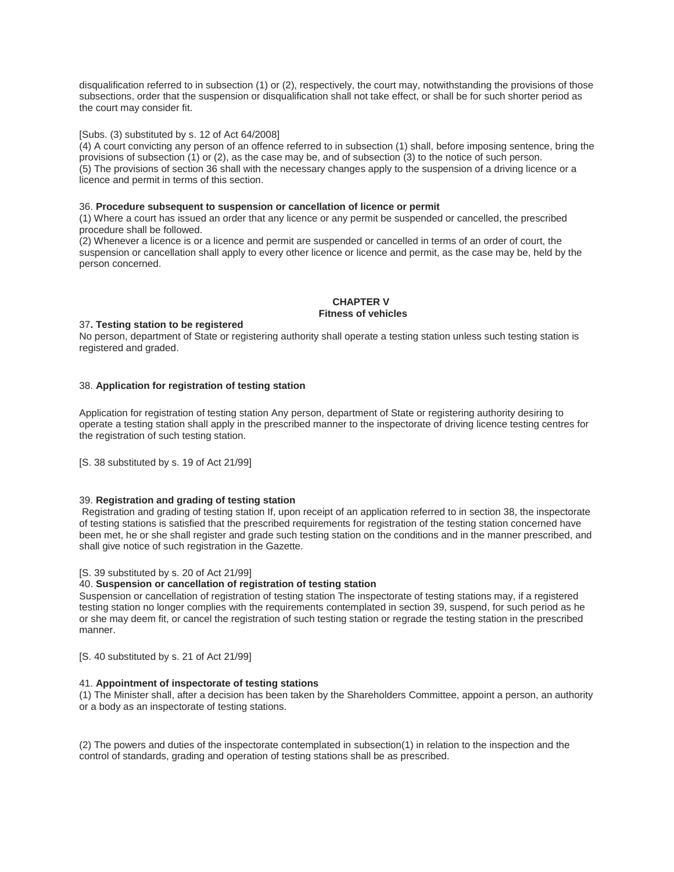disqualification referred to in subsection (1) or (2), respectively, the court may, notwithstanding the provisions of those subsections, order that the suspension or disqualification shall not take effect, or shall be for such shorter period as the court may consider fit.

# [Subs. (3) substituted by s. 12 of Act 64/2008]

(4) A court convicting any person of an offence referred to in subsection (1) shall, before imposing sentence, bring the provisions of subsection (1) or (2), as the case may be, and of subsection (3) to the notice of such person. (5) The provisions of section 36 shall with the necessary changes apply to the suspension of a driving licence or a licence and permit in terms of this section.

### 36. **Procedure subsequent to suspension or cancellation of licence or permit**

(1) Where a court has issued an order that any licence or any permit be suspended or cancelled, the prescribed procedure shall be followed.

(2) Whenever a licence is or a licence and permit are suspended or cancelled in terms of an order of court, the suspension or cancellation shall apply to every other licence or licence and permit, as the case may be, held by the person concerned.

## **CHAPTER V Fitness of vehicles**

### 37**. Testing station to be registered**

No person, department of State or registering authority shall operate a testing station unless such testing station is registered and graded.

### 38. **Application for registration of testing station**

Application for registration of testing station Any person, department of State or registering authority desiring to operate a testing station shall apply in the prescribed manner to the inspectorate of driving licence testing centres for the registration of such testing station.

[S. 38 substituted by s. 19 of Act 21/99]

# 39. **Registration and grading of testing station**

Registration and grading of testing station If, upon receipt of an application referred to in section 38, the inspectorate of testing stations is satisfied that the prescribed requirements for registration of the testing station concerned have been met, he or she shall register and grade such testing station on the conditions and in the manner prescribed, and shall give notice of such registration in the Gazette.

#### [S. 39 substituted by s. 20 of Act 21/99]

#### 40. **Suspension or cancellation of registration of testing station**

Suspension or cancellation of registration of testing station The inspectorate of testing stations may, if a registered testing station no longer complies with the requirements contemplated in section 39, suspend, for such period as he or she may deem fit, or cancel the registration of such testing station or regrade the testing station in the prescribed manner.

[S. 40 substituted by s. 21 of Act 21/99]

### 41. **Appointment of inspectorate of testing stations**

(1) The Minister shall, after a decision has been taken by the Shareholders Committee, appoint a person, an authority or a body as an inspectorate of testing stations.

(2) The powers and duties of the inspectorate contemplated in subsection(1) in relation to the inspection and the control of standards, grading and operation of testing stations shall be as prescribed.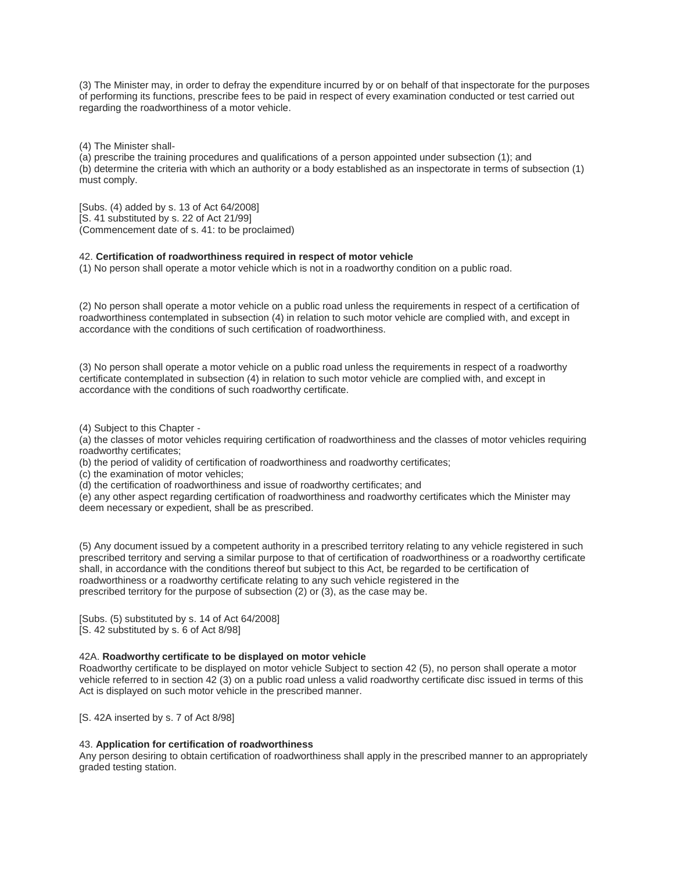(3) The Minister may, in order to defray the expenditure incurred by or on behalf of that inspectorate for the purposes of performing its functions, prescribe fees to be paid in respect of every examination conducted or test carried out regarding the roadworthiness of a motor vehicle.

(4) The Minister shall-

(a) prescribe the training procedures and qualifications of a person appointed under subsection (1); and (b) determine the criteria with which an authority or a body established as an inspectorate in terms of subsection (1) must comply.

[Subs. (4) added by s. 13 of Act 64/2008] [S. 41 substituted by s. 22 of Act 21/99] (Commencement date of s. 41: to be proclaimed)

### 42. **Certification of roadworthiness required in respect of motor vehicle**

(1) No person shall operate a motor vehicle which is not in a roadworthy condition on a public road.

(2) No person shall operate a motor vehicle on a public road unless the requirements in respect of a certification of roadworthiness contemplated in subsection (4) in relation to such motor vehicle are complied with, and except in accordance with the conditions of such certification of roadworthiness.

(3) No person shall operate a motor vehicle on a public road unless the requirements in respect of a roadworthy certificate contemplated in subsection (4) in relation to such motor vehicle are complied with, and except in accordance with the conditions of such roadworthy certificate.

(4) Subject to this Chapter -

(a) the classes of motor vehicles requiring certification of roadworthiness and the classes of motor vehicles requiring roadworthy certificates;

(b) the period of validity of certification of roadworthiness and roadworthy certificates;

(c) the examination of motor vehicles;

(d) the certification of roadworthiness and issue of roadworthy certificates; and

(e) any other aspect regarding certification of roadworthiness and roadworthy certificates which the Minister may deem necessary or expedient, shall be as prescribed.

(5) Any document issued by a competent authority in a prescribed territory relating to any vehicle registered in such prescribed territory and serving a similar purpose to that of certification of roadworthiness or a roadworthy certificate shall, in accordance with the conditions thereof but subject to this Act, be regarded to be certification of roadworthiness or a roadworthy certificate relating to any such vehicle registered in the prescribed territory for the purpose of subsection (2) or (3), as the case may be.

[Subs. (5) substituted by s. 14 of Act 64/2008] [S. 42 substituted by s. 6 of Act 8/98]

# 42A. **Roadworthy certificate to be displayed on motor vehicle**

Roadworthy certificate to be displayed on motor vehicle Subject to section 42 (5), no person shall operate a motor vehicle referred to in section 42 (3) on a public road unless a valid roadworthy certificate disc issued in terms of this Act is displayed on such motor vehicle in the prescribed manner.

[S. 42A inserted by s. 7 of Act 8/98]

# 43. **Application for certification of roadworthiness**

Any person desiring to obtain certification of roadworthiness shall apply in the prescribed manner to an appropriately graded testing station.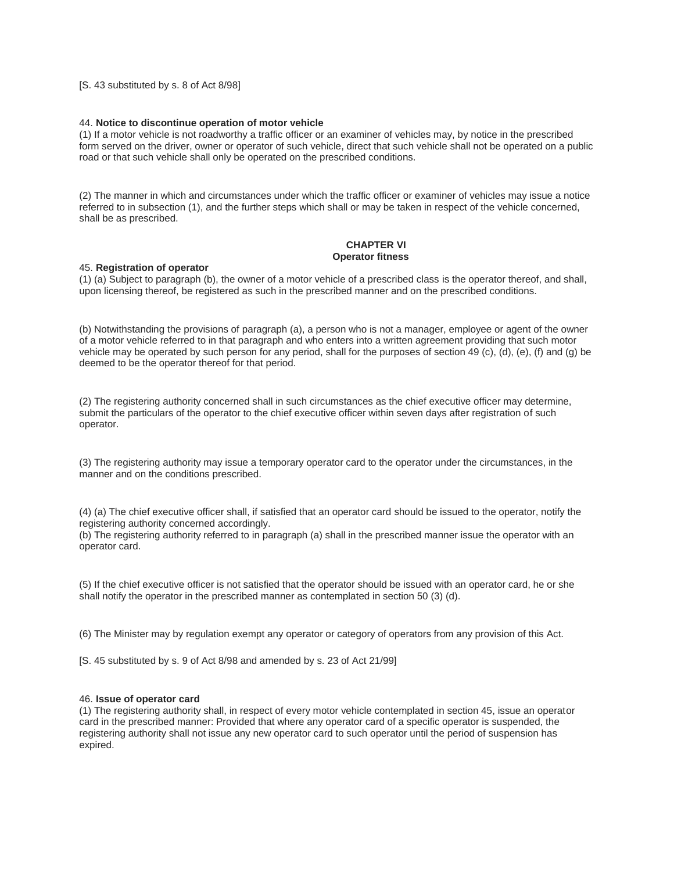### [S. 43 substituted by s. 8 of Act 8/98]

#### 44. **Notice to discontinue operation of motor vehicle**

(1) If a motor vehicle is not roadworthy a traffic officer or an examiner of vehicles may, by notice in the prescribed form served on the driver, owner or operator of such vehicle, direct that such vehicle shall not be operated on a public road or that such vehicle shall only be operated on the prescribed conditions.

(2) The manner in which and circumstances under which the traffic officer or examiner of vehicles may issue a notice referred to in subsection (1), and the further steps which shall or may be taken in respect of the vehicle concerned, shall be as prescribed.

### **CHAPTER VI Operator fitness**

#### 45. **Registration of operator**

(1) (a) Subject to paragraph (b), the owner of a motor vehicle of a prescribed class is the operator thereof, and shall, upon licensing thereof, be registered as such in the prescribed manner and on the prescribed conditions.

(b) Notwithstanding the provisions of paragraph (a), a person who is not a manager, employee or agent of the owner of a motor vehicle referred to in that paragraph and who enters into a written agreement providing that such motor vehicle may be operated by such person for any period, shall for the purposes of section 49 (c), (d), (e), (f) and (g) be deemed to be the operator thereof for that period.

(2) The registering authority concerned shall in such circumstances as the chief executive officer may determine, submit the particulars of the operator to the chief executive officer within seven days after registration of such operator.

(3) The registering authority may issue a temporary operator card to the operator under the circumstances, in the manner and on the conditions prescribed.

(4) (a) The chief executive officer shall, if satisfied that an operator card should be issued to the operator, notify the registering authority concerned accordingly.

(b) The registering authority referred to in paragraph (a) shall in the prescribed manner issue the operator with an operator card.

(5) If the chief executive officer is not satisfied that the operator should be issued with an operator card, he or she shall notify the operator in the prescribed manner as contemplated in section 50 (3) (d).

(6) The Minister may by regulation exempt any operator or category of operators from any provision of this Act.

[S. 45 substituted by s. 9 of Act 8/98 and amended by s. 23 of Act 21/99]

### 46. **Issue of operator card**

(1) The registering authority shall, in respect of every motor vehicle contemplated in section 45, issue an operator card in the prescribed manner: Provided that where any operator card of a specific operator is suspended, the registering authority shall not issue any new operator card to such operator until the period of suspension has expired.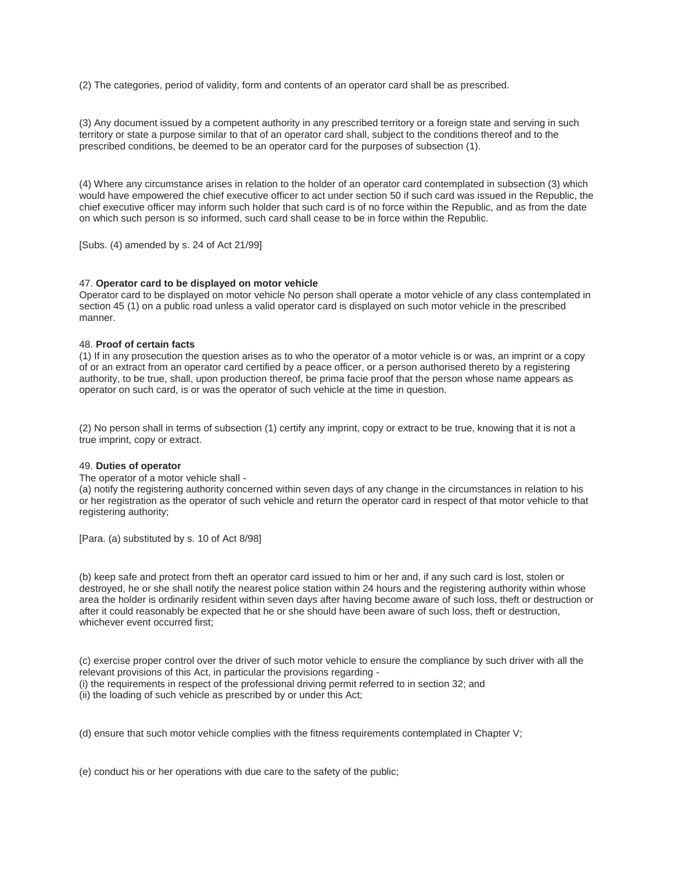(2) The categories, period of validity, form and contents of an operator card shall be as prescribed.

(3) Any document issued by a competent authority in any prescribed territory or a foreign state and serving in such territory or state a purpose similar to that of an operator card shall, subject to the conditions thereof and to the prescribed conditions, be deemed to be an operator card for the purposes of subsection (1).

(4) Where any circumstance arises in relation to the holder of an operator card contemplated in subsection (3) which would have empowered the chief executive officer to act under section 50 if such card was issued in the Republic, the chief executive officer may inform such holder that such card is of no force within the Republic, and as from the date on which such person is so informed, such card shall cease to be in force within the Republic.

[Subs. (4) amended by s. 24 of Act 21/99]

### 47. **Operator card to be displayed on motor vehicle**

Operator card to be displayed on motor vehicle No person shall operate a motor vehicle of any class contemplated in section 45 (1) on a public road unless a valid operator card is displayed on such motor vehicle in the prescribed manner.

# 48. **Proof of certain facts**

(1) If in any prosecution the question arises as to who the operator of a motor vehicle is or was, an imprint or a copy of or an extract from an operator card certified by a peace officer, or a person authorised thereto by a registering authority, to be true, shall, upon production thereof, be prima facie proof that the person whose name appears as operator on such card, is or was the operator of such vehicle at the time in question.

(2) No person shall in terms of subsection (1) certify any imprint, copy or extract to be true, knowing that it is not a true imprint, copy or extract.

#### 49. **Duties of operator**

The operator of a motor vehicle shall -

(a) notify the registering authority concerned within seven days of any change in the circumstances in relation to his or her registration as the operator of such vehicle and return the operator card in respect of that motor vehicle to that registering authority;

[Para. (a) substituted by s. 10 of Act 8/98]

(b) keep safe and protect from theft an operator card issued to him or her and, if any such card is lost, stolen or destroyed, he or she shall notify the nearest police station within 24 hours and the registering authority within whose area the holder is ordinarily resident within seven days after having become aware of such loss, theft or destruction or after it could reasonably be expected that he or she should have been aware of such loss, theft or destruction, whichever event occurred first;

(c) exercise proper control over the driver of such motor vehicle to ensure the compliance by such driver with all the relevant provisions of this Act, in particular the provisions regarding -

- (i) the requirements in respect of the professional driving permit referred to in section 32; and
- (ii) the loading of such vehicle as prescribed by or under this Act;

(d) ensure that such motor vehicle complies with the fitness requirements contemplated in Chapter V;

(e) conduct his or her operations with due care to the safety of the public;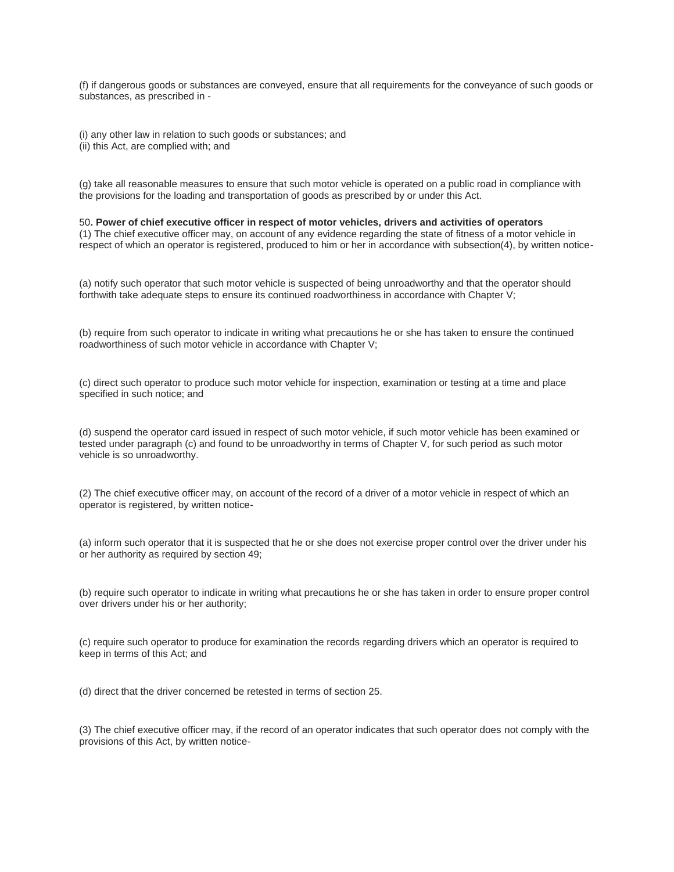(f) if dangerous goods or substances are conveyed, ensure that all requirements for the conveyance of such goods or substances, as prescribed in -

(i) any other law in relation to such goods or substances; and (ii) this Act, are complied with; and

(g) take all reasonable measures to ensure that such motor vehicle is operated on a public road in compliance with the provisions for the loading and transportation of goods as prescribed by or under this Act.

50**. Power of chief executive officer in respect of motor vehicles, drivers and activities of operators** (1) The chief executive officer may, on account of any evidence regarding the state of fitness of a motor vehicle in respect of which an operator is registered, produced to him or her in accordance with subsection(4), by written notice-

(a) notify such operator that such motor vehicle is suspected of being unroadworthy and that the operator should forthwith take adequate steps to ensure its continued roadworthiness in accordance with Chapter V;

(b) require from such operator to indicate in writing what precautions he or she has taken to ensure the continued roadworthiness of such motor vehicle in accordance with Chapter V;

(c) direct such operator to produce such motor vehicle for inspection, examination or testing at a time and place specified in such notice; and

(d) suspend the operator card issued in respect of such motor vehicle, if such motor vehicle has been examined or tested under paragraph (c) and found to be unroadworthy in terms of Chapter V, for such period as such motor vehicle is so unroadworthy.

(2) The chief executive officer may, on account of the record of a driver of a motor vehicle in respect of which an operator is registered, by written notice-

(a) inform such operator that it is suspected that he or she does not exercise proper control over the driver under his or her authority as required by section 49;

(b) require such operator to indicate in writing what precautions he or she has taken in order to ensure proper control over drivers under his or her authority;

(c) require such operator to produce for examination the records regarding drivers which an operator is required to keep in terms of this Act; and

(d) direct that the driver concerned be retested in terms of section 25.

(3) The chief executive officer may, if the record of an operator indicates that such operator does not comply with the provisions of this Act, by written notice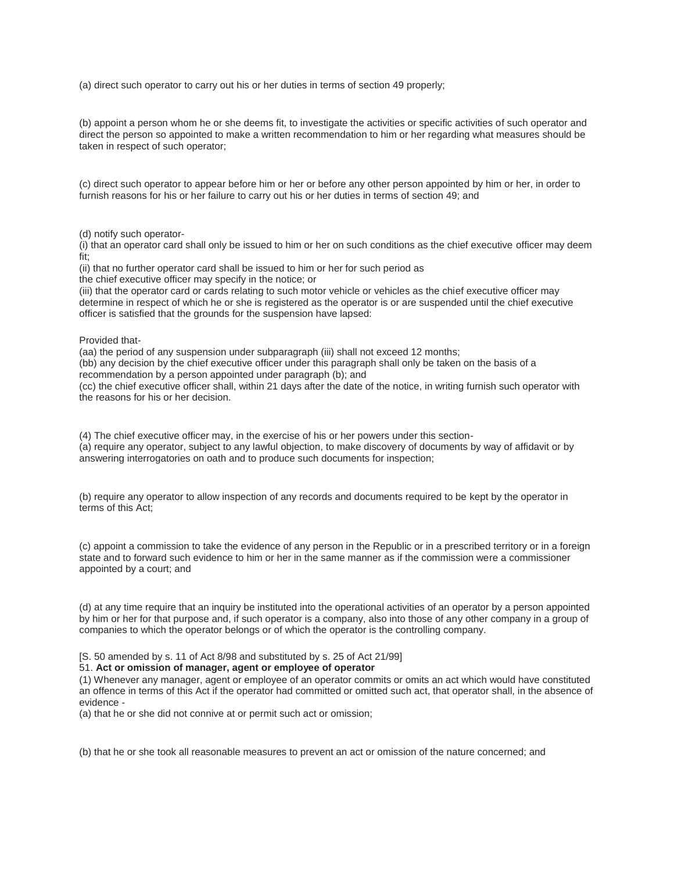(a) direct such operator to carry out his or her duties in terms of section 49 properly;

(b) appoint a person whom he or she deems fit, to investigate the activities or specific activities of such operator and direct the person so appointed to make a written recommendation to him or her regarding what measures should be taken in respect of such operator;

(c) direct such operator to appear before him or her or before any other person appointed by him or her, in order to furnish reasons for his or her failure to carry out his or her duties in terms of section 49; and

(d) notify such operator-

(i) that an operator card shall only be issued to him or her on such conditions as the chief executive officer may deem fit;

(ii) that no further operator card shall be issued to him or her for such period as the chief executive officer may specify in the notice; or

(iii) that the operator card or cards relating to such motor vehicle or vehicles as the chief executive officer may determine in respect of which he or she is registered as the operator is or are suspended until the chief executive officer is satisfied that the grounds for the suspension have lapsed:

Provided that-

(aa) the period of any suspension under subparagraph (iii) shall not exceed 12 months;

(bb) any decision by the chief executive officer under this paragraph shall only be taken on the basis of a recommendation by a person appointed under paragraph (b); and

(cc) the chief executive officer shall, within 21 days after the date of the notice, in writing furnish such operator with the reasons for his or her decision.

(4) The chief executive officer may, in the exercise of his or her powers under this section- (a) require any operator, subject to any lawful objection, to make discovery of documents by way of affidavit or by answering interrogatories on oath and to produce such documents for inspection;

(b) require any operator to allow inspection of any records and documents required to be kept by the operator in terms of this Act;

(c) appoint a commission to take the evidence of any person in the Republic or in a prescribed territory or in a foreign state and to forward such evidence to him or her in the same manner as if the commission were a commissioner appointed by a court; and

(d) at any time require that an inquiry be instituted into the operational activities of an operator by a person appointed by him or her for that purpose and, if such operator is a company, also into those of any other company in a group of companies to which the operator belongs or of which the operator is the controlling company.

[S. 50 amended by s. 11 of Act 8/98 and substituted by s. 25 of Act 21/99]

51. **Act or omission of manager, agent or employee of operator**

(1) Whenever any manager, agent or employee of an operator commits or omits an act which would have constituted an offence in terms of this Act if the operator had committed or omitted such act, that operator shall, in the absence of evidence -

(a) that he or she did not connive at or permit such act or omission;

(b) that he or she took all reasonable measures to prevent an act or omission of the nature concerned; and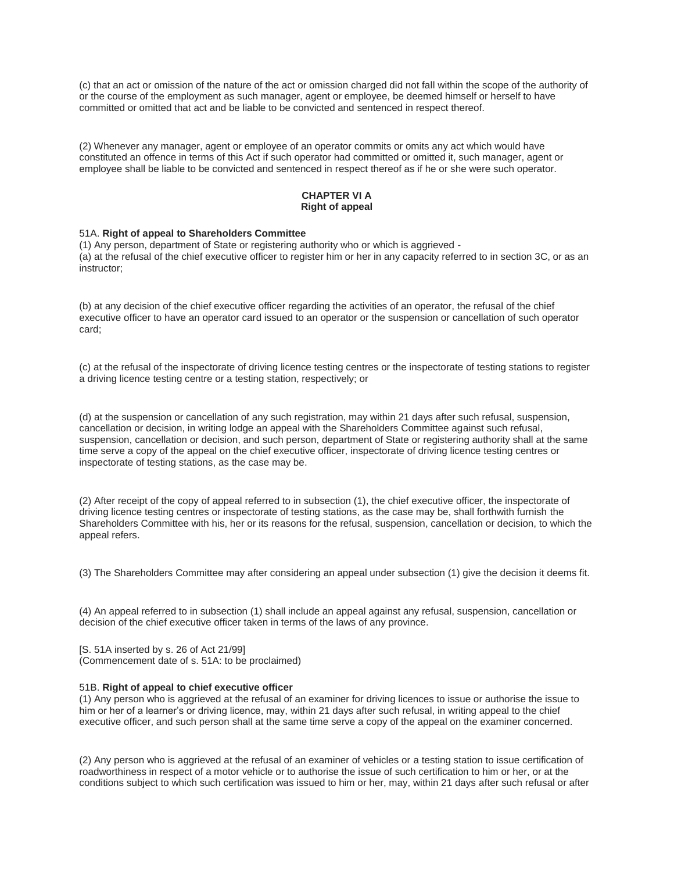(c) that an act or omission of the nature of the act or omission charged did not fall within the scope of the authority of or the course of the employment as such manager, agent or employee, be deemed himself or herself to have committed or omitted that act and be liable to be convicted and sentenced in respect thereof.

(2) Whenever any manager, agent or employee of an operator commits or omits any act which would have constituted an offence in terms of this Act if such operator had committed or omitted it, such manager, agent or employee shall be liable to be convicted and sentenced in respect thereof as if he or she were such operator.

### **CHAPTER VI A Right of appeal**

#### 51A. **Right of appeal to Shareholders Committee**

(1) Any person, department of State or registering authority who or which is aggrieved - (a) at the refusal of the chief executive officer to register him or her in any capacity referred to in section 3C, or as an instructor;

(b) at any decision of the chief executive officer regarding the activities of an operator, the refusal of the chief executive officer to have an operator card issued to an operator or the suspension or cancellation of such operator card;

(c) at the refusal of the inspectorate of driving licence testing centres or the inspectorate of testing stations to register a driving licence testing centre or a testing station, respectively; or

(d) at the suspension or cancellation of any such registration, may within 21 days after such refusal, suspension, cancellation or decision, in writing lodge an appeal with the Shareholders Committee against such refusal, suspension, cancellation or decision, and such person, department of State or registering authority shall at the same time serve a copy of the appeal on the chief executive officer, inspectorate of driving licence testing centres or inspectorate of testing stations, as the case may be.

(2) After receipt of the copy of appeal referred to in subsection (1), the chief executive officer, the inspectorate of driving licence testing centres or inspectorate of testing stations, as the case may be, shall forthwith furnish the Shareholders Committee with his, her or its reasons for the refusal, suspension, cancellation or decision, to which the appeal refers.

(3) The Shareholders Committee may after considering an appeal under subsection (1) give the decision it deems fit.

(4) An appeal referred to in subsection (1) shall include an appeal against any refusal, suspension, cancellation or decision of the chief executive officer taken in terms of the laws of any province.

[S. 51A inserted by s. 26 of Act 21/99] (Commencement date of s. 51A: to be proclaimed)

#### 51B. **Right of appeal to chief executive officer**

(1) Any person who is aggrieved at the refusal of an examiner for driving licences to issue or authorise the issue to him or her of a learner's or driving licence, may, within 21 days after such refusal, in writing appeal to the chief executive officer, and such person shall at the same time serve a copy of the appeal on the examiner concerned.

(2) Any person who is aggrieved at the refusal of an examiner of vehicles or a testing station to issue certification of roadworthiness in respect of a motor vehicle or to authorise the issue of such certification to him or her, or at the conditions subject to which such certification was issued to him or her, may, within 21 days after such refusal or after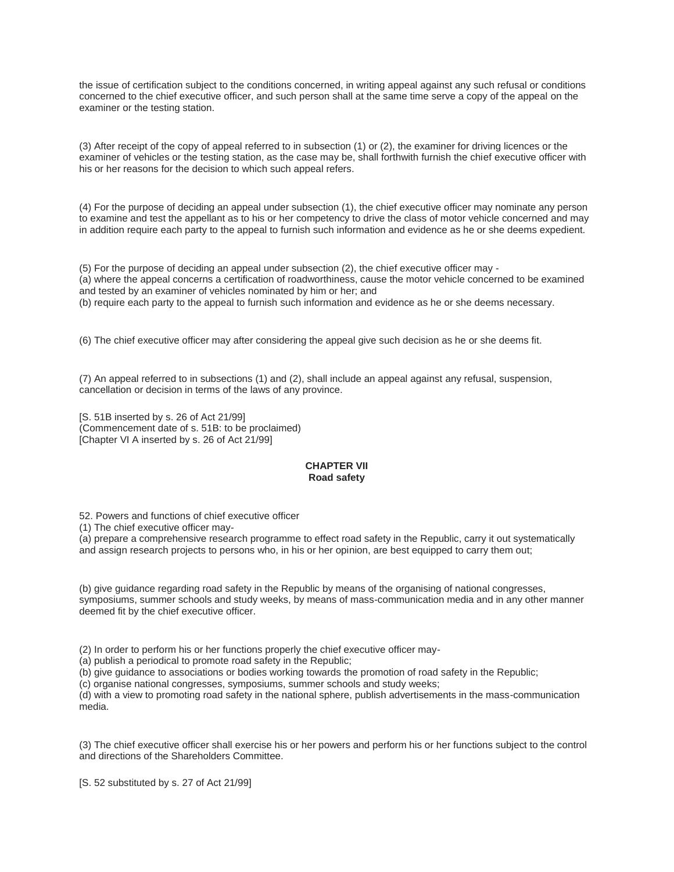the issue of certification subject to the conditions concerned, in writing appeal against any such refusal or conditions concerned to the chief executive officer, and such person shall at the same time serve a copy of the appeal on the examiner or the testing station.

(3) After receipt of the copy of appeal referred to in subsection (1) or (2), the examiner for driving licences or the examiner of vehicles or the testing station, as the case may be, shall forthwith furnish the chief executive officer with his or her reasons for the decision to which such appeal refers.

(4) For the purpose of deciding an appeal under subsection (1), the chief executive officer may nominate any person to examine and test the appellant as to his or her competency to drive the class of motor vehicle concerned and may in addition require each party to the appeal to furnish such information and evidence as he or she deems expedient.

(5) For the purpose of deciding an appeal under subsection (2), the chief executive officer may - (a) where the appeal concerns a certification of roadworthiness, cause the motor vehicle concerned to be examined and tested by an examiner of vehicles nominated by him or her; and

(b) require each party to the appeal to furnish such information and evidence as he or she deems necessary.

(6) The chief executive officer may after considering the appeal give such decision as he or she deems fit.

(7) An appeal referred to in subsections (1) and (2), shall include an appeal against any refusal, suspension, cancellation or decision in terms of the laws of any province.

[S. 51B inserted by s. 26 of Act 21/99] (Commencement date of s. 51B: to be proclaimed) [Chapter VI A inserted by s. 26 of Act 21/99]

# **CHAPTER VII Road safety**

52. Powers and functions of chief executive officer

(1) The chief executive officer may-

(a) prepare a comprehensive research programme to effect road safety in the Republic, carry it out systematically and assign research projects to persons who, in his or her opinion, are best equipped to carry them out;

(b) give guidance regarding road safety in the Republic by means of the organising of national congresses, symposiums, summer schools and study weeks, by means of mass-communication media and in any other manner deemed fit by the chief executive officer.

(2) In order to perform his or her functions properly the chief executive officer may-

(a) publish a periodical to promote road safety in the Republic;

(b) give guidance to associations or bodies working towards the promotion of road safety in the Republic;

(c) organise national congresses, symposiums, summer schools and study weeks;

(d) with a view to promoting road safety in the national sphere, publish advertisements in the mass-communication media.

(3) The chief executive officer shall exercise his or her powers and perform his or her functions subject to the control and directions of the Shareholders Committee.

[S. 52 substituted by s. 27 of Act 21/99]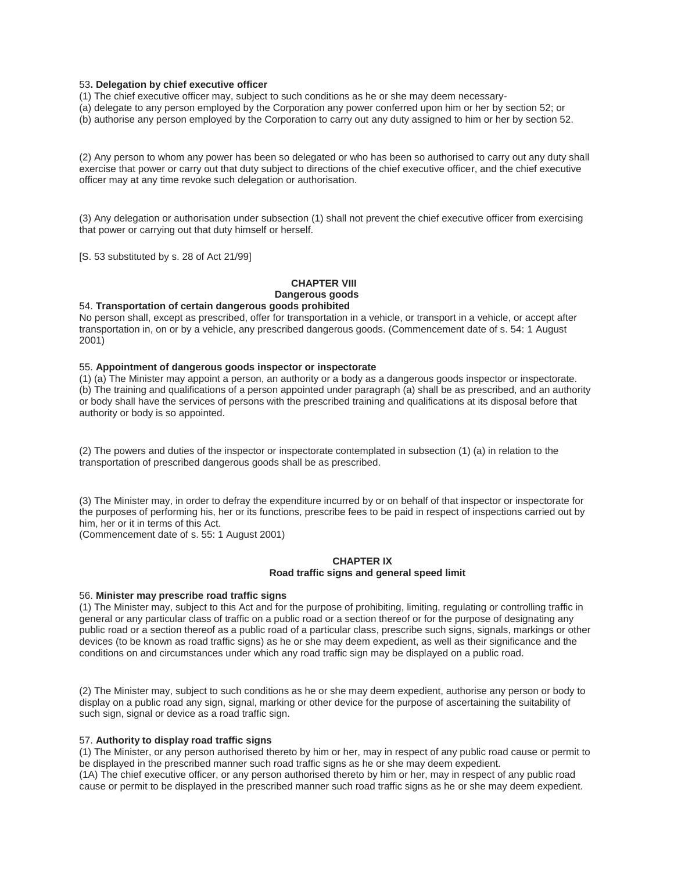#### 53**. Delegation by chief executive officer**

(1) The chief executive officer may, subject to such conditions as he or she may deem necessary-

(a) delegate to any person employed by the Corporation any power conferred upon him or her by section 52; or

(b) authorise any person employed by the Corporation to carry out any duty assigned to him or her by section 52.

(2) Any person to whom any power has been so delegated or who has been so authorised to carry out any duty shall exercise that power or carry out that duty subject to directions of the chief executive officer, and the chief executive officer may at any time revoke such delegation or authorisation.

(3) Any delegation or authorisation under subsection (1) shall not prevent the chief executive officer from exercising that power or carrying out that duty himself or herself.

[S. 53 substituted by s. 28 of Act 21/99]

# **CHAPTER VIII Dangerous goods**

### 54. **Transportation of certain dangerous goods prohibited**

No person shall, except as prescribed, offer for transportation in a vehicle, or transport in a vehicle, or accept after transportation in, on or by a vehicle, any prescribed dangerous goods. (Commencement date of s. 54: 1 August 2001)

### 55. **Appointment of dangerous goods inspector or inspectorate**

(1) (a) The Minister may appoint a person, an authority or a body as a dangerous goods inspector or inspectorate. (b) The training and qualifications of a person appointed under paragraph (a) shall be as prescribed, and an authority or body shall have the services of persons with the prescribed training and qualifications at its disposal before that authority or body is so appointed.

(2) The powers and duties of the inspector or inspectorate contemplated in subsection (1) (a) in relation to the transportation of prescribed dangerous goods shall be as prescribed.

(3) The Minister may, in order to defray the expenditure incurred by or on behalf of that inspector or inspectorate for the purposes of performing his, her or its functions, prescribe fees to be paid in respect of inspections carried out by him, her or it in terms of this Act.

(Commencement date of s. 55: 1 August 2001)

### **CHAPTER IX Road traffic signs and general speed limit**

#### 56. **Minister may prescribe road traffic signs**

(1) The Minister may, subject to this Act and for the purpose of prohibiting, limiting, regulating or controlling traffic in general or any particular class of traffic on a public road or a section thereof or for the purpose of designating any public road or a section thereof as a public road of a particular class, prescribe such signs, signals, markings or other devices (to be known as road traffic signs) as he or she may deem expedient, as well as their significance and the conditions on and circumstances under which any road traffic sign may be displayed on a public road.

(2) The Minister may, subject to such conditions as he or she may deem expedient, authorise any person or body to display on a public road any sign, signal, marking or other device for the purpose of ascertaining the suitability of such sign, signal or device as a road traffic sign.

#### 57. **Authority to display road traffic signs**

(1) The Minister, or any person authorised thereto by him or her, may in respect of any public road cause or permit to be displayed in the prescribed manner such road traffic signs as he or she may deem expedient. (1A) The chief executive officer, or any person authorised thereto by him or her, may in respect of any public road cause or permit to be displayed in the prescribed manner such road traffic signs as he or she may deem expedient.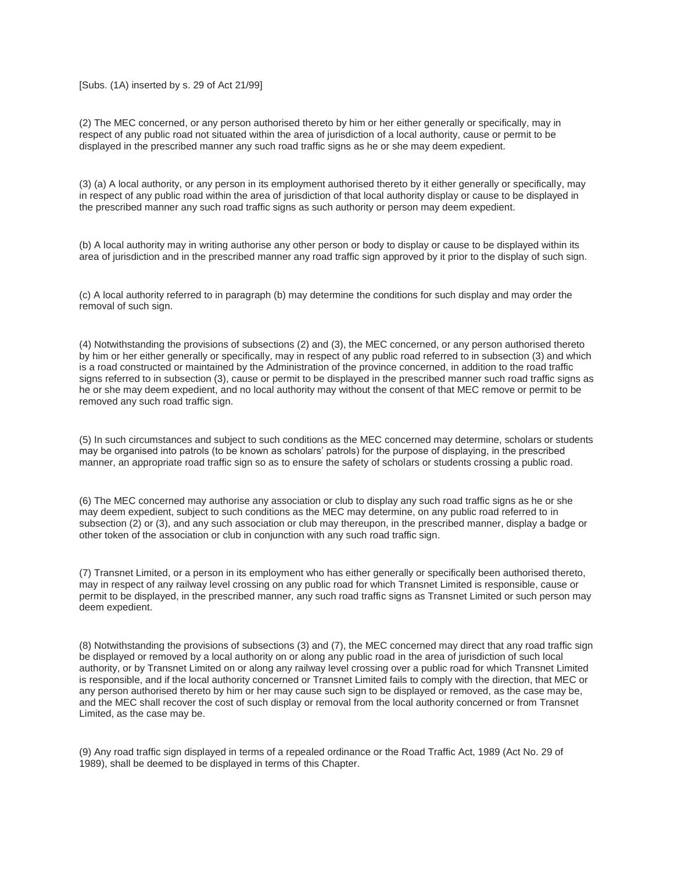### [Subs. (1A) inserted by s. 29 of Act 21/99]

(2) The MEC concerned, or any person authorised thereto by him or her either generally or specifically, may in respect of any public road not situated within the area of jurisdiction of a local authority, cause or permit to be displayed in the prescribed manner any such road traffic signs as he or she may deem expedient.

(3) (a) A local authority, or any person in its employment authorised thereto by it either generally or specifically, may in respect of any public road within the area of jurisdiction of that local authority display or cause to be displayed in the prescribed manner any such road traffic signs as such authority or person may deem expedient.

(b) A local authority may in writing authorise any other person or body to display or cause to be displayed within its area of jurisdiction and in the prescribed manner any road traffic sign approved by it prior to the display of such sign.

(c) A local authority referred to in paragraph (b) may determine the conditions for such display and may order the removal of such sign.

(4) Notwithstanding the provisions of subsections (2) and (3), the MEC concerned, or any person authorised thereto by him or her either generally or specifically, may in respect of any public road referred to in subsection (3) and which is a road constructed or maintained by the Administration of the province concerned, in addition to the road traffic signs referred to in subsection (3), cause or permit to be displayed in the prescribed manner such road traffic signs as he or she may deem expedient, and no local authority may without the consent of that MEC remove or permit to be removed any such road traffic sign.

(5) In such circumstances and subject to such conditions as the MEC concerned may determine, scholars or students may be organised into patrols (to be known as scholars' patrols) for the purpose of displaying, in the prescribed manner, an appropriate road traffic sign so as to ensure the safety of scholars or students crossing a public road.

(6) The MEC concerned may authorise any association or club to display any such road traffic signs as he or she may deem expedient, subject to such conditions as the MEC may determine, on any public road referred to in subsection (2) or (3), and any such association or club may thereupon, in the prescribed manner, display a badge or other token of the association or club in conjunction with any such road traffic sign.

(7) Transnet Limited, or a person in its employment who has either generally or specifically been authorised thereto, may in respect of any railway level crossing on any public road for which Transnet Limited is responsible, cause or permit to be displayed, in the prescribed manner, any such road traffic signs as Transnet Limited or such person may deem expedient.

(8) Notwithstanding the provisions of subsections (3) and (7), the MEC concerned may direct that any road traffic sign be displayed or removed by a local authority on or along any public road in the area of jurisdiction of such local authority, or by Transnet Limited on or along any railway level crossing over a public road for which Transnet Limited is responsible, and if the local authority concerned or Transnet Limited fails to comply with the direction, that MEC or any person authorised thereto by him or her may cause such sign to be displayed or removed, as the case may be, and the MEC shall recover the cost of such display or removal from the local authority concerned or from Transnet Limited, as the case may be.

(9) Any road traffic sign displayed in terms of a repealed ordinance or the Road Traffic Act, 1989 (Act No. 29 of 1989), shall be deemed to be displayed in terms of this Chapter.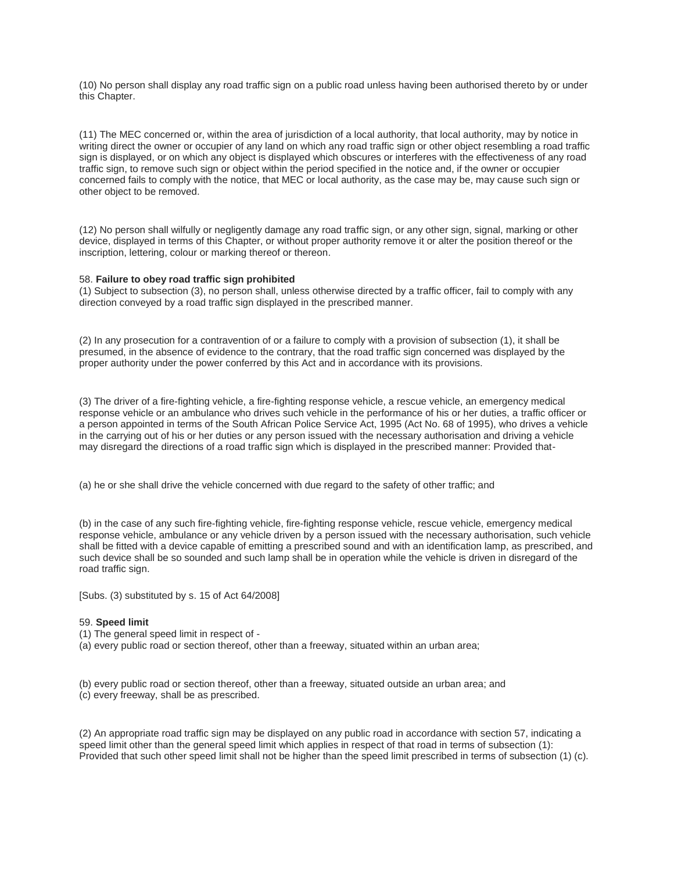(10) No person shall display any road traffic sign on a public road unless having been authorised thereto by or under this Chapter.

(11) The MEC concerned or, within the area of jurisdiction of a local authority, that local authority, may by notice in writing direct the owner or occupier of any land on which any road traffic sign or other object resembling a road traffic sign is displayed, or on which any object is displayed which obscures or interferes with the effectiveness of any road traffic sign, to remove such sign or object within the period specified in the notice and, if the owner or occupier concerned fails to comply with the notice, that MEC or local authority, as the case may be, may cause such sign or other object to be removed.

(12) No person shall wilfully or negligently damage any road traffic sign, or any other sign, signal, marking or other device, displayed in terms of this Chapter, or without proper authority remove it or alter the position thereof or the inscription, lettering, colour or marking thereof or thereon.

### 58. **Failure to obey road traffic sign prohibited**

(1) Subject to subsection (3), no person shall, unless otherwise directed by a traffic officer, fail to comply with any direction conveyed by a road traffic sign displayed in the prescribed manner.

(2) In any prosecution for a contravention of or a failure to comply with a provision of subsection (1), it shall be presumed, in the absence of evidence to the contrary, that the road traffic sign concerned was displayed by the proper authority under the power conferred by this Act and in accordance with its provisions.

(3) The driver of a fire-fighting vehicle, a fire-fighting response vehicle, a rescue vehicle, an emergency medical response vehicle or an ambulance who drives such vehicle in the performance of his or her duties, a traffic officer or a person appointed in terms of the South African Police Service Act, 1995 (Act No. 68 of 1995), who drives a vehicle in the carrying out of his or her duties or any person issued with the necessary authorisation and driving a vehicle may disregard the directions of a road traffic sign which is displayed in the prescribed manner: Provided that-

(a) he or she shall drive the vehicle concerned with due regard to the safety of other traffic; and

(b) in the case of any such fire-fighting vehicle, fire-fighting response vehicle, rescue vehicle, emergency medical response vehicle, ambulance or any vehicle driven by a person issued with the necessary authorisation, such vehicle shall be fitted with a device capable of emitting a prescribed sound and with an identification lamp, as prescribed, and such device shall be so sounded and such lamp shall be in operation while the vehicle is driven in disregard of the road traffic sign.

[Subs. (3) substituted by s. 15 of Act 64/2008]

#### 59. **Speed limit**

- (1) The general speed limit in respect of -
- (a) every public road or section thereof, other than a freeway, situated within an urban area;

(b) every public road or section thereof, other than a freeway, situated outside an urban area; and (c) every freeway, shall be as prescribed.

(2) An appropriate road traffic sign may be displayed on any public road in accordance with section 57, indicating a speed limit other than the general speed limit which applies in respect of that road in terms of subsection (1): Provided that such other speed limit shall not be higher than the speed limit prescribed in terms of subsection (1) (c).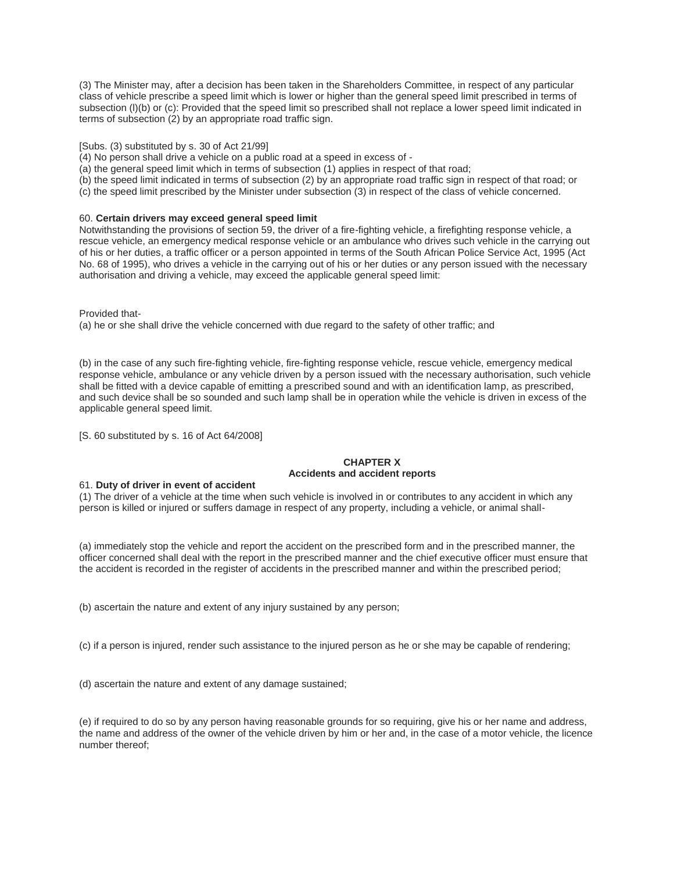(3) The Minister may, after a decision has been taken in the Shareholders Committee, in respect of any particular class of vehicle prescribe a speed limit which is lower or higher than the general speed limit prescribed in terms of subsection (I)(b) or (c): Provided that the speed limit so prescribed shall not replace a lower speed limit indicated in terms of subsection (2) by an appropriate road traffic sign.

[Subs. (3) substituted by s. 30 of Act 21/99]

(4) No person shall drive a vehicle on a public road at a speed in excess of -

(a) the general speed limit which in terms of subsection (1) applies in respect of that road;

(b) the speed limit indicated in terms of subsection (2) by an appropriate road traffic sign in respect of that road; or

(c) the speed limit prescribed by the Minister under subsection (3) in respect of the class of vehicle concerned.

### 60. **Certain drivers may exceed general speed limit**

Notwithstanding the provisions of section 59, the driver of a fire-fighting vehicle, a firefighting response vehicle, a rescue vehicle, an emergency medical response vehicle or an ambulance who drives such vehicle in the carrying out of his or her duties, a traffic officer or a person appointed in terms of the South African Police Service Act, 1995 (Act No. 68 of 1995), who drives a vehicle in the carrying out of his or her duties or any person issued with the necessary authorisation and driving a vehicle, may exceed the applicable general speed limit:

Provided that-

(a) he or she shall drive the vehicle concerned with due regard to the safety of other traffic; and

(b) in the case of any such fire-fighting vehicle, fire-fighting response vehicle, rescue vehicle, emergency medical response vehicle, ambulance or any vehicle driven by a person issued with the necessary authorisation, such vehicle shall be fitted with a device capable of emitting a prescribed sound and with an identification lamp, as prescribed, and such device shall be so sounded and such lamp shall be in operation while the vehicle is driven in excess of the applicable general speed limit.

[S. 60 substituted by s. 16 of Act 64/2008]

# **CHAPTER X Accidents and accident reports**

### 61. **Duty of driver in event of accident**

(1) The driver of a vehicle at the time when such vehicle is involved in or contributes to any accident in which any person is killed or injured or suffers damage in respect of any property, including a vehicle, or animal shall-

(a) immediately stop the vehicle and report the accident on the prescribed form and in the prescribed manner, the officer concerned shall deal with the report in the prescribed manner and the chief executive officer must ensure that the accident is recorded in the register of accidents in the prescribed manner and within the prescribed period;

(b) ascertain the nature and extent of any injury sustained by any person;

(c) if a person is injured, render such assistance to the injured person as he or she may be capable of rendering;

(d) ascertain the nature and extent of any damage sustained;

(e) if required to do so by any person having reasonable grounds for so requiring, give his or her name and address, the name and address of the owner of the vehicle driven by him or her and, in the case of a motor vehicle, the licence number thereof;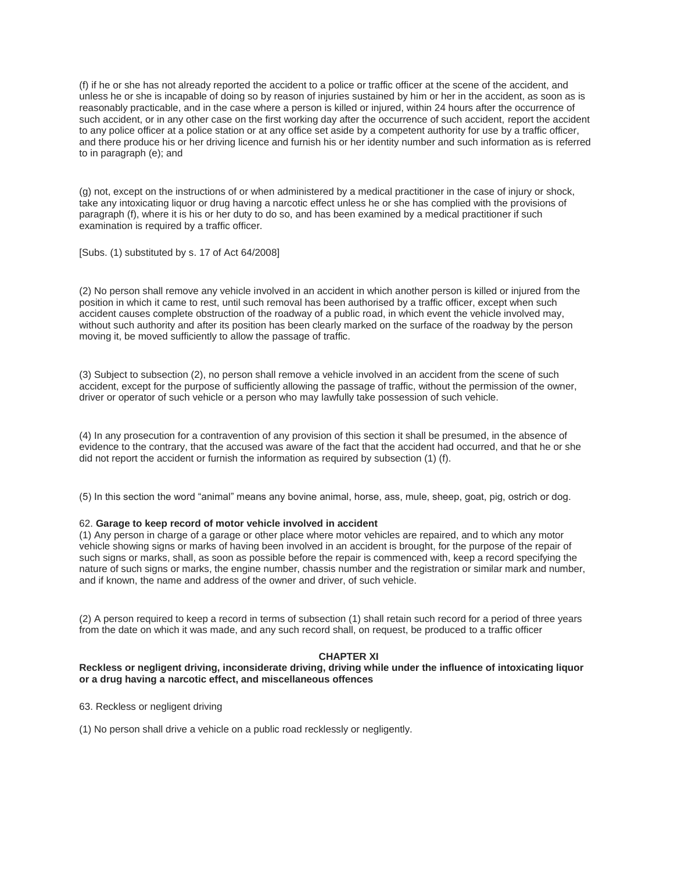(f) if he or she has not already reported the accident to a police or traffic officer at the scene of the accident, and unless he or she is incapable of doing so by reason of injuries sustained by him or her in the accident, as soon as is reasonably practicable, and in the case where a person is killed or injured, within 24 hours after the occurrence of such accident, or in any other case on the first working day after the occurrence of such accident, report the accident to any police officer at a police station or at any office set aside by a competent authority for use by a traffic officer, and there produce his or her driving licence and furnish his or her identity number and such information as is referred to in paragraph (e); and

(g) not, except on the instructions of or when administered by a medical practitioner in the case of injury or shock, take any intoxicating liquor or drug having a narcotic effect unless he or she has complied with the provisions of paragraph (f), where it is his or her duty to do so, and has been examined by a medical practitioner if such examination is required by a traffic officer.

[Subs. (1) substituted by s. 17 of Act 64/2008]

(2) No person shall remove any vehicle involved in an accident in which another person is killed or injured from the position in which it came to rest, until such removal has been authorised by a traffic officer, except when such accident causes complete obstruction of the roadway of a public road, in which event the vehicle involved may, without such authority and after its position has been clearly marked on the surface of the roadway by the person moving it, be moved sufficiently to allow the passage of traffic.

(3) Subject to subsection (2), no person shall remove a vehicle involved in an accident from the scene of such accident, except for the purpose of sufficiently allowing the passage of traffic, without the permission of the owner, driver or operator of such vehicle or a person who may lawfully take possession of such vehicle.

(4) In any prosecution for a contravention of any provision of this section it shall be presumed, in the absence of evidence to the contrary, that the accused was aware of the fact that the accident had occurred, and that he or she did not report the accident or furnish the information as required by subsection (1) (f).

(5) In this section the word "animal" means any bovine animal, horse, ass, mule, sheep, goat, pig, ostrich or dog.

# 62. **Garage to keep record of motor vehicle involved in accident**

(1) Any person in charge of a garage or other place where motor vehicles are repaired, and to which any motor vehicle showing signs or marks of having been involved in an accident is brought, for the purpose of the repair of such signs or marks, shall, as soon as possible before the repair is commenced with, keep a record specifying the nature of such signs or marks, the engine number, chassis number and the registration or similar mark and number, and if known, the name and address of the owner and driver, of such vehicle.

(2) A person required to keep a record in terms of subsection (1) shall retain such record for a period of three years from the date on which it was made, and any such record shall, on request, be produced to a traffic officer

#### **CHAPTER XI**

# **Reckless or negligent driving, inconsiderate driving, driving while under the influence of intoxicating liquor or a drug having a narcotic effect, and miscellaneous offences**

63. Reckless or negligent driving

(1) No person shall drive a vehicle on a public road recklessly or negligently.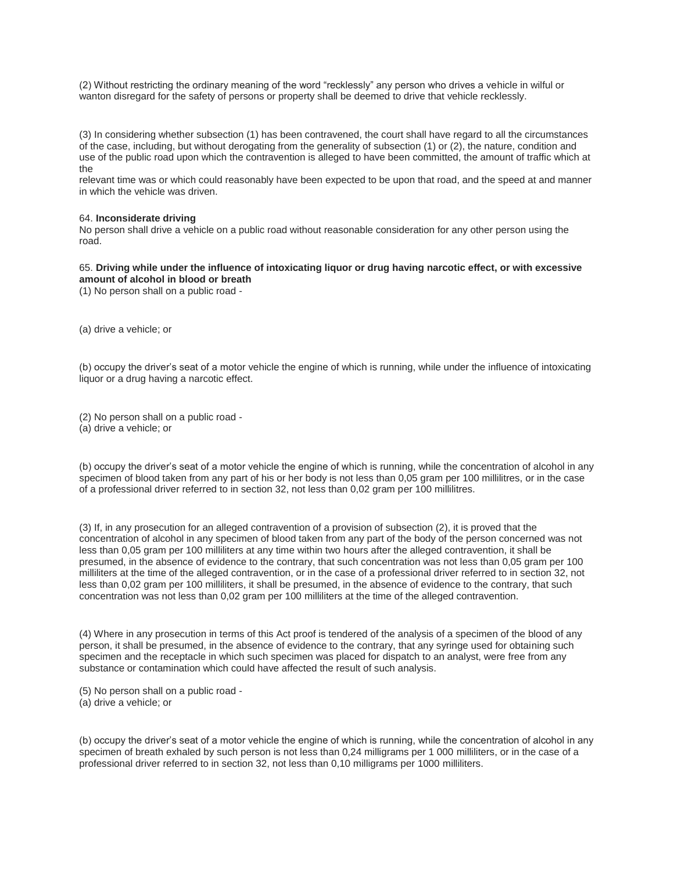(2) Without restricting the ordinary meaning of the word "recklessly" any person who drives a vehicle in wilful or wanton disregard for the safety of persons or property shall be deemed to drive that vehicle recklessly.

(3) In considering whether subsection (1) has been contravened, the court shall have regard to all the circumstances of the case, including, but without derogating from the generality of subsection (1) or (2), the nature, condition and use of the public road upon which the contravention is alleged to have been committed, the amount of traffic which at the

relevant time was or which could reasonably have been expected to be upon that road, and the speed at and manner in which the vehicle was driven.

#### 64. **Inconsiderate driving**

No person shall drive a vehicle on a public road without reasonable consideration for any other person using the road.

# 65. **Driving while under the influence of intoxicating liquor or drug having narcotic effect, or with excessive amount of alcohol in blood or breath**

(1) No person shall on a public road -

(a) drive a vehicle; or

(b) occupy the driver's seat of a motor vehicle the engine of which is running, while under the influence of intoxicating liquor or a drug having a narcotic effect.

(2) No person shall on a public road -

(a) drive a vehicle; or

(b) occupy the driver's seat of a motor vehicle the engine of which is running, while the concentration of alcohol in any specimen of blood taken from any part of his or her body is not less than 0,05 gram per 100 millilitres, or in the case of a professional driver referred to in section 32, not less than 0,02 gram per 100 millilitres.

(3) If, in any prosecution for an alleged contravention of a provision of subsection (2), it is proved that the concentration of alcohol in any specimen of blood taken from any part of the body of the person concerned was not less than 0,05 gram per 100 milliliters at any time within two hours after the alleged contravention, it shall be presumed, in the absence of evidence to the contrary, that such concentration was not less than 0,05 gram per 100 milliliters at the time of the alleged contravention, or in the case of a professional driver referred to in section 32, not less than 0,02 gram per 100 milliliters, it shall be presumed, in the absence of evidence to the contrary, that such concentration was not less than 0.02 gram per 100 milliliters at the time of the alleged contravention.

(4) Where in any prosecution in terms of this Act proof is tendered of the analysis of a specimen of the blood of any person, it shall be presumed, in the absence of evidence to the contrary, that any syringe used for obtaining such specimen and the receptacle in which such specimen was placed for dispatch to an analyst, were free from any substance or contamination which could have affected the result of such analysis.

(5) No person shall on a public road -

(a) drive a vehicle; or

(b) occupy the driver's seat of a motor vehicle the engine of which is running, while the concentration of alcohol in any specimen of breath exhaled by such person is not less than 0,24 milligrams per 1 000 milliliters, or in the case of a professional driver referred to in section 32, not less than 0,10 milligrams per 1000 milliliters.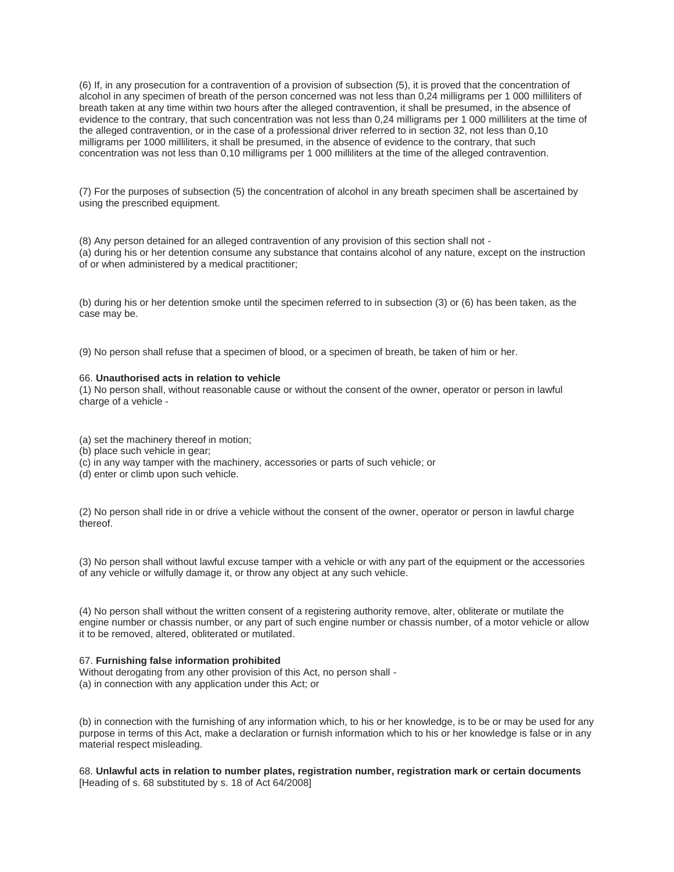(6) If, in any prosecution for a contravention of a provision of subsection (5), it is proved that the concentration of alcohol in any specimen of breath of the person concerned was not less than 0,24 milligrams per 1 000 milliliters of breath taken at any time within two hours after the alleged contravention, it shall be presumed, in the absence of evidence to the contrary, that such concentration was not less than 0,24 milligrams per 1 000 milliliters at the time of the alleged contravention, or in the case of a professional driver referred to in section 32, not less than 0,10 milligrams per 1000 milliliters, it shall be presumed, in the absence of evidence to the contrary, that such concentration was not less than 0,10 milligrams per 1 000 milliliters at the time of the alleged contravention.

(7) For the purposes of subsection (5) the concentration of alcohol in any breath specimen shall be ascertained by using the prescribed equipment.

(8) Any person detained for an alleged contravention of any provision of this section shall not - (a) during his or her detention consume any substance that contains alcohol of any nature, except on the instruction of or when administered by a medical practitioner;

(b) during his or her detention smoke until the specimen referred to in subsection (3) or (6) has been taken, as the case may be.

(9) No person shall refuse that a specimen of blood, or a specimen of breath, be taken of him or her.

### 66. **Unauthorised acts in relation to vehicle**

(1) No person shall, without reasonable cause or without the consent of the owner, operator or person in lawful charge of a vehicle -

(a) set the machinery thereof in motion;

- (b) place such vehicle in gear;
- (c) in any way tamper with the machinery, accessories or parts of such vehicle; or
- (d) enter or climb upon such vehicle.

(2) No person shall ride in or drive a vehicle without the consent of the owner, operator or person in lawful charge thereof.

(3) No person shall without lawful excuse tamper with a vehicle or with any part of the equipment or the accessories of any vehicle or wilfully damage it, or throw any object at any such vehicle.

(4) No person shall without the written consent of a registering authority remove, alter, obliterate or mutilate the engine number or chassis number, or any part of such engine number or chassis number, of a motor vehicle or allow it to be removed, altered, obliterated or mutilated.

#### 67. **Furnishing false information prohibited**

Without derogating from any other provision of this Act, no person shall -(a) in connection with any application under this Act; or

(b) in connection with the furnishing of any information which, to his or her knowledge, is to be or may be used for any purpose in terms of this Act, make a declaration or furnish information which to his or her knowledge is false or in any material respect misleading.

68. **Unlawful acts in relation to number plates, registration number, registration mark or certain documents** [Heading of s. 68 substituted by s. 18 of Act 64/2008]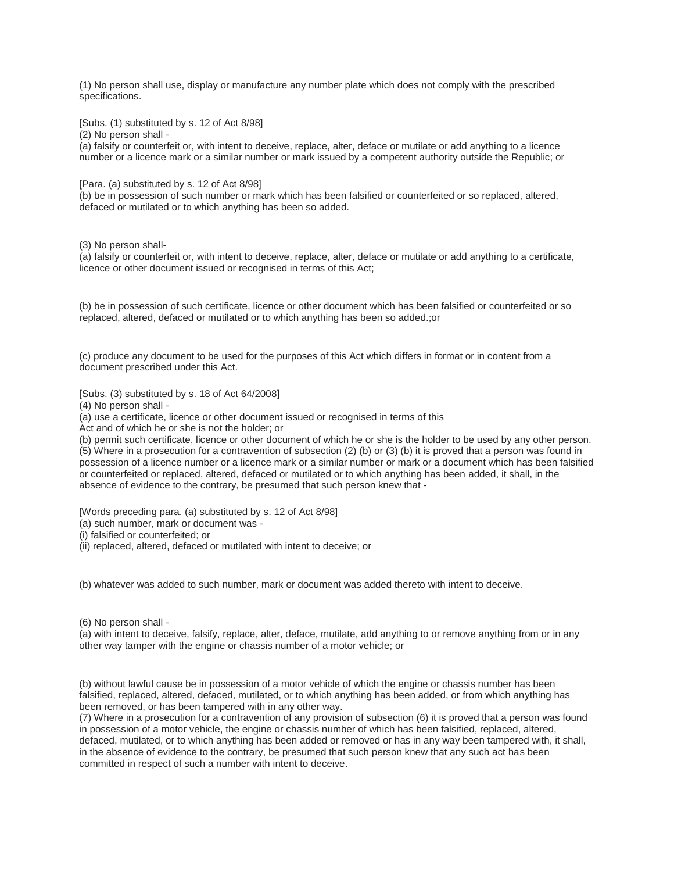(1) No person shall use, display or manufacture any number plate which does not comply with the prescribed specifications.

[Subs. (1) substituted by s. 12 of Act 8/98]

(2) No person shall -

(a) falsify or counterfeit or, with intent to deceive, replace, alter, deface or mutilate or add anything to a licence number or a licence mark or a similar number or mark issued by a competent authority outside the Republic; or

[Para. (a) substituted by s. 12 of Act 8/98]

(b) be in possession of such number or mark which has been falsified or counterfeited or so replaced, altered, defaced or mutilated or to which anything has been so added.

(3) No person shall-

(a) falsify or counterfeit or, with intent to deceive, replace, alter, deface or mutilate or add anything to a certificate, licence or other document issued or recognised in terms of this Act;

(b) be in possession of such certificate, licence or other document which has been falsified or counterfeited or so replaced, altered, defaced or mutilated or to which anything has been so added.;or

(c) produce any document to be used for the purposes of this Act which differs in format or in content from a document prescribed under this Act.

[Subs. (3) substituted by s. 18 of Act 64/2008]

(4) No person shall -

(a) use a certificate, licence or other document issued or recognised in terms of this

Act and of which he or she is not the holder; or

(b) permit such certificate, licence or other document of which he or she is the holder to be used by any other person. (5) Where in a prosecution for a contravention of subsection (2) (b) or (3) (b) it is proved that a person was found in possession of a licence number or a licence mark or a similar number or mark or a document which has been falsified or counterfeited or replaced, altered, defaced or mutilated or to which anything has been added, it shall, in the absence of evidence to the contrary, be presumed that such person knew that -

[Words preceding para. (a) substituted by s. 12 of Act 8/98]

(a) such number, mark or document was -

(i) falsified or counterfeited; or

(ii) replaced, altered, defaced or mutilated with intent to deceive; or

(b) whatever was added to such number, mark or document was added thereto with intent to deceive.

(6) No person shall -

(a) with intent to deceive, falsify, replace, alter, deface, mutilate, add anything to or remove anything from or in any other way tamper with the engine or chassis number of a motor vehicle; or

(b) without lawful cause be in possession of a motor vehicle of which the engine or chassis number has been falsified, replaced, altered, defaced, mutilated, or to which anything has been added, or from which anything has been removed, or has been tampered with in any other way.

(7) Where in a prosecution for a contravention of any provision of subsection (6) it is proved that a person was found in possession of a motor vehicle, the engine or chassis number of which has been falsified, replaced, altered, defaced, mutilated, or to which anything has been added or removed or has in any way been tampered with, it shall, in the absence of evidence to the contrary, be presumed that such person knew that any such act has been committed in respect of such a number with intent to deceive.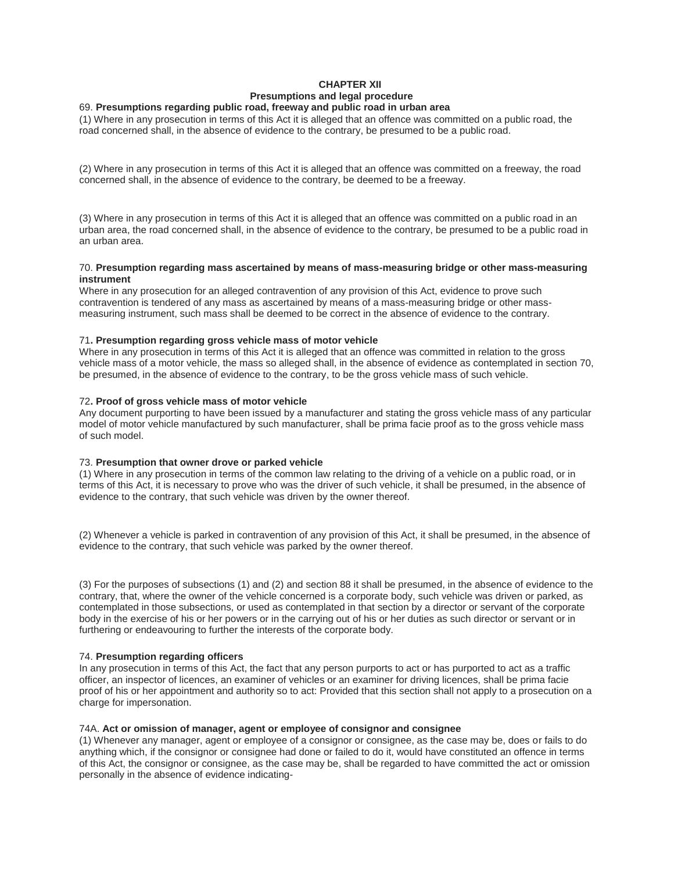# **CHAPTER XII Presumptions and legal procedure**

## 69. **Presumptions regarding public road, freeway and public road in urban area**

(1) Where in any prosecution in terms of this Act it is alleged that an offence was committed on a public road, the road concerned shall, in the absence of evidence to the contrary, be presumed to be a public road.

(2) Where in any prosecution in terms of this Act it is alleged that an offence was committed on a freeway, the road concerned shall, in the absence of evidence to the contrary, be deemed to be a freeway.

(3) Where in any prosecution in terms of this Act it is alleged that an offence was committed on a public road in an urban area, the road concerned shall, in the absence of evidence to the contrary, be presumed to be a public road in an urban area.

#### 70. **Presumption regarding mass ascertained by means of mass-measuring bridge or other mass-measuring instrument**

Where in any prosecution for an alleged contravention of any provision of this Act, evidence to prove such contravention is tendered of any mass as ascertained by means of a mass-measuring bridge or other massmeasuring instrument, such mass shall be deemed to be correct in the absence of evidence to the contrary.

### 71**. Presumption regarding gross vehicle mass of motor vehicle**

Where in any prosecution in terms of this Act it is alleged that an offence was committed in relation to the gross vehicle mass of a motor vehicle, the mass so alleged shall, in the absence of evidence as contemplated in section 70, be presumed, in the absence of evidence to the contrary, to be the gross vehicle mass of such vehicle.

### 72**. Proof of gross vehicle mass of motor vehicle**

Any document purporting to have been issued by a manufacturer and stating the gross vehicle mass of any particular model of motor vehicle manufactured by such manufacturer, shall be prima facie proof as to the gross vehicle mass of such model.

#### 73. **Presumption that owner drove or parked vehicle**

(1) Where in any prosecution in terms of the common law relating to the driving of a vehicle on a public road, or in terms of this Act, it is necessary to prove who was the driver of such vehicle, it shall be presumed, in the absence of evidence to the contrary, that such vehicle was driven by the owner thereof.

(2) Whenever a vehicle is parked in contravention of any provision of this Act, it shall be presumed, in the absence of evidence to the contrary, that such vehicle was parked by the owner thereof.

(3) For the purposes of subsections (1) and (2) and section 88 it shall be presumed, in the absence of evidence to the contrary, that, where the owner of the vehicle concerned is a corporate body, such vehicle was driven or parked, as contemplated in those subsections, or used as contemplated in that section by a director or servant of the corporate body in the exercise of his or her powers or in the carrying out of his or her duties as such director or servant or in furthering or endeavouring to further the interests of the corporate body.

#### 74. **Presumption regarding officers**

In any prosecution in terms of this Act, the fact that any person purports to act or has purported to act as a traffic officer, an inspector of licences, an examiner of vehicles or an examiner for driving licences, shall be prima facie proof of his or her appointment and authority so to act: Provided that this section shall not apply to a prosecution on a charge for impersonation.

#### 74A. **Act or omission of manager, agent or employee of consignor and consignee**

(1) Whenever any manager, agent or employee of a consignor or consignee, as the case may be, does or fails to do anything which, if the consignor or consignee had done or failed to do it, would have constituted an offence in terms of this Act, the consignor or consignee, as the case may be, shall be regarded to have committed the act or omission personally in the absence of evidence indicating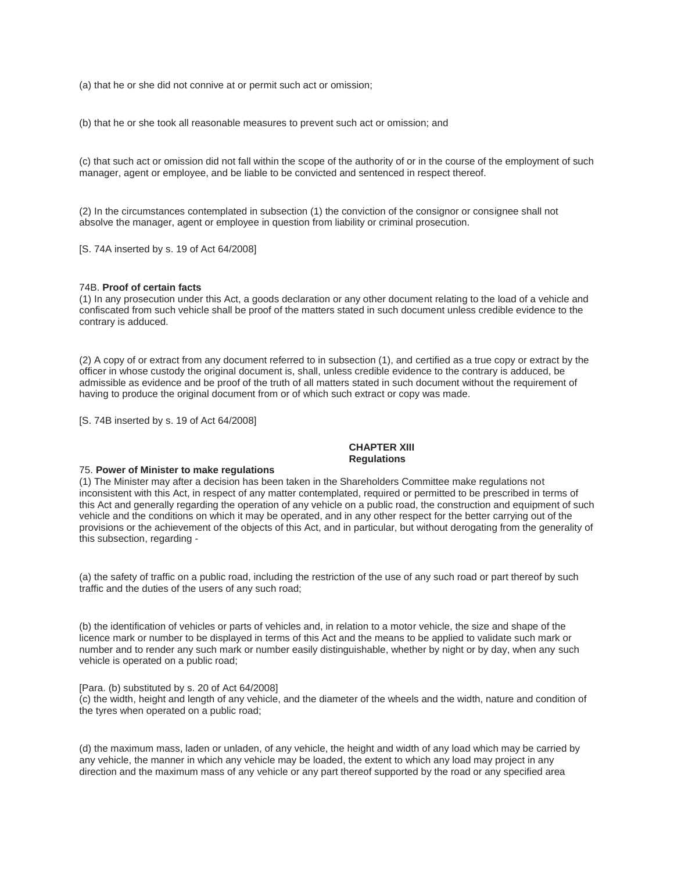(a) that he or she did not connive at or permit such act or omission;

(b) that he or she took all reasonable measures to prevent such act or omission; and

(c) that such act or omission did not fall within the scope of the authority of or in the course of the employment of such manager, agent or employee, and be liable to be convicted and sentenced in respect thereof.

(2) In the circumstances contemplated in subsection (1) the conviction of the consignor or consignee shall not absolve the manager, agent or employee in question from liability or criminal prosecution.

[S. 74A inserted by s. 19 of Act 64/2008]

# 74B. **Proof of certain facts**

(1) In any prosecution under this Act, a goods declaration or any other document relating to the load of a vehicle and confiscated from such vehicle shall be proof of the matters stated in such document unless credible evidence to the contrary is adduced.

(2) A copy of or extract from any document referred to in subsection (1), and certified as a true copy or extract by the officer in whose custody the original document is, shall, unless credible evidence to the contrary is adduced, be admissible as evidence and be proof of the truth of all matters stated in such document without the requirement of having to produce the original document from or of which such extract or copy was made.

[S. 74B inserted by s. 19 of Act 64/2008]

# **CHAPTER XIII Regulations**

#### 75. **Power of Minister to make regulations**

(1) The Minister may after a decision has been taken in the Shareholders Committee make regulations not inconsistent with this Act, in respect of any matter contemplated, required or permitted to be prescribed in terms of this Act and generally regarding the operation of any vehicle on a public road, the construction and equipment of such vehicle and the conditions on which it may be operated, and in any other respect for the better carrying out of the provisions or the achievement of the objects of this Act, and in particular, but without derogating from the generality of this subsection, regarding -

(a) the safety of traffic on a public road, including the restriction of the use of any such road or part thereof by such traffic and the duties of the users of any such road;

(b) the identification of vehicles or parts of vehicles and, in relation to a motor vehicle, the size and shape of the licence mark or number to be displayed in terms of this Act and the means to be applied to validate such mark or number and to render any such mark or number easily distinguishable, whether by night or by day, when any such vehicle is operated on a public road;

#### [Para. (b) substituted by s. 20 of Act 64/2008]

(c) the width, height and length of any vehicle, and the diameter of the wheels and the width, nature and condition of the tyres when operated on a public road;

(d) the maximum mass, laden or unladen, of any vehicle, the height and width of any load which may be carried by any vehicle, the manner in which any vehicle may be loaded, the extent to which any load may project in any direction and the maximum mass of any vehicle or any part thereof supported by the road or any specified area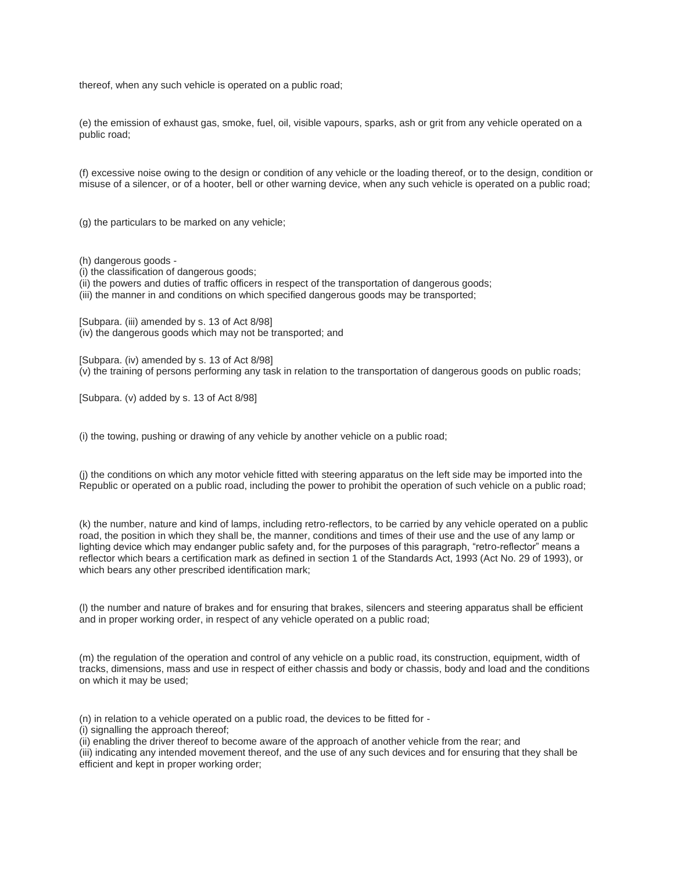thereof, when any such vehicle is operated on a public road;

(e) the emission of exhaust gas, smoke, fuel, oil, visible vapours, sparks, ash or grit from any vehicle operated on a public road;

(f) excessive noise owing to the design or condition of any vehicle or the loading thereof, or to the design, condition or misuse of a silencer, or of a hooter, bell or other warning device, when any such vehicle is operated on a public road;

(g) the particulars to be marked on any vehicle;

(h) dangerous goods -

- (i) the classification of dangerous goods;
- (ii) the powers and duties of traffic officers in respect of the transportation of dangerous goods;
- (iii) the manner in and conditions on which specified dangerous goods may be transported;

[Subpara. (iii) amended by s. 13 of Act 8/98] (iv) the dangerous goods which may not be transported; and

[Subpara. (iv) amended by s. 13 of Act 8/98] (v) the training of persons performing any task in relation to the transportation of dangerous goods on public roads;

[Subpara. (v) added by s. 13 of Act 8/98]

(i) the towing, pushing or drawing of any vehicle by another vehicle on a public road;

(j) the conditions on which any motor vehicle fitted with steering apparatus on the left side may be imported into the Republic or operated on a public road, including the power to prohibit the operation of such vehicle on a public road;

(k) the number, nature and kind of lamps, including retro-reflectors, to be carried by any vehicle operated on a public road, the position in which they shall be, the manner, conditions and times of their use and the use of any lamp or lighting device which may endanger public safety and, for the purposes of this paragraph, "retro-reflector" means a reflector which bears a certification mark as defined in section 1 of the Standards Act, 1993 (Act No. 29 of 1993), or which bears any other prescribed identification mark;

(l) the number and nature of brakes and for ensuring that brakes, silencers and steering apparatus shall be efficient and in proper working order, in respect of any vehicle operated on a public road;

(m) the regulation of the operation and control of any vehicle on a public road, its construction, equipment, width of tracks, dimensions, mass and use in respect of either chassis and body or chassis, body and load and the conditions on which it may be used;

(n) in relation to a vehicle operated on a public road, the devices to be fitted for -

(i) signalling the approach thereof;

(ii) enabling the driver thereof to become aware of the approach of another vehicle from the rear; and

(iii) indicating any intended movement thereof, and the use of any such devices and for ensuring that they shall be efficient and kept in proper working order;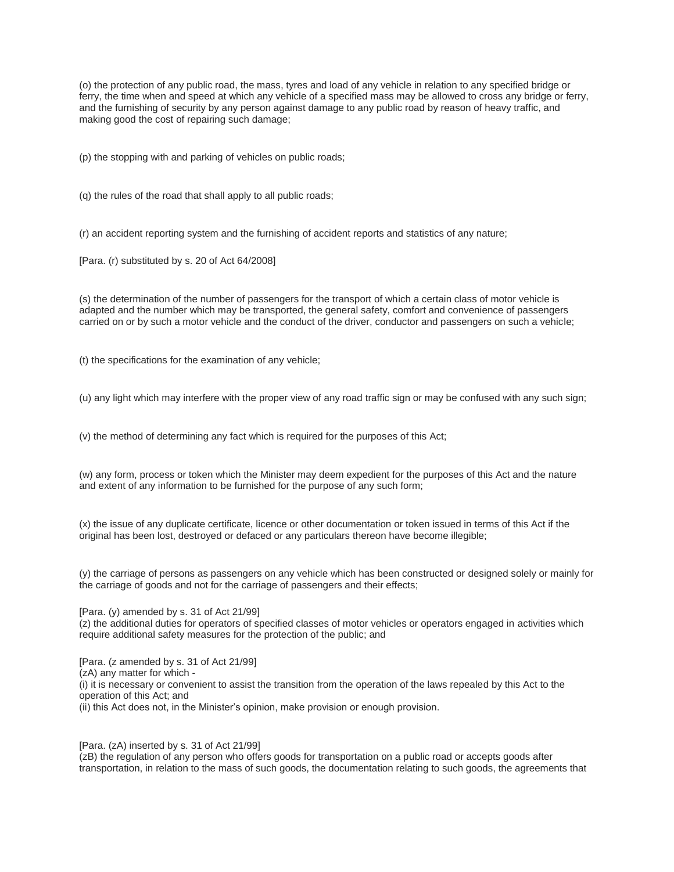(o) the protection of any public road, the mass, tyres and load of any vehicle in relation to any specified bridge or ferry, the time when and speed at which any vehicle of a specified mass may be allowed to cross any bridge or ferry, and the furnishing of security by any person against damage to any public road by reason of heavy traffic, and making good the cost of repairing such damage;

(p) the stopping with and parking of vehicles on public roads;

(q) the rules of the road that shall apply to all public roads;

(r) an accident reporting system and the furnishing of accident reports and statistics of any nature;

[Para. (r) substituted by s. 20 of Act 64/2008]

(s) the determination of the number of passengers for the transport of which a certain class of motor vehicle is adapted and the number which may be transported, the general safety, comfort and convenience of passengers carried on or by such a motor vehicle and the conduct of the driver, conductor and passengers on such a vehicle;

(t) the specifications for the examination of any vehicle;

(u) any light which may interfere with the proper view of any road traffic sign or may be confused with any such sign;

(v) the method of determining any fact which is required for the purposes of this Act;

(w) any form, process or token which the Minister may deem expedient for the purposes of this Act and the nature and extent of any information to be furnished for the purpose of any such form;

(x) the issue of any duplicate certificate, licence or other documentation or token issued in terms of this Act if the original has been lost, destroyed or defaced or any particulars thereon have become illegible;

(y) the carriage of persons as passengers on any vehicle which has been constructed or designed solely or mainly for the carriage of goods and not for the carriage of passengers and their effects;

[Para. (y) amended by s. 31 of Act 21/99]

(z) the additional duties for operators of specified classes of motor vehicles or operators engaged in activities which require additional safety measures for the protection of the public; and

[Para. (z amended by s. 31 of Act 21/99] (zA) any matter for which - (i) it is necessary or convenient to assist the transition from the operation of the laws repealed by this Act to the operation of this Act; and (ii) this Act does not, in the Minister's opinion, make provision or enough provision.

[Para. (zA) inserted by s. 31 of Act 21/99]

(zB) the regulation of any person who offers goods for transportation on a public road or accepts goods after transportation, in relation to the mass of such goods, the documentation relating to such goods, the agreements that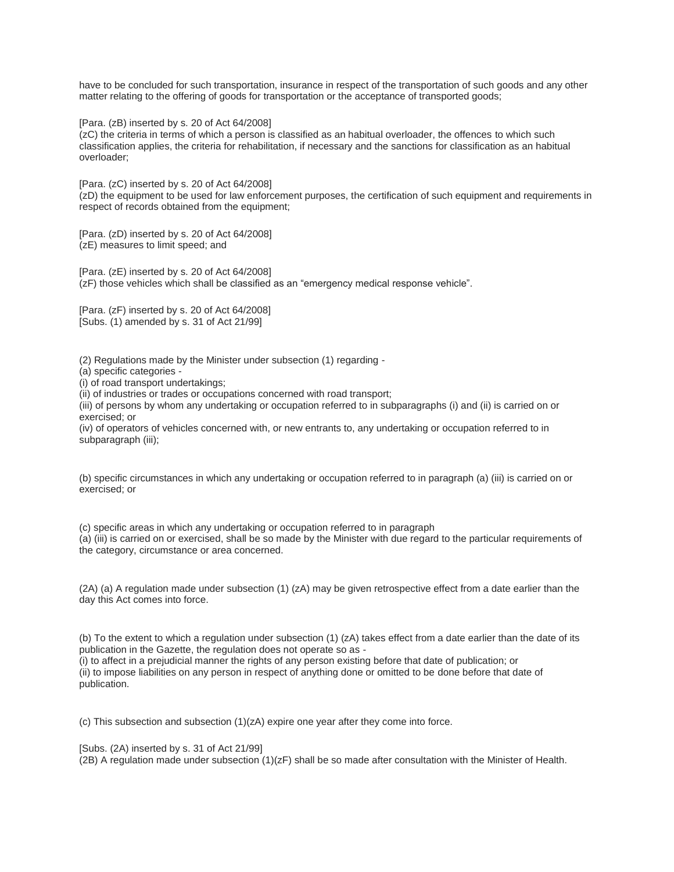have to be concluded for such transportation, insurance in respect of the transportation of such goods and any other matter relating to the offering of goods for transportation or the acceptance of transported goods;

[Para. (zB) inserted by s. 20 of Act 64/2008]

(zC) the criteria in terms of which a person is classified as an habitual overloader, the offences to which such classification applies, the criteria for rehabilitation, if necessary and the sanctions for classification as an habitual overloader;

[Para. (zC) inserted by s. 20 of Act 64/2008] (zD) the equipment to be used for law enforcement purposes, the certification of such equipment and requirements in respect of records obtained from the equipment;

[Para. (zD) inserted by s. 20 of Act 64/2008] (zE) measures to limit speed; and

[Para. (zE) inserted by s. 20 of Act 64/2008] (zF) those vehicles which shall be classified as an "emergency medical response vehicle".

[Para. (zF) inserted by s. 20 of Act 64/2008] [Subs. (1) amended by s. 31 of Act 21/99]

(2) Regulations made by the Minister under subsection (1) regarding -

- (a) specific categories -
- (i) of road transport undertakings;

(ii) of industries or trades or occupations concerned with road transport;

(iii) of persons by whom any undertaking or occupation referred to in subparagraphs (i) and (ii) is carried on or exercised; or

(iv) of operators of vehicles concerned with, or new entrants to, any undertaking or occupation referred to in subparagraph (iii);

(b) specific circumstances in which any undertaking or occupation referred to in paragraph (a) (iii) is carried on or exercised; or

(c) specific areas in which any undertaking or occupation referred to in paragraph

(a) (iii) is carried on or exercised, shall be so made by the Minister with due regard to the particular requirements of the category, circumstance or area concerned.

(2A) (a) A regulation made under subsection (1) (zA) may be given retrospective effect from a date earlier than the day this Act comes into force.

(b) To the extent to which a regulation under subsection (1) (zA) takes effect from a date earlier than the date of its publication in the Gazette, the regulation does not operate so as -

(i) to affect in a prejudicial manner the rights of any person existing before that date of publication; or (ii) to impose liabilities on any person in respect of anything done or omitted to be done before that date of publication.

(c) This subsection and subsection (1)(zA) expire one year after they come into force.

[Subs. (2A) inserted by s. 31 of Act 21/99]

(2B) A regulation made under subsection (1)(zF) shall be so made after consultation with the Minister of Health.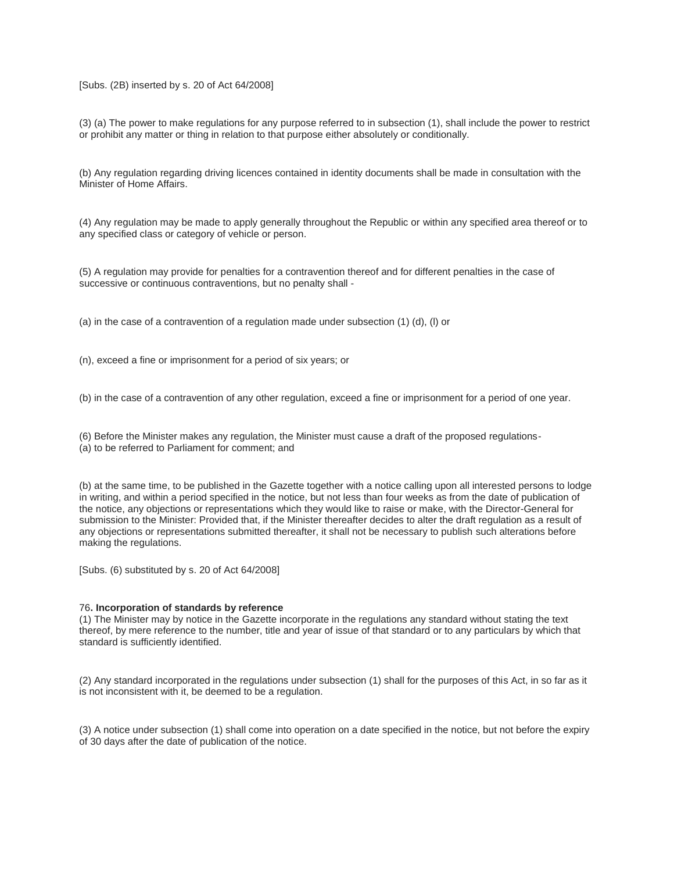### [Subs. (2B) inserted by s. 20 of Act 64/2008]

(3) (a) The power to make regulations for any purpose referred to in subsection (1), shall include the power to restrict or prohibit any matter or thing in relation to that purpose either absolutely or conditionally.

(b) Any regulation regarding driving licences contained in identity documents shall be made in consultation with the Minister of Home Affairs.

(4) Any regulation may be made to apply generally throughout the Republic or within any specified area thereof or to any specified class or category of vehicle or person.

(5) A regulation may provide for penalties for a contravention thereof and for different penalties in the case of successive or continuous contraventions, but no penalty shall -

(a) in the case of a contravention of a regulation made under subsection (1) (d), (l) or

(n), exceed a fine or imprisonment for a period of six years; or

(b) in the case of a contravention of any other regulation, exceed a fine or imprisonment for a period of one year.

(6) Before the Minister makes any regulation, the Minister must cause a draft of the proposed regulations- (a) to be referred to Parliament for comment; and

(b) at the same time, to be published in the Gazette together with a notice calling upon all interested persons to lodge in writing, and within a period specified in the notice, but not less than four weeks as from the date of publication of the notice, any objections or representations which they would like to raise or make, with the Director-General for submission to the Minister: Provided that, if the Minister thereafter decides to alter the draft regulation as a result of any objections or representations submitted thereafter, it shall not be necessary to publish such alterations before making the regulations.

[Subs. (6) substituted by s. 20 of Act 64/2008]

#### 76**. Incorporation of standards by reference**

(1) The Minister may by notice in the Gazette incorporate in the regulations any standard without stating the text thereof, by mere reference to the number, title and year of issue of that standard or to any particulars by which that standard is sufficiently identified.

(2) Any standard incorporated in the regulations under subsection (1) shall for the purposes of this Act, in so far as it is not inconsistent with it, be deemed to be a regulation.

(3) A notice under subsection (1) shall come into operation on a date specified in the notice, but not before the expiry of 30 days after the date of publication of the notice.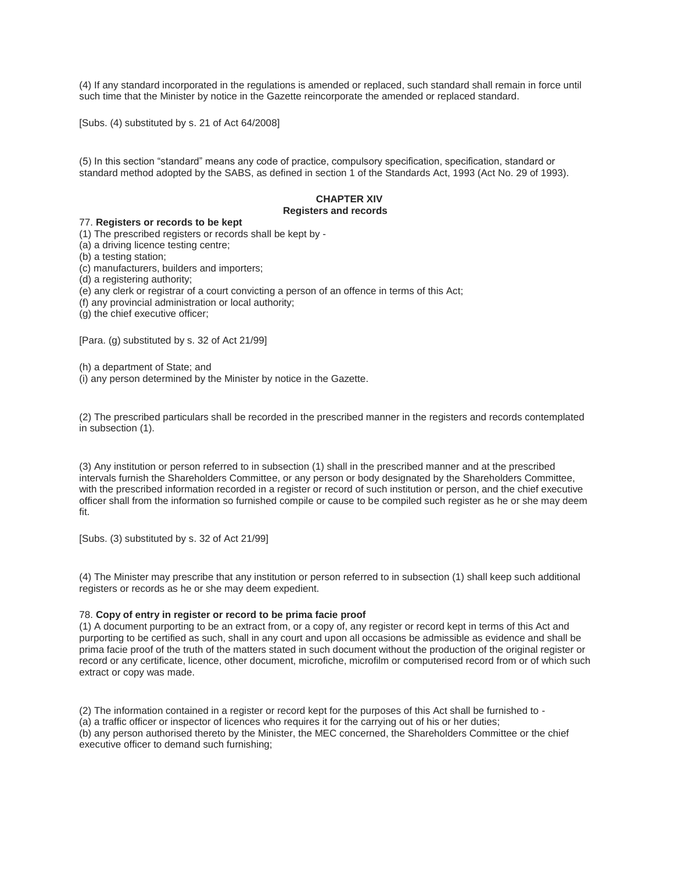(4) If any standard incorporated in the regulations is amended or replaced, such standard shall remain in force until such time that the Minister by notice in the Gazette reincorporate the amended or replaced standard.

[Subs. (4) substituted by s. 21 of Act 64/2008]

(5) In this section "standard" means any code of practice, compulsory specification, specification, standard or standard method adopted by the SABS, as defined in section 1 of the Standards Act, 1993 (Act No. 29 of 1993).

## **CHAPTER XIV Registers and records**

# 77. **Registers or records to be kept**

(1) The prescribed registers or records shall be kept by -

(a) a driving licence testing centre;

(b) a testing station;

(c) manufacturers, builders and importers;

(d) a registering authority;

(e) any clerk or registrar of a court convicting a person of an offence in terms of this Act;

(f) any provincial administration or local authority;

(g) the chief executive officer;

[Para. (g) substituted by s. 32 of Act 21/99]

(h) a department of State; and

(i) any person determined by the Minister by notice in the Gazette.

(2) The prescribed particulars shall be recorded in the prescribed manner in the registers and records contemplated in subsection (1).

(3) Any institution or person referred to in subsection (1) shall in the prescribed manner and at the prescribed intervals furnish the Shareholders Committee, or any person or body designated by the Shareholders Committee, with the prescribed information recorded in a register or record of such institution or person, and the chief executive officer shall from the information so furnished compile or cause to be compiled such register as he or she may deem fit.

[Subs. (3) substituted by s. 32 of Act 21/99]

(4) The Minister may prescribe that any institution or person referred to in subsection (1) shall keep such additional registers or records as he or she may deem expedient.

### 78. **Copy of entry in register or record to be prima facie proof**

(1) A document purporting to be an extract from, or a copy of, any register or record kept in terms of this Act and purporting to be certified as such, shall in any court and upon all occasions be admissible as evidence and shall be prima facie proof of the truth of the matters stated in such document without the production of the original register or record or any certificate, licence, other document, microfiche, microfilm or computerised record from or of which such extract or copy was made.

(2) The information contained in a register or record kept for the purposes of this Act shall be furnished to - (a) a traffic officer or inspector of licences who requires it for the carrying out of his or her duties; (b) any person authorised thereto by the Minister, the MEC concerned, the Shareholders Committee or the chief executive officer to demand such furnishing;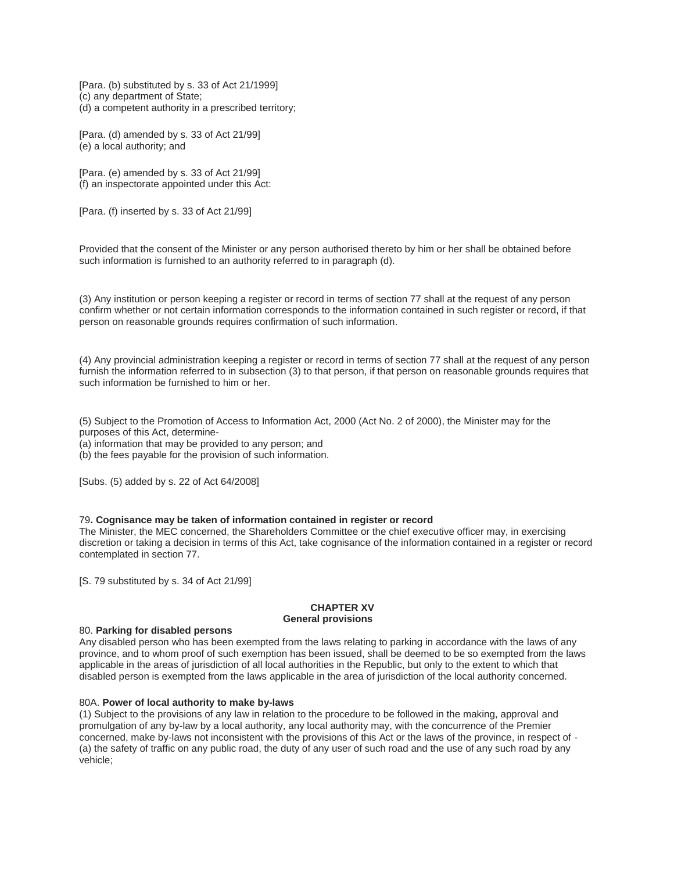[Para. (b) substituted by s. 33 of Act 21/1999] (c) any department of State; (d) a competent authority in a prescribed territory;

[Para. (d) amended by s. 33 of Act 21/99] (e) a local authority; and

[Para. (e) amended by s. 33 of Act 21/99] (f) an inspectorate appointed under this Act:

[Para. (f) inserted by s. 33 of Act 21/99]

Provided that the consent of the Minister or any person authorised thereto by him or her shall be obtained before such information is furnished to an authority referred to in paragraph (d).

(3) Any institution or person keeping a register or record in terms of section 77 shall at the request of any person confirm whether or not certain information corresponds to the information contained in such register or record, if that person on reasonable grounds requires confirmation of such information.

(4) Any provincial administration keeping a register or record in terms of section 77 shall at the request of any person furnish the information referred to in subsection (3) to that person, if that person on reasonable grounds requires that such information be furnished to him or her.

(5) Subject to the Promotion of Access to Information Act, 2000 (Act No. 2 of 2000), the Minister may for the purposes of this Act, determine-

(a) information that may be provided to any person; and

(b) the fees payable for the provision of such information.

[Subs. (5) added by s. 22 of Act 64/2008]

#### 79**. Cognisance may be taken of information contained in register or record**

The Minister, the MEC concerned, the Shareholders Committee or the chief executive officer may, in exercising discretion or taking a decision in terms of this Act, take cognisance of the information contained in a register or record contemplated in section 77.

[S. 79 substituted by s. 34 of Act 21/99]

#### **CHAPTER XV General provisions**

#### 80. **Parking for disabled persons**

Any disabled person who has been exempted from the laws relating to parking in accordance with the laws of any province, and to whom proof of such exemption has been issued, shall be deemed to be so exempted from the laws applicable in the areas of jurisdiction of all local authorities in the Republic, but only to the extent to which that disabled person is exempted from the laws applicable in the area of jurisdiction of the local authority concerned.

#### 80A. **Power of local authority to make by-laws**

(1) Subject to the provisions of any law in relation to the procedure to be followed in the making, approval and promulgation of any by-law by a local authority, any local authority may, with the concurrence of the Premier concerned, make by-laws not inconsistent with the provisions of this Act or the laws of the province, in respect of - (a) the safety of traffic on any public road, the duty of any user of such road and the use of any such road by any vehicle;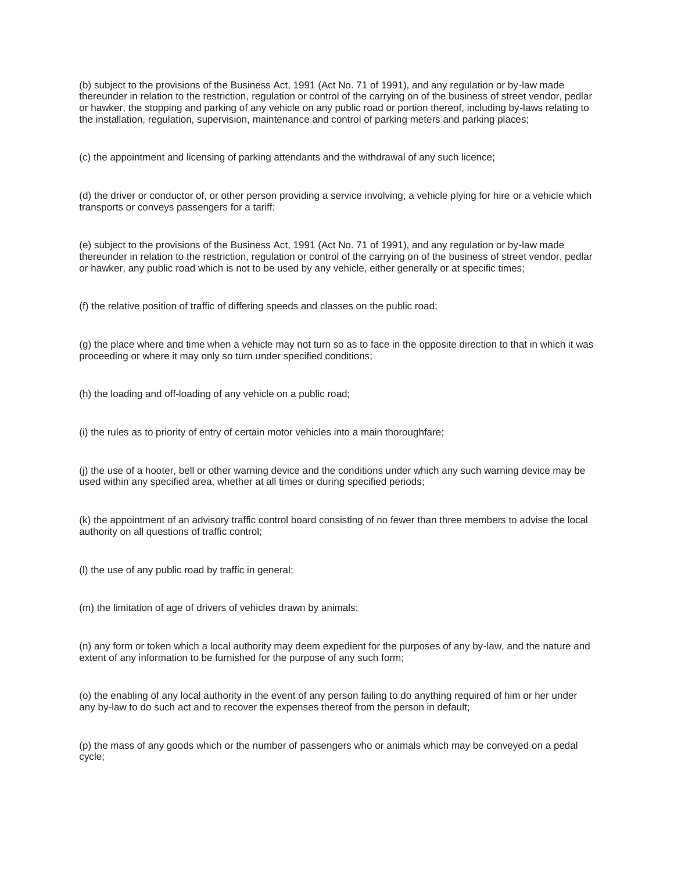(b) subject to the provisions of the Business Act, 1991 (Act No. 71 of 1991), and any regulation or by-law made thereunder in relation to the restriction, regulation or control of the carrying on of the business of street vendor, pedlar or hawker, the stopping and parking of any vehicle on any public road or portion thereof, including by-laws relating to the installation, regulation, supervision, maintenance and control of parking meters and parking places;

(c) the appointment and licensing of parking attendants and the withdrawal of any such licence;

(d) the driver or conductor of, or other person providing a service involving, a vehicle plying for hire or a vehicle which transports or conveys passengers for a tariff;

(e) subject to the provisions of the Business Act, 1991 (Act No. 71 of 1991), and any regulation or by-law made thereunder in relation to the restriction, regulation or control of the carrying on of the business of street vendor, pedlar or hawker, any public road which is not to be used by any vehicle, either generally or at specific times;

(f) the relative position of traffic of differing speeds and classes on the public road;

(g) the place where and time when a vehicle may not turn so as to face in the opposite direction to that in which it was proceeding or where it may only so turn under specified conditions;

(h) the loading and off-loading of any vehicle on a public road;

(i) the rules as to priority of entry of certain motor vehicles into a main thoroughfare;

(j) the use of a hooter, bell or other warning device and the conditions under which any such warning device may be used within any specified area, whether at all times or during specified periods;

(k) the appointment of an advisory traffic control board consisting of no fewer than three members to advise the local authority on all questions of traffic control;

(l) the use of any public road by traffic in general;

(m) the limitation of age of drivers of vehicles drawn by animals;

(n) any form or token which a local authority may deem expedient for the purposes of any by-law, and the nature and extent of any information to be furnished for the purpose of any such form;

(o) the enabling of any local authority in the event of any person failing to do anything required of him or her under any by-law to do such act and to recover the expenses thereof from the person in default;

(p) the mass of any goods which or the number of passengers who or animals which may be conveyed on a pedal cycle;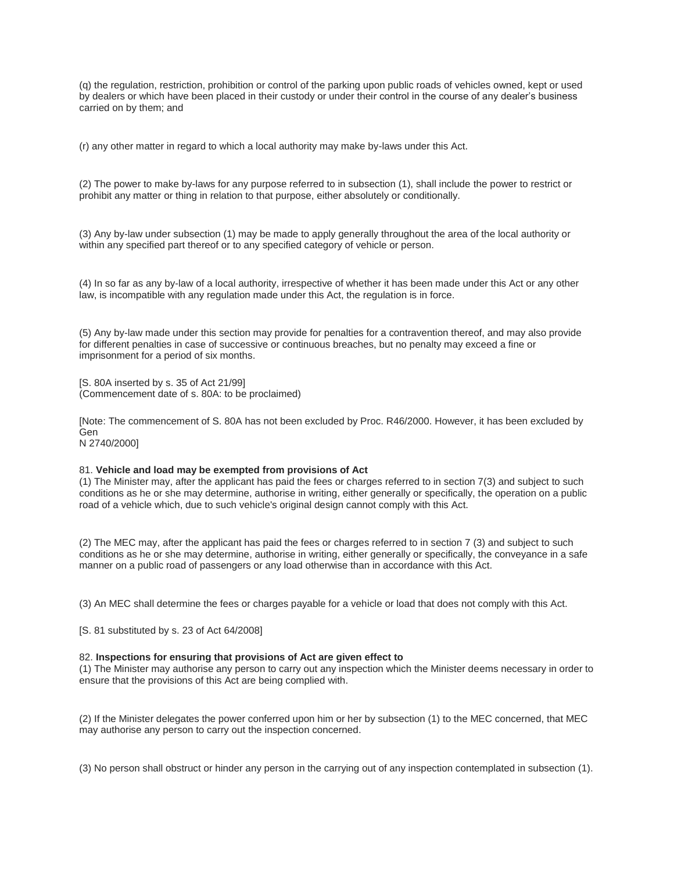(q) the regulation, restriction, prohibition or control of the parking upon public roads of vehicles owned, kept or used by dealers or which have been placed in their custody or under their control in the course of any dealer's business carried on by them; and

(r) any other matter in regard to which a local authority may make by-laws under this Act.

(2) The power to make by-laws for any purpose referred to in subsection (1), shall include the power to restrict or prohibit any matter or thing in relation to that purpose, either absolutely or conditionally.

(3) Any by-law under subsection (1) may be made to apply generally throughout the area of the local authority or within any specified part thereof or to any specified category of vehicle or person.

(4) In so far as any by-law of a local authority, irrespective of whether it has been made under this Act or any other law, is incompatible with any regulation made under this Act, the regulation is in force.

(5) Any by-law made under this section may provide for penalties for a contravention thereof, and may also provide for different penalties in case of successive or continuous breaches, but no penalty may exceed a fine or imprisonment for a period of six months.

[S. 80A inserted by s. 35 of Act 21/99] (Commencement date of s. 80A: to be proclaimed)

[Note: The commencement of S. 80A has not been excluded by Proc. R46/2000. However, it has been excluded by Gen

N 2740/2000]

#### 81. **Vehicle and load may be exempted from provisions of Act**

(1) The Minister may, after the applicant has paid the fees or charges referred to in section 7(3) and subject to such conditions as he or she may determine, authorise in writing, either generally or specifically, the operation on a public road of a vehicle which, due to such vehicle's original design cannot comply with this Act.

(2) The MEC may, after the applicant has paid the fees or charges referred to in section 7 (3) and subject to such conditions as he or she may determine, authorise in writing, either generally or specifically, the conveyance in a safe manner on a public road of passengers or any load otherwise than in accordance with this Act.

(3) An MEC shall determine the fees or charges payable for a vehicle or load that does not comply with this Act.

[S. 81 substituted by s. 23 of Act 64/2008]

#### 82. **Inspections for ensuring that provisions of Act are given effect to**

(1) The Minister may authorise any person to carry out any inspection which the Minister deems necessary in order to ensure that the provisions of this Act are being complied with.

(2) If the Minister delegates the power conferred upon him or her by subsection (1) to the MEC concerned, that MEC may authorise any person to carry out the inspection concerned.

(3) No person shall obstruct or hinder any person in the carrying out of any inspection contemplated in subsection (1).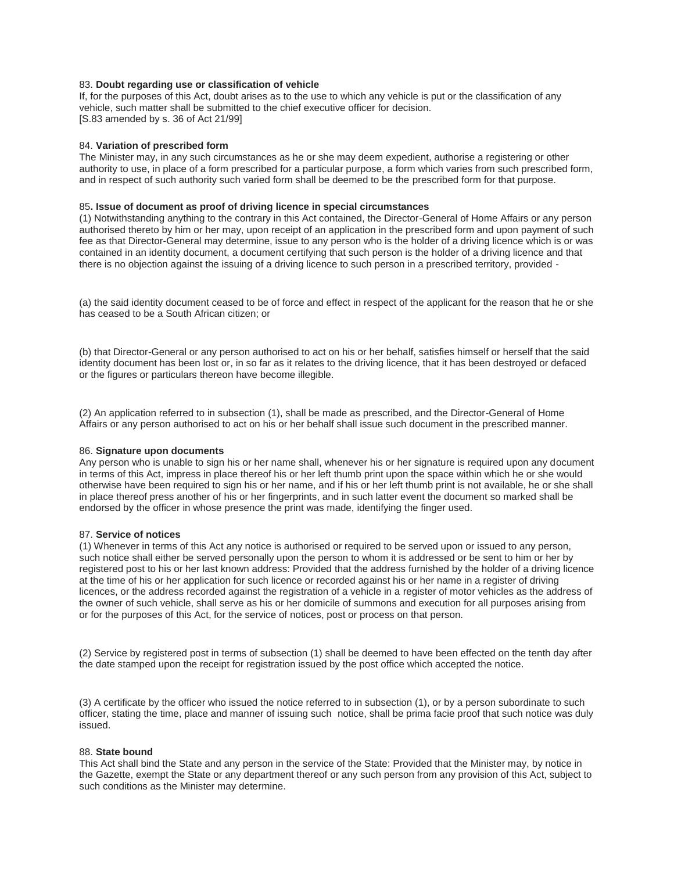### 83. **Doubt regarding use or classification of vehicle**

If, for the purposes of this Act, doubt arises as to the use to which any vehicle is put or the classification of any vehicle, such matter shall be submitted to the chief executive officer for decision. [S.83 amended by s. 36 of Act 21/99]

### 84. **Variation of prescribed form**

The Minister may, in any such circumstances as he or she may deem expedient, authorise a registering or other authority to use, in place of a form prescribed for a particular purpose, a form which varies from such prescribed form, and in respect of such authority such varied form shall be deemed to be the prescribed form for that purpose.

#### 85**. Issue of document as proof of driving licence in special circumstances**

(1) Notwithstanding anything to the contrary in this Act contained, the Director-General of Home Affairs or any person authorised thereto by him or her may, upon receipt of an application in the prescribed form and upon payment of such fee as that Director-General may determine, issue to any person who is the holder of a driving licence which is or was contained in an identity document, a document certifying that such person is the holder of a driving licence and that there is no objection against the issuing of a driving licence to such person in a prescribed territory, provided -

(a) the said identity document ceased to be of force and effect in respect of the applicant for the reason that he or she has ceased to be a South African citizen; or

(b) that Director-General or any person authorised to act on his or her behalf, satisfies himself or herself that the said identity document has been lost or, in so far as it relates to the driving licence, that it has been destroyed or defaced or the figures or particulars thereon have become illegible.

(2) An application referred to in subsection (1), shall be made as prescribed, and the Director-General of Home Affairs or any person authorised to act on his or her behalf shall issue such document in the prescribed manner.

#### 86. **Signature upon documents**

Any person who is unable to sign his or her name shall, whenever his or her signature is required upon any document in terms of this Act, impress in place thereof his or her left thumb print upon the space within which he or she would otherwise have been required to sign his or her name, and if his or her left thumb print is not available, he or she shall in place thereof press another of his or her fingerprints, and in such latter event the document so marked shall be endorsed by the officer in whose presence the print was made, identifying the finger used.

#### 87. **Service of notices**

(1) Whenever in terms of this Act any notice is authorised or required to be served upon or issued to any person, such notice shall either be served personally upon the person to whom it is addressed or be sent to him or her by registered post to his or her last known address: Provided that the address furnished by the holder of a driving licence at the time of his or her application for such licence or recorded against his or her name in a register of driving licences, or the address recorded against the registration of a vehicle in a register of motor vehicles as the address of the owner of such vehicle, shall serve as his or her domicile of summons and execution for all purposes arising from or for the purposes of this Act, for the service of notices, post or process on that person.

(2) Service by registered post in terms of subsection (1) shall be deemed to have been effected on the tenth day after the date stamped upon the receipt for registration issued by the post office which accepted the notice.

(3) A certificate by the officer who issued the notice referred to in subsection (1), or by a person subordinate to such officer, stating the time, place and manner of issuing such notice, shall be prima facie proof that such notice was duly issued.

### 88. **State bound**

This Act shall bind the State and any person in the service of the State: Provided that the Minister may, by notice in the Gazette, exempt the State or any department thereof or any such person from any provision of this Act, subject to such conditions as the Minister may determine.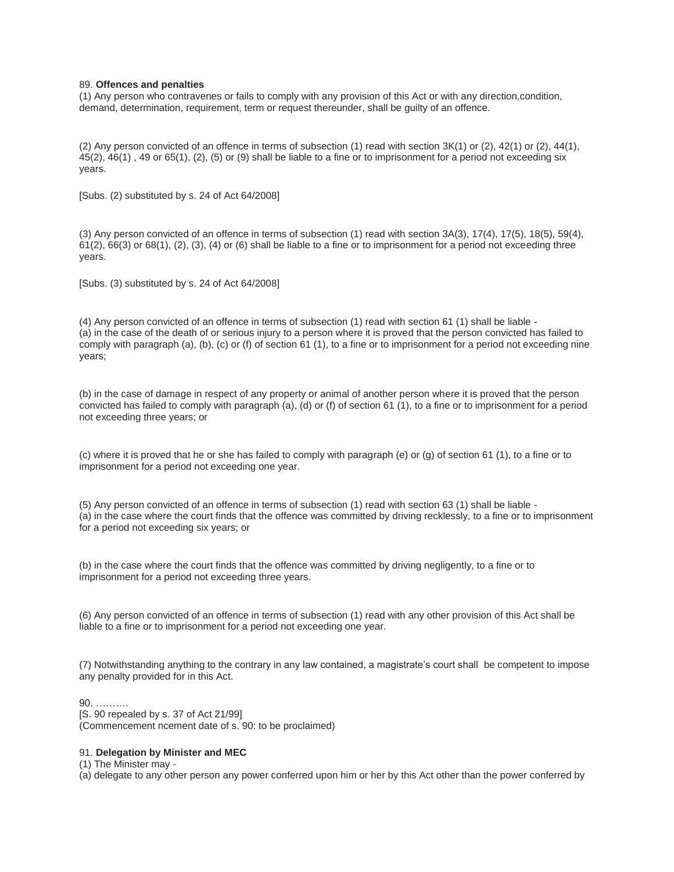#### 89. **Offences and penalties**

(1) Any person who contravenes or fails to comply with any provision of this Act or with any direction,condition, demand, determination, requirement, term or request thereunder, shall be guilty of an offence.

(2) Any person convicted of an offence in terms of subsection (1) read with section 3K(1) or (2), 42(1) or (2), 44(1), 45(2), 46(1) , 49 or 65(1), (2), (5) or (9) shall be liable to a fine or to imprisonment for a period not exceeding six years.

[Subs. (2) substituted by s. 24 of Act 64/2008]

(3) Any person convicted of an offence in terms of subsection (1) read with section 3A(3), 17(4), 17(5), 18(5), 59(4),  $61(2)$ ,  $66(3)$  or  $68(1)$ ,  $(2)$ ,  $(3)$ ,  $(4)$  or  $(6)$  shall be liable to a fine or to imprisonment for a period not exceeding three years.

[Subs. (3) substituted by s. 24 of Act 64/2008]

(4) Any person convicted of an offence in terms of subsection (1) read with section 61 (1) shall be liable - (a) in the case of the death of or serious injury to a person where it is proved that the person convicted has failed to comply with paragraph (a), (b), (c) or (f) of section 61 (1), to a fine or to imprisonment for a period not exceeding nine years;

(b) in the case of damage in respect of any property or animal of another person where it is proved that the person convicted has failed to comply with paragraph (a), (d) or (f) of section 61 (1), to a fine or to imprisonment for a period not exceeding three years; or

(c) where it is proved that he or she has failed to comply with paragraph (e) or (g) of section 61 (1), to a fine or to imprisonment for a period not exceeding one year.

(5) Any person convicted of an offence in terms of subsection (1) read with section 63 (1) shall be liable - (a) in the case where the court finds that the offence was committed by driving recklessly, to a fine or to imprisonment for a period not exceeding six years; or

(b) in the case where the court finds that the offence was committed by driving negligently, to a fine or to imprisonment for a period not exceeding three years.

(6) Any person convicted of an offence in terms of subsection (1) read with any other provision of this Act shall be liable to a fine or to imprisonment for a period not exceeding one year.

(7) Notwithstanding anything to the contrary in any law contained, a magistrate's court shall be competent to impose any penalty provided for in this Act.

90. ………. [S. 90 repealed by s. 37 of Act 21/99] (Commencement ncement date of s. 90: to be proclaimed)

### 91. **Delegation by Minister and MEC**

(1) The Minister may -

(a) delegate to any other person any power conferred upon him or her by this Act other than the power conferred by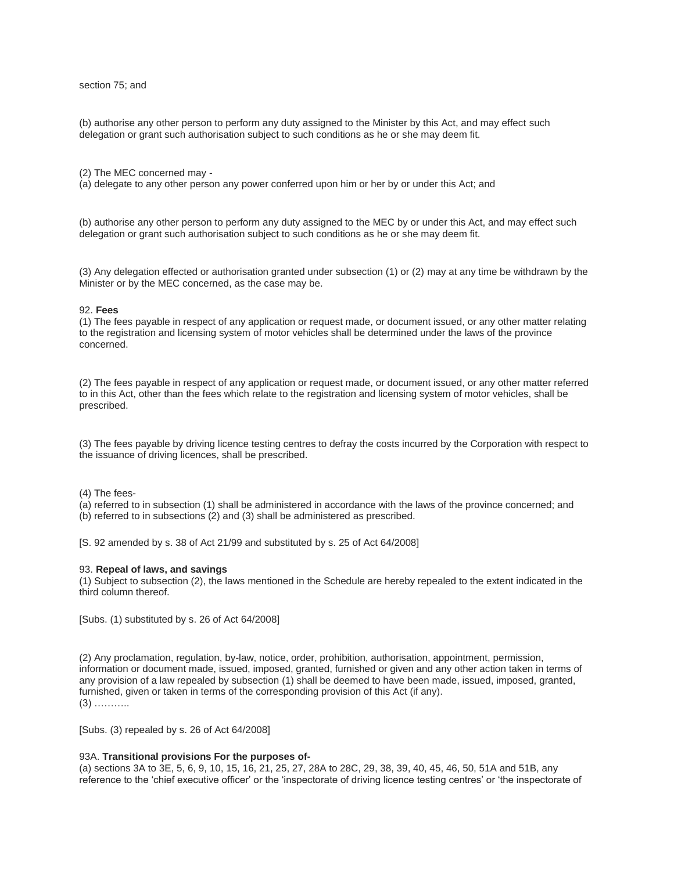### section 75; and

(b) authorise any other person to perform any duty assigned to the Minister by this Act, and may effect such delegation or grant such authorisation subject to such conditions as he or she may deem fit.

(2) The MEC concerned may -

(a) delegate to any other person any power conferred upon him or her by or under this Act; and

(b) authorise any other person to perform any duty assigned to the MEC by or under this Act, and may effect such delegation or grant such authorisation subject to such conditions as he or she may deem fit.

(3) Any delegation effected or authorisation granted under subsection (1) or (2) may at any time be withdrawn by the Minister or by the MEC concerned, as the case may be.

#### 92. **Fees**

(1) The fees payable in respect of any application or request made, or document issued, or any other matter relating to the registration and licensing system of motor vehicles shall be determined under the laws of the province concerned.

(2) The fees payable in respect of any application or request made, or document issued, or any other matter referred to in this Act, other than the fees which relate to the registration and licensing system of motor vehicles, shall be prescribed.

(3) The fees payable by driving licence testing centres to defray the costs incurred by the Corporation with respect to the issuance of driving licences, shall be prescribed.

(4) The fees-

(a) referred to in subsection (1) shall be administered in accordance with the laws of the province concerned; and (b) referred to in subsections (2) and (3) shall be administered as prescribed.

[S. 92 amended by s. 38 of Act 21/99 and substituted by s. 25 of Act 64/2008]

#### 93. **Repeal of laws, and savings**

(1) Subject to subsection (2), the laws mentioned in the Schedule are hereby repealed to the extent indicated in the third column thereof.

[Subs. (1) substituted by s. 26 of Act 64/2008]

(2) Any proclamation, regulation, by-law, notice, order, prohibition, authorisation, appointment, permission, information or document made, issued, imposed, granted, furnished or given and any other action taken in terms of any provision of a law repealed by subsection (1) shall be deemed to have been made, issued, imposed, granted, furnished, given or taken in terms of the corresponding provision of this Act (if any). (3) ………..

[Subs. (3) repealed by s. 26 of Act 64/2008]

#### 93A. **Transitional provisions For the purposes of-**

(a) sections 3A to 3E, 5, 6, 9, 10, 15, 16, 21, 25, 27, 28A to 28C, 29, 38, 39, 40, 45, 46, 50, 51A and 51B, any reference to the 'chief executive officer' or the 'inspectorate of driving licence testing centres' or 'the inspectorate of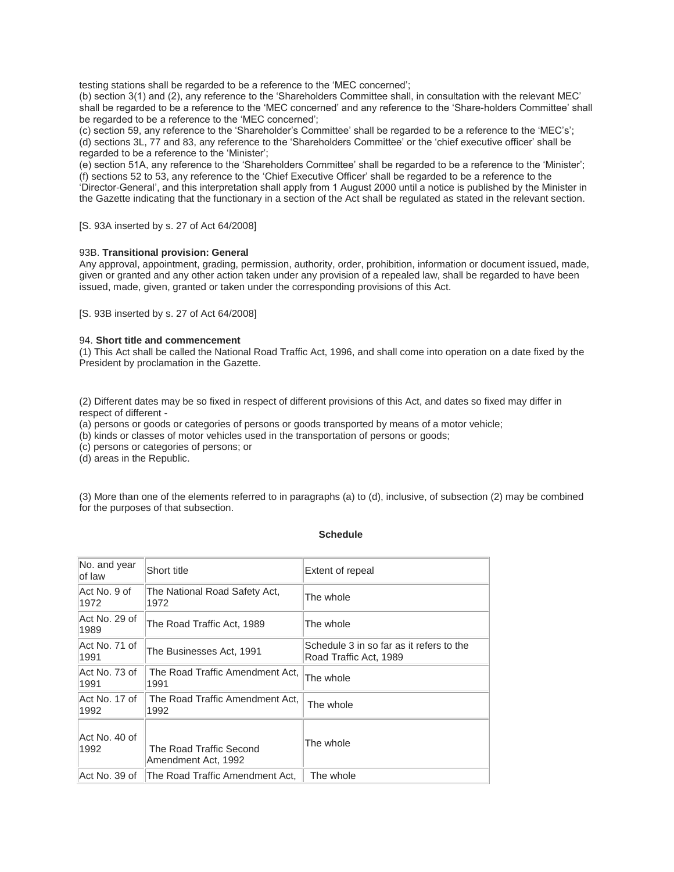testing stations shall be regarded to be a reference to the 'MEC concerned';

(b) section 3(1) and (2), any reference to the 'Shareholders Committee shall, in consultation with the relevant MEC' shall be regarded to be a reference to the 'MEC concerned' and any reference to the 'Share-holders Committee' shall be regarded to be a reference to the 'MEC concerned';

(c) section 59, any reference to the 'Shareholder's Committee' shall be regarded to be a reference to the 'MEC's'; (d) sections 3L, 77 and 83, any reference to the 'Shareholders Committee' or the 'chief executive officer' shall be regarded to be a reference to the 'Minister';

(e) section 51A, any reference to the 'Shareholders Committee' shall be regarded to be a reference to the 'Minister'; (f) sections 52 to 53, any reference to the 'Chief Executive Officer' shall be regarded to be a reference to the 'Director-General', and this interpretation shall apply from 1 August 2000 until a notice is published by the Minister in the Gazette indicating that the functionary in a section of the Act shall be regulated as stated in the relevant section.

[S. 93A inserted by s. 27 of Act 64/2008]

### 93B. **Transitional provision: General**

Any approval, appointment, grading, permission, authority, order, prohibition, information or document issued, made, given or granted and any other action taken under any provision of a repealed law, shall be regarded to have been issued, made, given, granted or taken under the corresponding provisions of this Act.

[S. 93B inserted by s. 27 of Act 64/2008]

### 94. **Short title and commencement**

(1) This Act shall be called the National Road Traffic Act, 1996, and shall come into operation on a date fixed by the President by proclamation in the Gazette.

(2) Different dates may be so fixed in respect of different provisions of this Act, and dates so fixed may differ in respect of different -

(a) persons or goods or categories of persons or goods transported by means of a motor vehicle;

(b) kinds or classes of motor vehicles used in the transportation of persons or goods;

(c) persons or categories of persons; or

(d) areas in the Republic.

(3) More than one of the elements referred to in paragraphs (a) to (d), inclusive, of subsection (2) may be combined for the purposes of that subsection.

| <b>Schedule</b> |
|-----------------|
|                 |

| No. and year<br>of law | Short title                                    | Extent of repeal                                                   |
|------------------------|------------------------------------------------|--------------------------------------------------------------------|
| Act No. 9 of<br>1972   | The National Road Safety Act,<br>1972          | The whole                                                          |
| Act No. 29 of<br>1989  | The Road Traffic Act, 1989                     | The whole                                                          |
| Act No. 71 of<br>1991  | The Businesses Act, 1991                       | Schedule 3 in so far as it refers to the<br>Road Traffic Act, 1989 |
| Act No. 73 of<br>1991  | The Road Traffic Amendment Act.<br>1991        | The whole                                                          |
| Act No. 17 of<br>1992  | The Road Traffic Amendment Act,<br>1992        | The whole                                                          |
| Act No. 40 of<br>1992  | The Road Traffic Second<br>Amendment Act, 1992 | The whole                                                          |
| Act No. 39 of          | The Road Traffic Amendment Act.                | The whole                                                          |